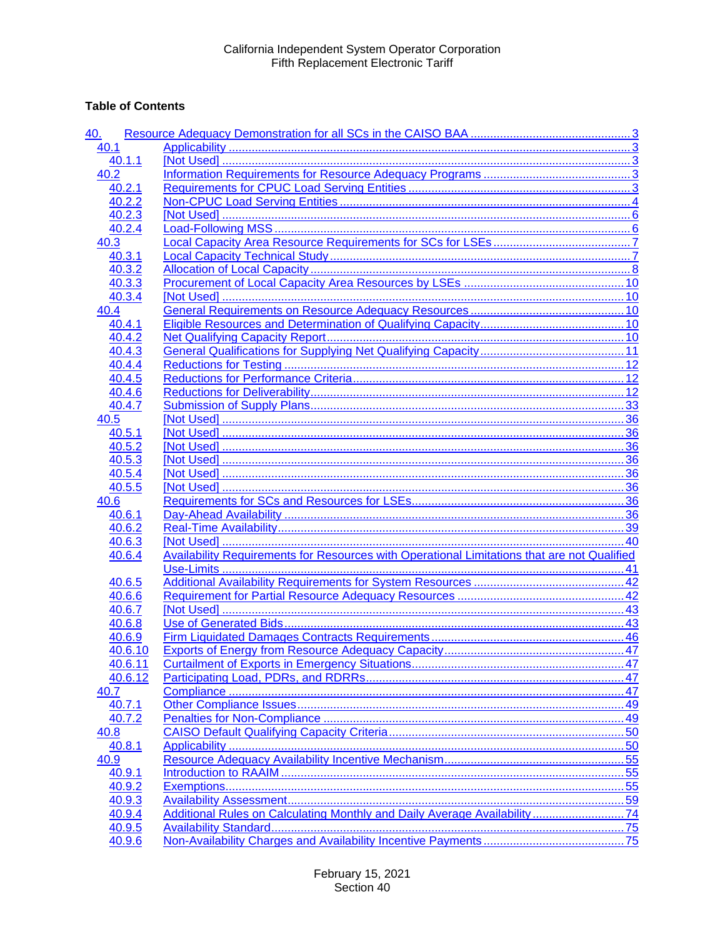## **Table of Contents**

| 40.                                                                                                          |  |
|--------------------------------------------------------------------------------------------------------------|--|
| 40.1                                                                                                         |  |
| 40.1.1                                                                                                       |  |
| 40.2                                                                                                         |  |
| 40.2.1                                                                                                       |  |
| 40.2.2                                                                                                       |  |
| 40.2.3                                                                                                       |  |
| 40.2.4                                                                                                       |  |
| 40.3                                                                                                         |  |
| 40.3.1                                                                                                       |  |
| 40.3.2                                                                                                       |  |
| 40.3.3                                                                                                       |  |
| 40.3.4                                                                                                       |  |
| 40.4                                                                                                         |  |
| 40.4.1                                                                                                       |  |
| 40.4.2                                                                                                       |  |
| 40.4.3                                                                                                       |  |
| 40.4.4                                                                                                       |  |
| 40.4.5                                                                                                       |  |
| 40.4.6                                                                                                       |  |
| 40.4.7                                                                                                       |  |
| 40.5                                                                                                         |  |
| 40.5.1                                                                                                       |  |
| 40.5.2                                                                                                       |  |
| 40.5.3                                                                                                       |  |
| 40.5.4                                                                                                       |  |
| 40.5.5                                                                                                       |  |
| 40.6                                                                                                         |  |
| 40.6.1                                                                                                       |  |
| 40.6.2                                                                                                       |  |
| 40.6.3                                                                                                       |  |
| <b>Availability Requirements for Resources with Operational Limitations that are not Qualified</b><br>40.6.4 |  |
|                                                                                                              |  |
| 40.6.5                                                                                                       |  |
| 40.6.6                                                                                                       |  |
| 40.6.7                                                                                                       |  |
| 40.6.8                                                                                                       |  |
| 40.6.9                                                                                                       |  |
| 40.6.10                                                                                                      |  |
| 40.6.11                                                                                                      |  |
| 40.6.12                                                                                                      |  |
| 40.7                                                                                                         |  |
| 40.7.1                                                                                                       |  |
| 40.7.2                                                                                                       |  |
| 40.8                                                                                                         |  |
| 40.8.1                                                                                                       |  |
| 40.9                                                                                                         |  |
| 40.9.1                                                                                                       |  |
| 40.9.2                                                                                                       |  |
| 40.9.3                                                                                                       |  |
| Additional Rules on Calculating Monthly and Daily Average Availability74<br>40.9.4                           |  |
| 40.9.5                                                                                                       |  |
| 40.9.6                                                                                                       |  |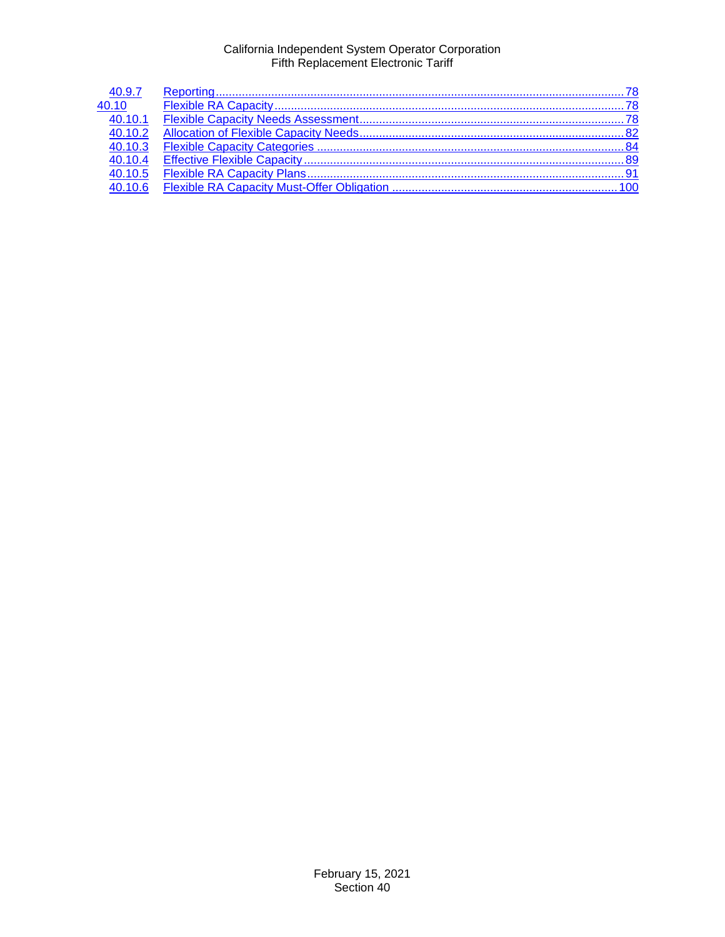| 40.9.7               |  |
|----------------------|--|
| 40.10                |  |
| $\overline{40.10.1}$ |  |
| 40.10.2              |  |
| 40.10.3              |  |
| 40.10.4              |  |
| 40.10.5              |  |
| 40.10.6              |  |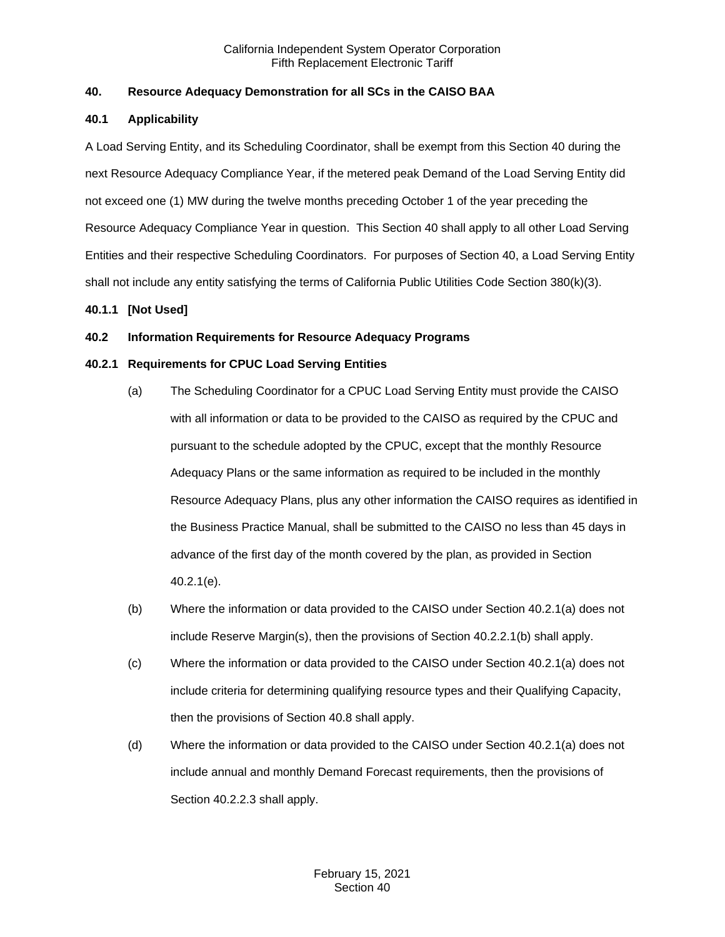## <span id="page-2-0"></span>**40. Resource Adequacy Demonstration for all SCs in the CAISO BAA**

## <span id="page-2-1"></span>**40.1 Applicability**

A Load Serving Entity, and its Scheduling Coordinator, shall be exempt from this Section 40 during the next Resource Adequacy Compliance Year, if the metered peak Demand of the Load Serving Entity did not exceed one (1) MW during the twelve months preceding October 1 of the year preceding the Resource Adequacy Compliance Year in question. This Section 40 shall apply to all other Load Serving Entities and their respective Scheduling Coordinators. For purposes of Section 40, a Load Serving Entity shall not include any entity satisfying the terms of California Public Utilities Code Section 380(k)(3).

## <span id="page-2-2"></span>**40.1.1 [Not Used]**

## <span id="page-2-3"></span>**40.2 Information Requirements for Resource Adequacy Programs**

## <span id="page-2-4"></span>**40.2.1 Requirements for CPUC Load Serving Entities**

- (a) The Scheduling Coordinator for a CPUC Load Serving Entity must provide the CAISO with all information or data to be provided to the CAISO as required by the CPUC and pursuant to the schedule adopted by the CPUC, except that the monthly Resource Adequacy Plans or the same information as required to be included in the monthly Resource Adequacy Plans, plus any other information the CAISO requires as identified in the Business Practice Manual, shall be submitted to the CAISO no less than 45 days in advance of the first day of the month covered by the plan, as provided in Section 40.2.1(e).
- (b) Where the information or data provided to the CAISO under Section 40.2.1(a) does not include Reserve Margin(s), then the provisions of Section 40.2.2.1(b) shall apply.
- (c) Where the information or data provided to the CAISO under Section 40.2.1(a) does not include criteria for determining qualifying resource types and their Qualifying Capacity, then the provisions of Section 40.8 shall apply.
- (d) Where the information or data provided to the CAISO under Section 40.2.1(a) does not include annual and monthly Demand Forecast requirements, then the provisions of Section 40.2.2.3 shall apply.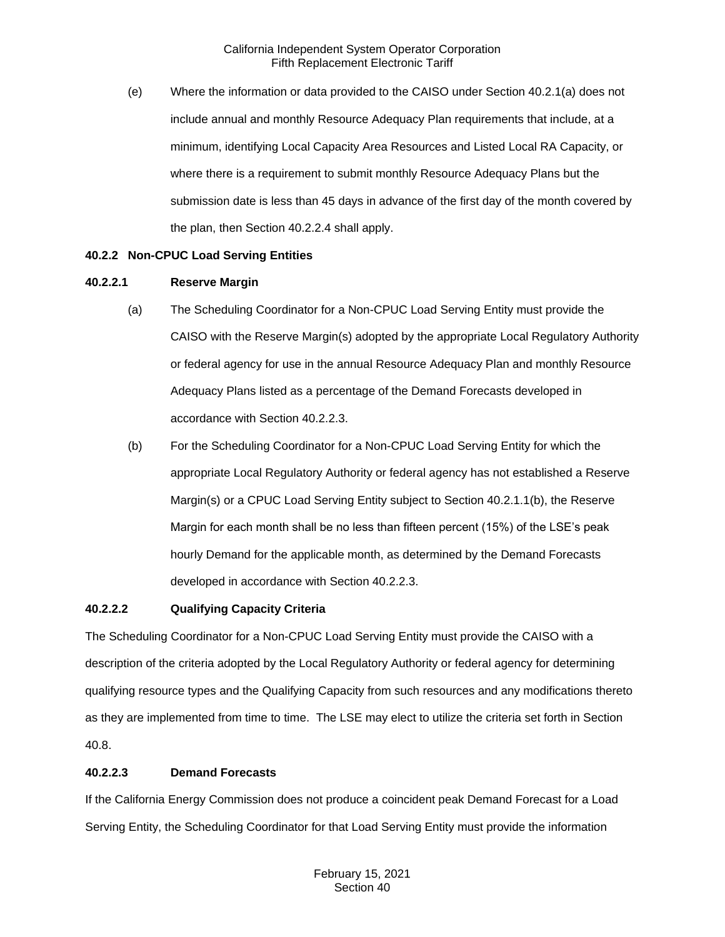(e) Where the information or data provided to the CAISO under Section 40.2.1(a) does not include annual and monthly Resource Adequacy Plan requirements that include, at a minimum, identifying Local Capacity Area Resources and Listed Local RA Capacity, or where there is a requirement to submit monthly Resource Adequacy Plans but the submission date is less than 45 days in advance of the first day of the month covered by the plan, then Section 40.2.2.4 shall apply.

## <span id="page-3-0"></span>**40.2.2 Non-CPUC Load Serving Entities**

## **40.2.2.1 Reserve Margin**

- (a) The Scheduling Coordinator for a Non-CPUC Load Serving Entity must provide the CAISO with the Reserve Margin(s) adopted by the appropriate Local Regulatory Authority or federal agency for use in the annual Resource Adequacy Plan and monthly Resource Adequacy Plans listed as a percentage of the Demand Forecasts developed in accordance with Section 40.2.2.3.
- (b) For the Scheduling Coordinator for a Non-CPUC Load Serving Entity for which the appropriate Local Regulatory Authority or federal agency has not established a Reserve Margin(s) or a CPUC Load Serving Entity subject to Section 40.2.1.1(b), the Reserve Margin for each month shall be no less than fifteen percent (15%) of the LSE's peak hourly Demand for the applicable month, as determined by the Demand Forecasts developed in accordance with Section 40.2.2.3.

#### **40.2.2.2 Qualifying Capacity Criteria**

The Scheduling Coordinator for a Non-CPUC Load Serving Entity must provide the CAISO with a description of the criteria adopted by the Local Regulatory Authority or federal agency for determining qualifying resource types and the Qualifying Capacity from such resources and any modifications thereto as they are implemented from time to time. The LSE may elect to utilize the criteria set forth in Section 40.8.

## **40.2.2.3 Demand Forecasts**

If the California Energy Commission does not produce a coincident peak Demand Forecast for a Load Serving Entity, the Scheduling Coordinator for that Load Serving Entity must provide the information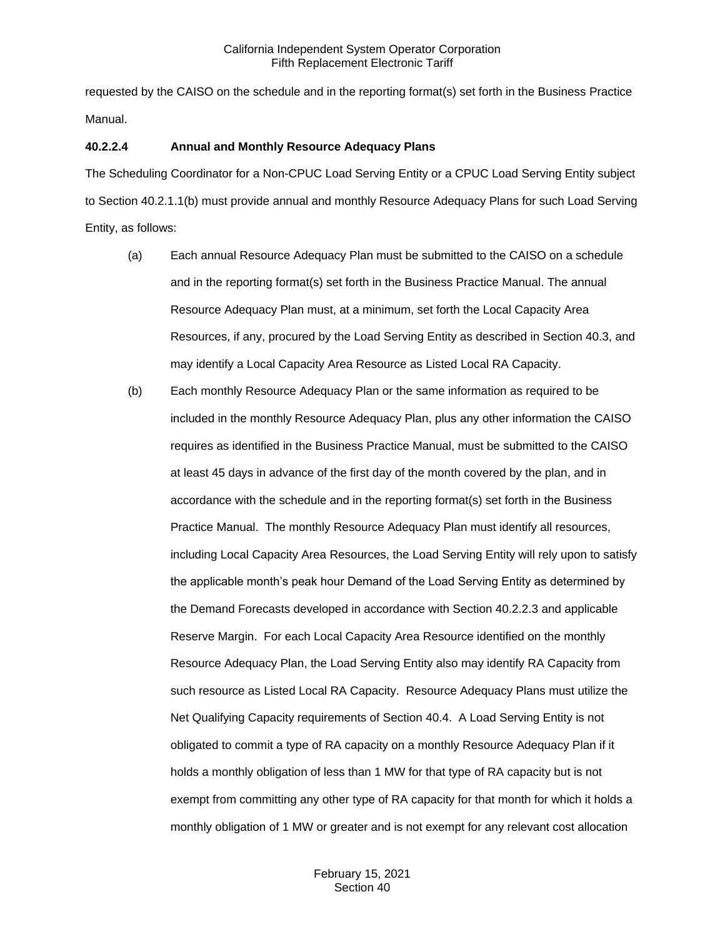requested by the CAISO on the schedule and in the reporting format(s) set forth in the Business Practice Manual.

## **40.2.2.4 Annual and Monthly Resource Adequacy Plans**

The Scheduling Coordinator for a Non-CPUC Load Serving Entity or a CPUC Load Serving Entity subject to Section 40.2.1.1(b) must provide annual and monthly Resource Adequacy Plans for such Load Serving Entity, as follows:

- (a) Each annual Resource Adequacy Plan must be submitted to the CAISO on a schedule and in the reporting format(s) set forth in the Business Practice Manual. The annual Resource Adequacy Plan must, at a minimum, set forth the Local Capacity Area Resources, if any, procured by the Load Serving Entity as described in Section 40.3, and may identify a Local Capacity Area Resource as Listed Local RA Capacity.
- (b) Each monthly Resource Adequacy Plan or the same information as required to be included in the monthly Resource Adequacy Plan, plus any other information the CAISO requires as identified in the Business Practice Manual, must be submitted to the CAISO at least 45 days in advance of the first day of the month covered by the plan, and in accordance with the schedule and in the reporting format(s) set forth in the Business Practice Manual. The monthly Resource Adequacy Plan must identify all resources, including Local Capacity Area Resources, the Load Serving Entity will rely upon to satisfy the applicable month's peak hour Demand of the Load Serving Entity as determined by the Demand Forecasts developed in accordance with Section 40.2.2.3 and applicable Reserve Margin. For each Local Capacity Area Resource identified on the monthly Resource Adequacy Plan, the Load Serving Entity also may identify RA Capacity from such resource as Listed Local RA Capacity. Resource Adequacy Plans must utilize the Net Qualifying Capacity requirements of Section 40.4. A Load Serving Entity is not obligated to commit a type of RA capacity on a monthly Resource Adequacy Plan if it holds a monthly obligation of less than 1 MW for that type of RA capacity but is not exempt from committing any other type of RA capacity for that month for which it holds a monthly obligation of 1 MW or greater and is not exempt for any relevant cost allocation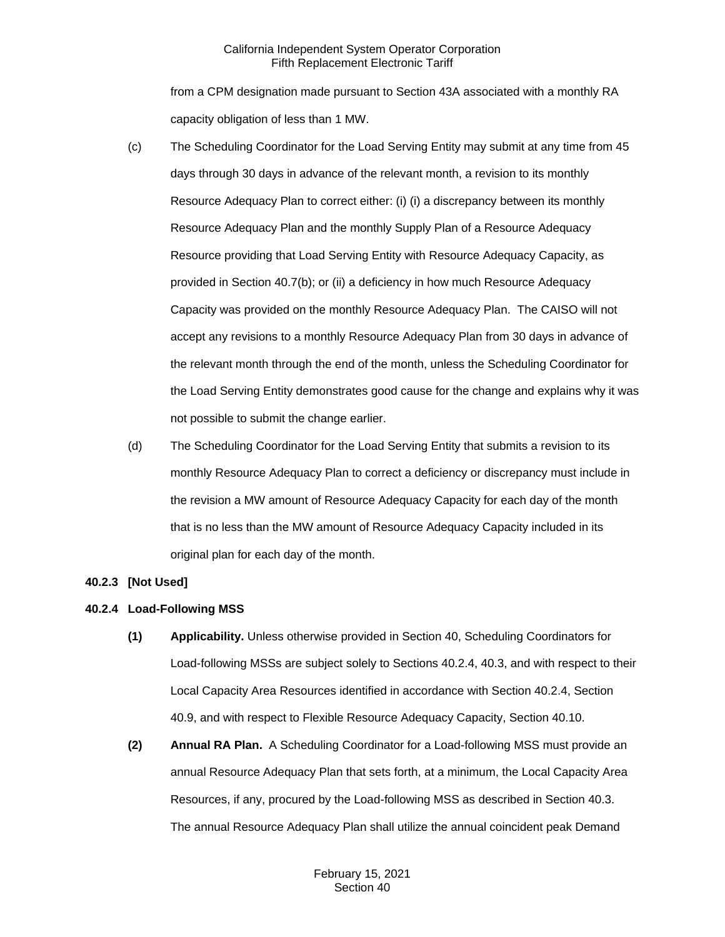from a CPM designation made pursuant to Section 43A associated with a monthly RA capacity obligation of less than 1 MW.

- (c) The Scheduling Coordinator for the Load Serving Entity may submit at any time from 45 days through 30 days in advance of the relevant month, a revision to its monthly Resource Adequacy Plan to correct either: (i) (i) a discrepancy between its monthly Resource Adequacy Plan and the monthly Supply Plan of a Resource Adequacy Resource providing that Load Serving Entity with Resource Adequacy Capacity, as provided in Section 40.7(b); or (ii) a deficiency in how much Resource Adequacy Capacity was provided on the monthly Resource Adequacy Plan. The CAISO will not accept any revisions to a monthly Resource Adequacy Plan from 30 days in advance of the relevant month through the end of the month, unless the Scheduling Coordinator for the Load Serving Entity demonstrates good cause for the change and explains why it was not possible to submit the change earlier.
- (d) The Scheduling Coordinator for the Load Serving Entity that submits a revision to its monthly Resource Adequacy Plan to correct a deficiency or discrepancy must include in the revision a MW amount of Resource Adequacy Capacity for each day of the month that is no less than the MW amount of Resource Adequacy Capacity included in its original plan for each day of the month.

## <span id="page-5-0"></span>**40.2.3 [Not Used]**

## <span id="page-5-1"></span>**40.2.4 Load-Following MSS**

- **(1) Applicability.** Unless otherwise provided in Section 40, Scheduling Coordinators for Load-following MSSs are subject solely to Sections 40.2.4, 40.3, and with respect to their Local Capacity Area Resources identified in accordance with Section 40.2.4, Section 40.9, and with respect to Flexible Resource Adequacy Capacity, Section 40.10.
- **(2) Annual RA Plan.** A Scheduling Coordinator for a Load-following MSS must provide an annual Resource Adequacy Plan that sets forth, at a minimum, the Local Capacity Area Resources, if any, procured by the Load-following MSS as described in Section 40.3. The annual Resource Adequacy Plan shall utilize the annual coincident peak Demand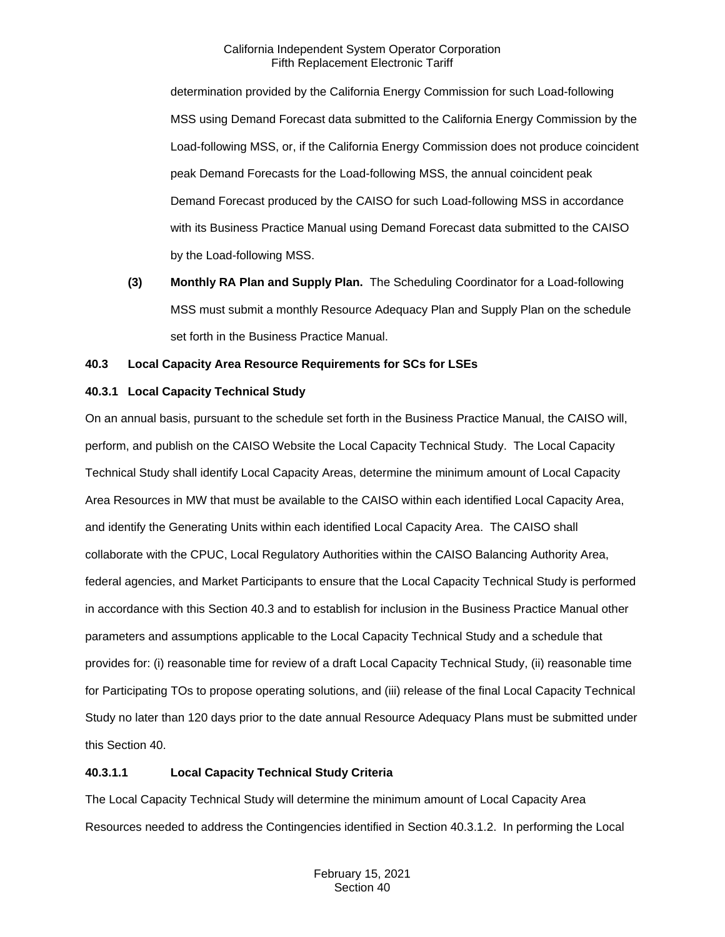determination provided by the California Energy Commission for such Load-following MSS using Demand Forecast data submitted to the California Energy Commission by the Load-following MSS, or, if the California Energy Commission does not produce coincident peak Demand Forecasts for the Load-following MSS, the annual coincident peak Demand Forecast produced by the CAISO for such Load-following MSS in accordance with its Business Practice Manual using Demand Forecast data submitted to the CAISO by the Load-following MSS.

**(3) Monthly RA Plan and Supply Plan.** The Scheduling Coordinator for a Load-following MSS must submit a monthly Resource Adequacy Plan and Supply Plan on the schedule set forth in the Business Practice Manual.

## <span id="page-6-0"></span>**40.3 Local Capacity Area Resource Requirements for SCs for LSEs**

## <span id="page-6-1"></span>**40.3.1 Local Capacity Technical Study**

On an annual basis, pursuant to the schedule set forth in the Business Practice Manual, the CAISO will, perform, and publish on the CAISO Website the Local Capacity Technical Study. The Local Capacity Technical Study shall identify Local Capacity Areas, determine the minimum amount of Local Capacity Area Resources in MW that must be available to the CAISO within each identified Local Capacity Area, and identify the Generating Units within each identified Local Capacity Area. The CAISO shall collaborate with the CPUC, Local Regulatory Authorities within the CAISO Balancing Authority Area, federal agencies, and Market Participants to ensure that the Local Capacity Technical Study is performed in accordance with this Section 40.3 and to establish for inclusion in the Business Practice Manual other parameters and assumptions applicable to the Local Capacity Technical Study and a schedule that provides for: (i) reasonable time for review of a draft Local Capacity Technical Study, (ii) reasonable time for Participating TOs to propose operating solutions, and (iii) release of the final Local Capacity Technical Study no later than 120 days prior to the date annual Resource Adequacy Plans must be submitted under this Section 40.

## **40.3.1.1 Local Capacity Technical Study Criteria**

The Local Capacity Technical Study will determine the minimum amount of Local Capacity Area Resources needed to address the Contingencies identified in Section 40.3.1.2. In performing the Local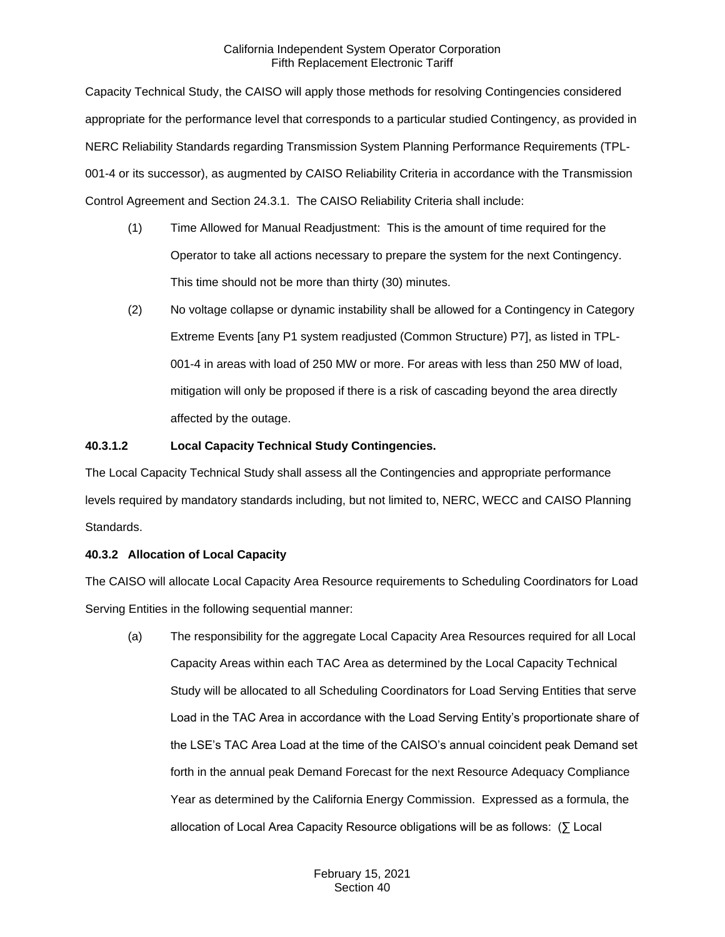Capacity Technical Study, the CAISO will apply those methods for resolving Contingencies considered appropriate for the performance level that corresponds to a particular studied Contingency, as provided in NERC Reliability Standards regarding Transmission System Planning Performance Requirements (TPL-001-4 or its successor), as augmented by CAISO Reliability Criteria in accordance with the Transmission Control Agreement and Section 24.3.1. The CAISO Reliability Criteria shall include:

- (1) Time Allowed for Manual Readjustment: This is the amount of time required for the Operator to take all actions necessary to prepare the system for the next Contingency. This time should not be more than thirty (30) minutes.
- (2) No voltage collapse or dynamic instability shall be allowed for a Contingency in Category Extreme Events [any P1 system readjusted (Common Structure) P7], as listed in TPL-001-4 in areas with load of 250 MW or more. For areas with less than 250 MW of load, mitigation will only be proposed if there is a risk of cascading beyond the area directly affected by the outage.

## **40.3.1.2 Local Capacity Technical Study Contingencies.**

The Local Capacity Technical Study shall assess all the Contingencies and appropriate performance levels required by mandatory standards including, but not limited to, NERC, WECC and CAISO Planning Standards.

## <span id="page-7-0"></span>**40.3.2 Allocation of Local Capacity**

The CAISO will allocate Local Capacity Area Resource requirements to Scheduling Coordinators for Load Serving Entities in the following sequential manner:

(a) The responsibility for the aggregate Local Capacity Area Resources required for all Local Capacity Areas within each TAC Area as determined by the Local Capacity Technical Study will be allocated to all Scheduling Coordinators for Load Serving Entities that serve Load in the TAC Area in accordance with the Load Serving Entity's proportionate share of the LSE's TAC Area Load at the time of the CAISO's annual coincident peak Demand set forth in the annual peak Demand Forecast for the next Resource Adequacy Compliance Year as determined by the California Energy Commission. Expressed as a formula, the allocation of Local Area Capacity Resource obligations will be as follows: (∑ Local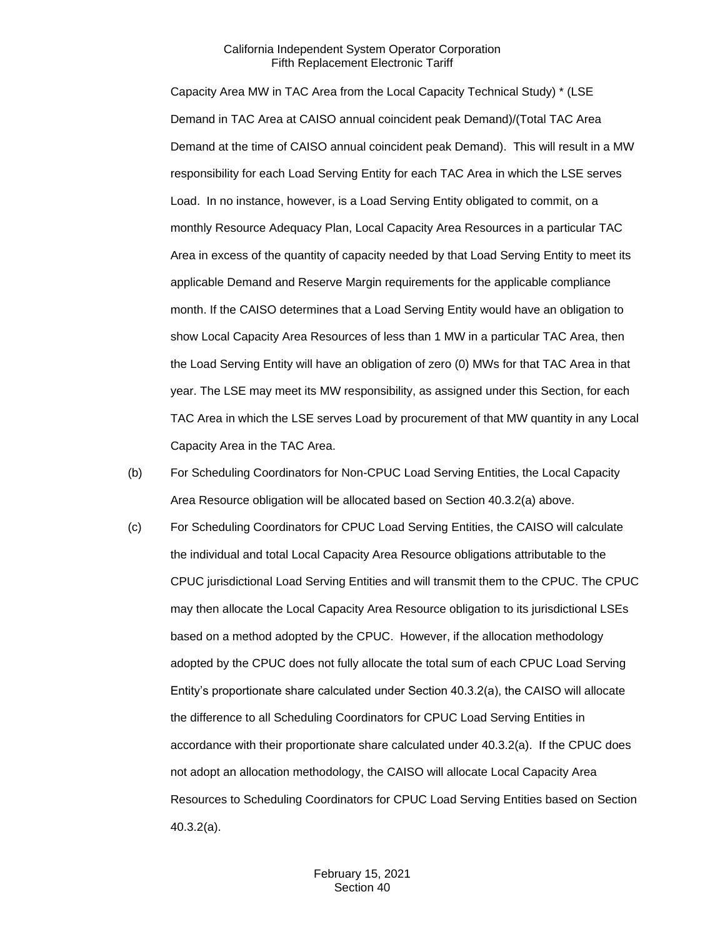Capacity Area MW in TAC Area from the Local Capacity Technical Study) \* (LSE Demand in TAC Area at CAISO annual coincident peak Demand)/(Total TAC Area Demand at the time of CAISO annual coincident peak Demand). This will result in a MW responsibility for each Load Serving Entity for each TAC Area in which the LSE serves Load. In no instance, however, is a Load Serving Entity obligated to commit, on a monthly Resource Adequacy Plan, Local Capacity Area Resources in a particular TAC Area in excess of the quantity of capacity needed by that Load Serving Entity to meet its applicable Demand and Reserve Margin requirements for the applicable compliance month. If the CAISO determines that a Load Serving Entity would have an obligation to show Local Capacity Area Resources of less than 1 MW in a particular TAC Area, then the Load Serving Entity will have an obligation of zero (0) MWs for that TAC Area in that year. The LSE may meet its MW responsibility, as assigned under this Section, for each TAC Area in which the LSE serves Load by procurement of that MW quantity in any Local Capacity Area in the TAC Area.

- (b) For Scheduling Coordinators for Non-CPUC Load Serving Entities, the Local Capacity Area Resource obligation will be allocated based on Section 40.3.2(a) above.
- (c) For Scheduling Coordinators for CPUC Load Serving Entities, the CAISO will calculate the individual and total Local Capacity Area Resource obligations attributable to the CPUC jurisdictional Load Serving Entities and will transmit them to the CPUC. The CPUC may then allocate the Local Capacity Area Resource obligation to its jurisdictional LSEs based on a method adopted by the CPUC. However, if the allocation methodology adopted by the CPUC does not fully allocate the total sum of each CPUC Load Serving Entity's proportionate share calculated under Section 40.3.2(a), the CAISO will allocate the difference to all Scheduling Coordinators for CPUC Load Serving Entities in accordance with their proportionate share calculated under 40.3.2(a). If the CPUC does not adopt an allocation methodology, the CAISO will allocate Local Capacity Area Resources to Scheduling Coordinators for CPUC Load Serving Entities based on Section 40.3.2(a).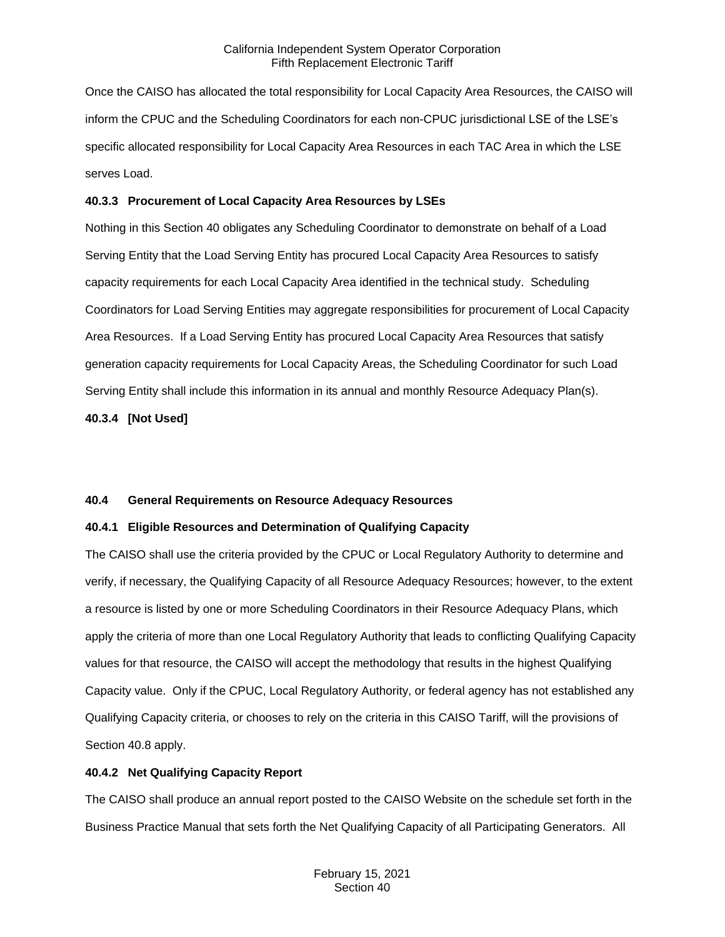Once the CAISO has allocated the total responsibility for Local Capacity Area Resources, the CAISO will inform the CPUC and the Scheduling Coordinators for each non-CPUC jurisdictional LSE of the LSE's specific allocated responsibility for Local Capacity Area Resources in each TAC Area in which the LSE serves Load.

#### <span id="page-9-0"></span>**40.3.3 Procurement of Local Capacity Area Resources by LSEs**

Nothing in this Section 40 obligates any Scheduling Coordinator to demonstrate on behalf of a Load Serving Entity that the Load Serving Entity has procured Local Capacity Area Resources to satisfy capacity requirements for each Local Capacity Area identified in the technical study. Scheduling Coordinators for Load Serving Entities may aggregate responsibilities for procurement of Local Capacity Area Resources. If a Load Serving Entity has procured Local Capacity Area Resources that satisfy generation capacity requirements for Local Capacity Areas, the Scheduling Coordinator for such Load Serving Entity shall include this information in its annual and monthly Resource Adequacy Plan(s).

<span id="page-9-1"></span>**40.3.4 [Not Used]**

## <span id="page-9-2"></span>**40.4 General Requirements on Resource Adequacy Resources**

## <span id="page-9-3"></span>**40.4.1 Eligible Resources and Determination of Qualifying Capacity**

The CAISO shall use the criteria provided by the CPUC or Local Regulatory Authority to determine and verify, if necessary, the Qualifying Capacity of all Resource Adequacy Resources; however, to the extent a resource is listed by one or more Scheduling Coordinators in their Resource Adequacy Plans, which apply the criteria of more than one Local Regulatory Authority that leads to conflicting Qualifying Capacity values for that resource, the CAISO will accept the methodology that results in the highest Qualifying Capacity value. Only if the CPUC, Local Regulatory Authority, or federal agency has not established any Qualifying Capacity criteria, or chooses to rely on the criteria in this CAISO Tariff, will the provisions of Section 40.8 apply.

## <span id="page-9-4"></span>**40.4.2 Net Qualifying Capacity Report**

The CAISO shall produce an annual report posted to the CAISO Website on the schedule set forth in the Business Practice Manual that sets forth the Net Qualifying Capacity of all Participating Generators. All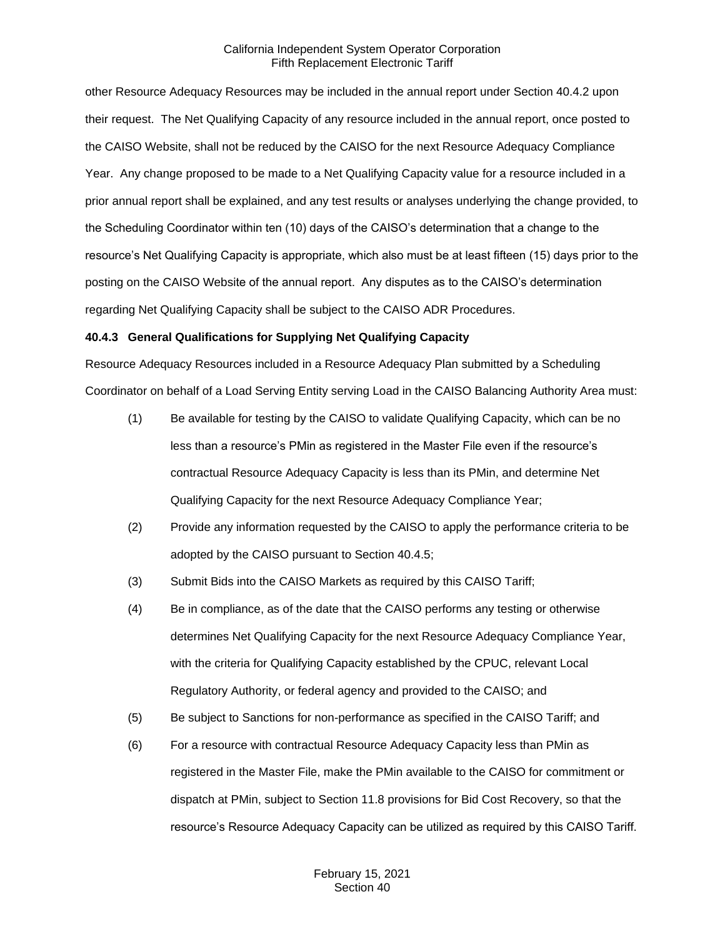other Resource Adequacy Resources may be included in the annual report under Section 40.4.2 upon their request. The Net Qualifying Capacity of any resource included in the annual report, once posted to the CAISO Website, shall not be reduced by the CAISO for the next Resource Adequacy Compliance Year. Any change proposed to be made to a Net Qualifying Capacity value for a resource included in a prior annual report shall be explained, and any test results or analyses underlying the change provided, to the Scheduling Coordinator within ten (10) days of the CAISO's determination that a change to the resource's Net Qualifying Capacity is appropriate, which also must be at least fifteen (15) days prior to the posting on the CAISO Website of the annual report. Any disputes as to the CAISO's determination regarding Net Qualifying Capacity shall be subject to the CAISO ADR Procedures.

## <span id="page-10-0"></span>**40.4.3 General Qualifications for Supplying Net Qualifying Capacity**

Resource Adequacy Resources included in a Resource Adequacy Plan submitted by a Scheduling Coordinator on behalf of a Load Serving Entity serving Load in the CAISO Balancing Authority Area must:

- (1) Be available for testing by the CAISO to validate Qualifying Capacity, which can be no less than a resource's PMin as registered in the Master File even if the resource's contractual Resource Adequacy Capacity is less than its PMin, and determine Net Qualifying Capacity for the next Resource Adequacy Compliance Year;
- (2) Provide any information requested by the CAISO to apply the performance criteria to be adopted by the CAISO pursuant to Section 40.4.5;
- (3) Submit Bids into the CAISO Markets as required by this CAISO Tariff;
- (4) Be in compliance, as of the date that the CAISO performs any testing or otherwise determines Net Qualifying Capacity for the next Resource Adequacy Compliance Year, with the criteria for Qualifying Capacity established by the CPUC, relevant Local Regulatory Authority, or federal agency and provided to the CAISO; and
- (5) Be subject to Sanctions for non-performance as specified in the CAISO Tariff; and
- (6) For a resource with contractual Resource Adequacy Capacity less than PMin as registered in the Master File, make the PMin available to the CAISO for commitment or dispatch at PMin, subject to Section 11.8 provisions for Bid Cost Recovery, so that the resource's Resource Adequacy Capacity can be utilized as required by this CAISO Tariff.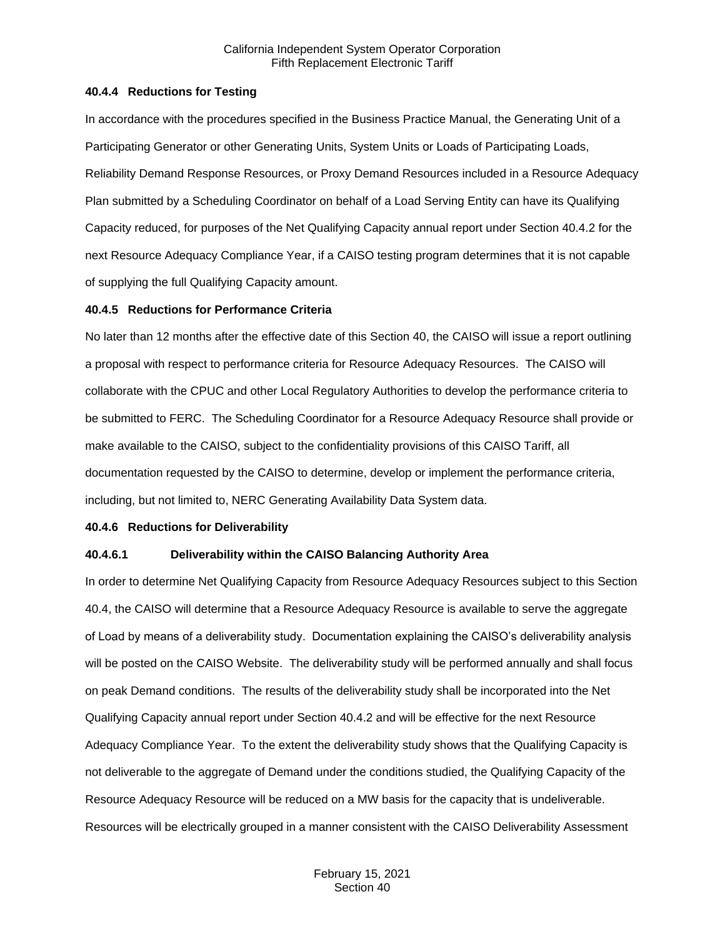#### <span id="page-11-0"></span>**40.4.4 Reductions for Testing**

In accordance with the procedures specified in the Business Practice Manual, the Generating Unit of a Participating Generator or other Generating Units, System Units or Loads of Participating Loads, Reliability Demand Response Resources, or Proxy Demand Resources included in a Resource Adequacy Plan submitted by a Scheduling Coordinator on behalf of a Load Serving Entity can have its Qualifying Capacity reduced, for purposes of the Net Qualifying Capacity annual report under Section 40.4.2 for the next Resource Adequacy Compliance Year, if a CAISO testing program determines that it is not capable of supplying the full Qualifying Capacity amount.

## <span id="page-11-1"></span>**40.4.5 Reductions for Performance Criteria**

No later than 12 months after the effective date of this Section 40, the CAISO will issue a report outlining a proposal with respect to performance criteria for Resource Adequacy Resources. The CAISO will collaborate with the CPUC and other Local Regulatory Authorities to develop the performance criteria to be submitted to FERC. The Scheduling Coordinator for a Resource Adequacy Resource shall provide or make available to the CAISO, subject to the confidentiality provisions of this CAISO Tariff, all documentation requested by the CAISO to determine, develop or implement the performance criteria, including, but not limited to, NERC Generating Availability Data System data.

#### <span id="page-11-2"></span>**40.4.6 Reductions for Deliverability**

#### **40.4.6.1 Deliverability within the CAISO Balancing Authority Area**

In order to determine Net Qualifying Capacity from Resource Adequacy Resources subject to this Section 40.4, the CAISO will determine that a Resource Adequacy Resource is available to serve the aggregate of Load by means of a deliverability study. Documentation explaining the CAISO's deliverability analysis will be posted on the CAISO Website. The deliverability study will be performed annually and shall focus on peak Demand conditions. The results of the deliverability study shall be incorporated into the Net Qualifying Capacity annual report under Section 40.4.2 and will be effective for the next Resource Adequacy Compliance Year. To the extent the deliverability study shows that the Qualifying Capacity is not deliverable to the aggregate of Demand under the conditions studied, the Qualifying Capacity of the Resource Adequacy Resource will be reduced on a MW basis for the capacity that is undeliverable. Resources will be electrically grouped in a manner consistent with the CAISO Deliverability Assessment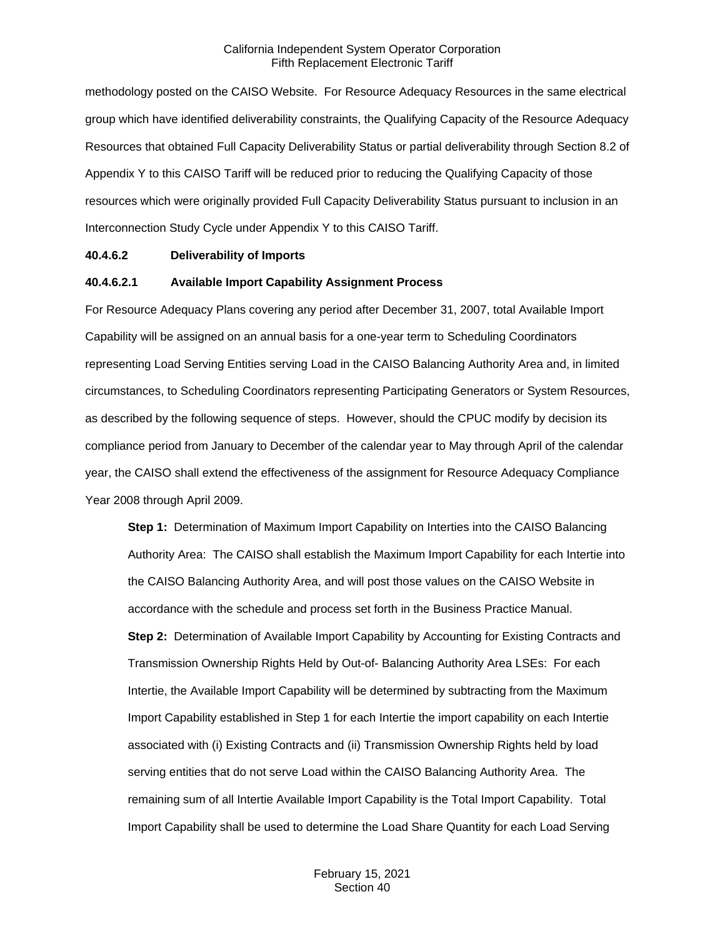methodology posted on the CAISO Website. For Resource Adequacy Resources in the same electrical group which have identified deliverability constraints, the Qualifying Capacity of the Resource Adequacy Resources that obtained Full Capacity Deliverability Status or partial deliverability through Section 8.2 of Appendix Y to this CAISO Tariff will be reduced prior to reducing the Qualifying Capacity of those resources which were originally provided Full Capacity Deliverability Status pursuant to inclusion in an Interconnection Study Cycle under Appendix Y to this CAISO Tariff.

#### **40.4.6.2 Deliverability of Imports**

#### **40.4.6.2.1 Available Import Capability Assignment Process**

For Resource Adequacy Plans covering any period after December 31, 2007, total Available Import Capability will be assigned on an annual basis for a one-year term to Scheduling Coordinators representing Load Serving Entities serving Load in the CAISO Balancing Authority Area and, in limited circumstances, to Scheduling Coordinators representing Participating Generators or System Resources, as described by the following sequence of steps. However, should the CPUC modify by decision its compliance period from January to December of the calendar year to May through April of the calendar year, the CAISO shall extend the effectiveness of the assignment for Resource Adequacy Compliance Year 2008 through April 2009.

**Step 1:** Determination of Maximum Import Capability on Interties into the CAISO Balancing Authority Area: The CAISO shall establish the Maximum Import Capability for each Intertie into the CAISO Balancing Authority Area, and will post those values on the CAISO Website in accordance with the schedule and process set forth in the Business Practice Manual. **Step 2:** Determination of Available Import Capability by Accounting for Existing Contracts and Transmission Ownership Rights Held by Out-of- Balancing Authority Area LSEs: For each Intertie, the Available Import Capability will be determined by subtracting from the Maximum Import Capability established in Step 1 for each Intertie the import capability on each Intertie associated with (i) Existing Contracts and (ii) Transmission Ownership Rights held by load serving entities that do not serve Load within the CAISO Balancing Authority Area. The remaining sum of all Intertie Available Import Capability is the Total Import Capability. Total Import Capability shall be used to determine the Load Share Quantity for each Load Serving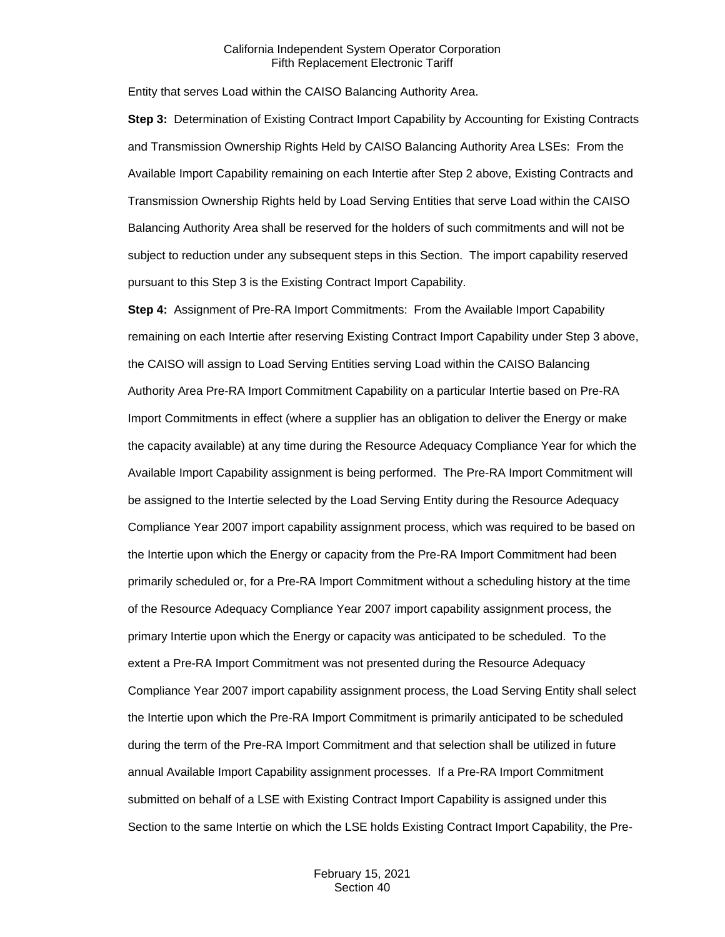Entity that serves Load within the CAISO Balancing Authority Area.

**Step 3:** Determination of Existing Contract Import Capability by Accounting for Existing Contracts and Transmission Ownership Rights Held by CAISO Balancing Authority Area LSEs: From the Available Import Capability remaining on each Intertie after Step 2 above, Existing Contracts and Transmission Ownership Rights held by Load Serving Entities that serve Load within the CAISO Balancing Authority Area shall be reserved for the holders of such commitments and will not be subject to reduction under any subsequent steps in this Section. The import capability reserved pursuant to this Step 3 is the Existing Contract Import Capability.

**Step 4:** Assignment of Pre-RA Import Commitments: From the Available Import Capability remaining on each Intertie after reserving Existing Contract Import Capability under Step 3 above, the CAISO will assign to Load Serving Entities serving Load within the CAISO Balancing Authority Area Pre-RA Import Commitment Capability on a particular Intertie based on Pre-RA Import Commitments in effect (where a supplier has an obligation to deliver the Energy or make the capacity available) at any time during the Resource Adequacy Compliance Year for which the Available Import Capability assignment is being performed. The Pre-RA Import Commitment will be assigned to the Intertie selected by the Load Serving Entity during the Resource Adequacy Compliance Year 2007 import capability assignment process, which was required to be based on the Intertie upon which the Energy or capacity from the Pre-RA Import Commitment had been primarily scheduled or, for a Pre-RA Import Commitment without a scheduling history at the time of the Resource Adequacy Compliance Year 2007 import capability assignment process, the primary Intertie upon which the Energy or capacity was anticipated to be scheduled. To the extent a Pre-RA Import Commitment was not presented during the Resource Adequacy Compliance Year 2007 import capability assignment process, the Load Serving Entity shall select the Intertie upon which the Pre-RA Import Commitment is primarily anticipated to be scheduled during the term of the Pre-RA Import Commitment and that selection shall be utilized in future annual Available Import Capability assignment processes. If a Pre-RA Import Commitment submitted on behalf of a LSE with Existing Contract Import Capability is assigned under this Section to the same Intertie on which the LSE holds Existing Contract Import Capability, the Pre-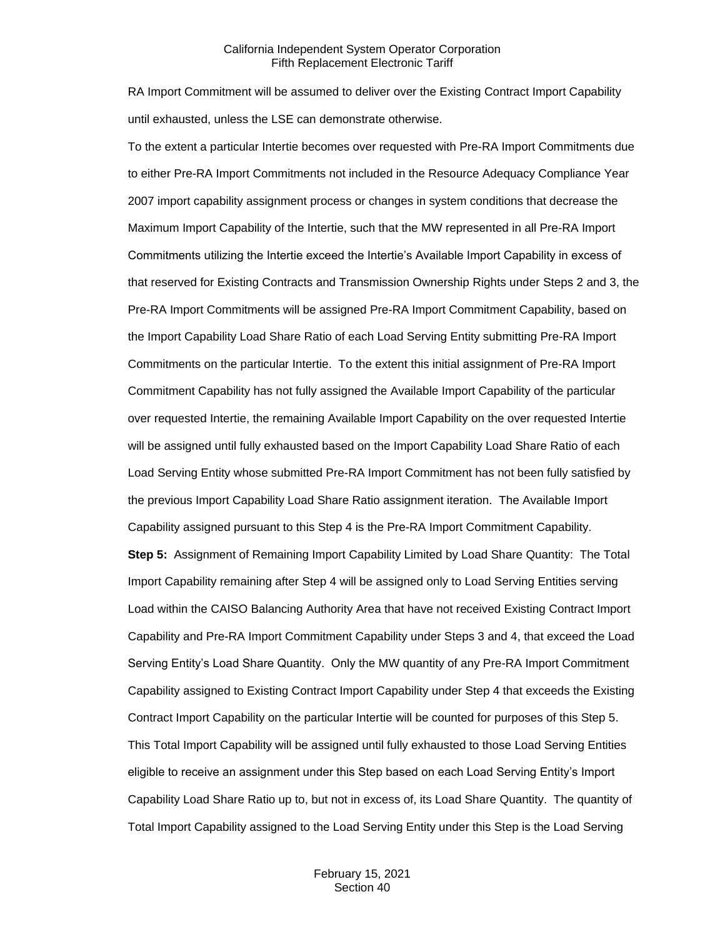RA Import Commitment will be assumed to deliver over the Existing Contract Import Capability until exhausted, unless the LSE can demonstrate otherwise.

To the extent a particular Intertie becomes over requested with Pre-RA Import Commitments due to either Pre-RA Import Commitments not included in the Resource Adequacy Compliance Year 2007 import capability assignment process or changes in system conditions that decrease the Maximum Import Capability of the Intertie, such that the MW represented in all Pre-RA Import Commitments utilizing the Intertie exceed the Intertie's Available Import Capability in excess of that reserved for Existing Contracts and Transmission Ownership Rights under Steps 2 and 3, the Pre-RA Import Commitments will be assigned Pre-RA Import Commitment Capability, based on the Import Capability Load Share Ratio of each Load Serving Entity submitting Pre-RA Import Commitments on the particular Intertie. To the extent this initial assignment of Pre-RA Import Commitment Capability has not fully assigned the Available Import Capability of the particular over requested Intertie, the remaining Available Import Capability on the over requested Intertie will be assigned until fully exhausted based on the Import Capability Load Share Ratio of each Load Serving Entity whose submitted Pre-RA Import Commitment has not been fully satisfied by the previous Import Capability Load Share Ratio assignment iteration. The Available Import Capability assigned pursuant to this Step 4 is the Pre-RA Import Commitment Capability. **Step 5:** Assignment of Remaining Import Capability Limited by Load Share Quantity: The Total

Import Capability remaining after Step 4 will be assigned only to Load Serving Entities serving Load within the CAISO Balancing Authority Area that have not received Existing Contract Import Capability and Pre-RA Import Commitment Capability under Steps 3 and 4, that exceed the Load Serving Entity's Load Share Quantity. Only the MW quantity of any Pre-RA Import Commitment Capability assigned to Existing Contract Import Capability under Step 4 that exceeds the Existing Contract Import Capability on the particular Intertie will be counted for purposes of this Step 5. This Total Import Capability will be assigned until fully exhausted to those Load Serving Entities eligible to receive an assignment under this Step based on each Load Serving Entity's Import Capability Load Share Ratio up to, but not in excess of, its Load Share Quantity. The quantity of Total Import Capability assigned to the Load Serving Entity under this Step is the Load Serving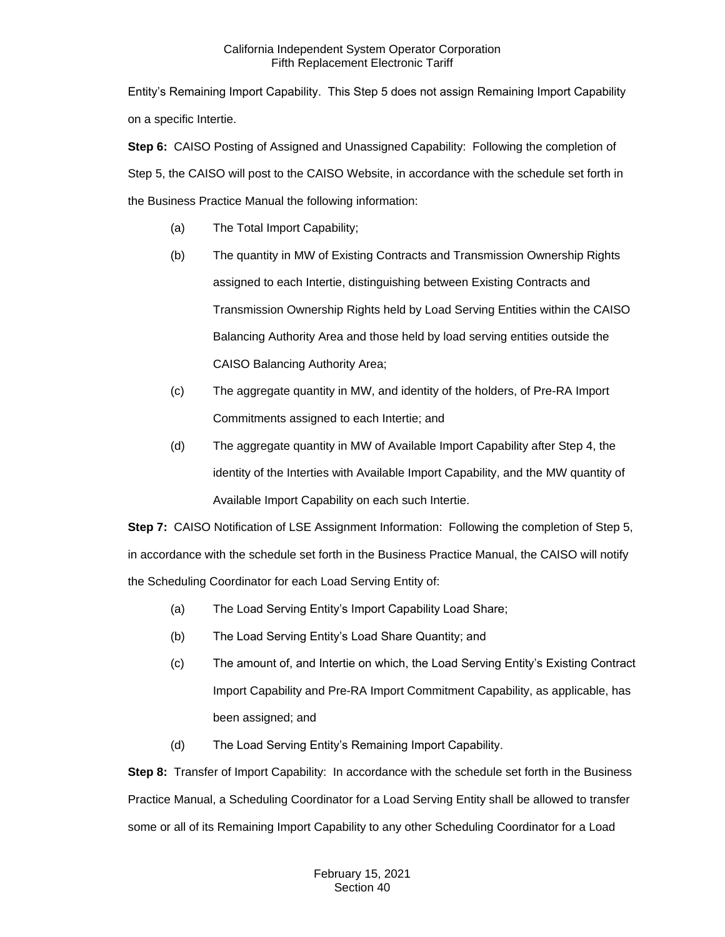Entity's Remaining Import Capability. This Step 5 does not assign Remaining Import Capability on a specific Intertie.

**Step 6:** CAISO Posting of Assigned and Unassigned Capability: Following the completion of Step 5, the CAISO will post to the CAISO Website, in accordance with the schedule set forth in the Business Practice Manual the following information:

- (a) The Total Import Capability;
- (b) The quantity in MW of Existing Contracts and Transmission Ownership Rights assigned to each Intertie, distinguishing between Existing Contracts and Transmission Ownership Rights held by Load Serving Entities within the CAISO Balancing Authority Area and those held by load serving entities outside the CAISO Balancing Authority Area;
- (c) The aggregate quantity in MW, and identity of the holders, of Pre-RA Import Commitments assigned to each Intertie; and
- (d) The aggregate quantity in MW of Available Import Capability after Step 4, the identity of the Interties with Available Import Capability, and the MW quantity of Available Import Capability on each such Intertie.

**Step 7:** CAISO Notification of LSE Assignment Information: Following the completion of Step 5, in accordance with the schedule set forth in the Business Practice Manual, the CAISO will notify the Scheduling Coordinator for each Load Serving Entity of:

- (a) The Load Serving Entity's Import Capability Load Share;
- (b) The Load Serving Entity's Load Share Quantity; and
- (c) The amount of, and Intertie on which, the Load Serving Entity's Existing Contract Import Capability and Pre-RA Import Commitment Capability, as applicable, has been assigned; and
- (d) The Load Serving Entity's Remaining Import Capability.

**Step 8:** Transfer of Import Capability: In accordance with the schedule set forth in the Business Practice Manual, a Scheduling Coordinator for a Load Serving Entity shall be allowed to transfer some or all of its Remaining Import Capability to any other Scheduling Coordinator for a Load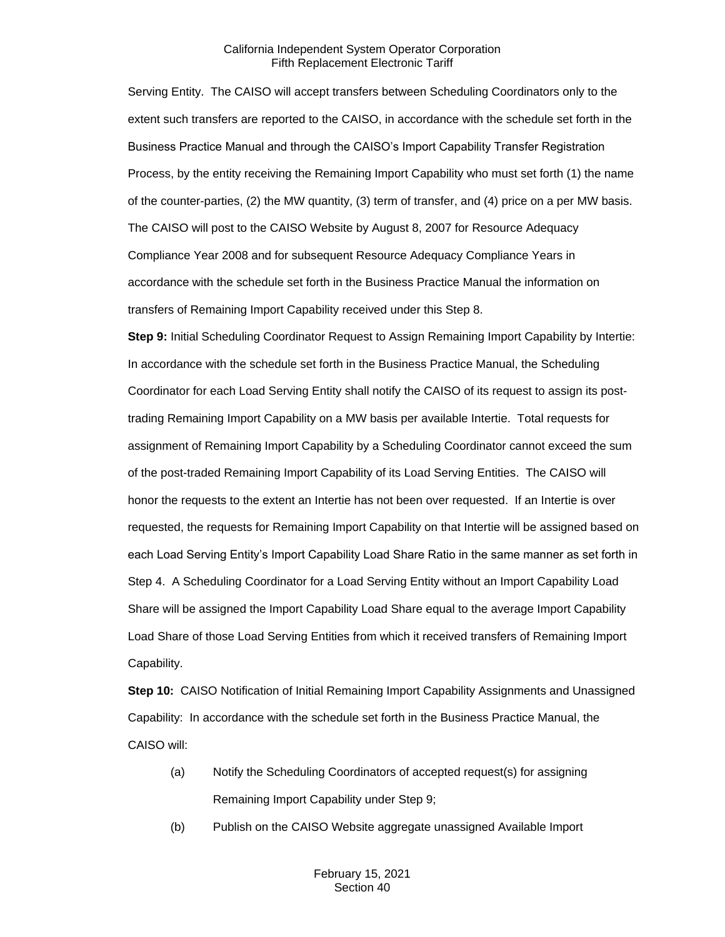Serving Entity. The CAISO will accept transfers between Scheduling Coordinators only to the extent such transfers are reported to the CAISO, in accordance with the schedule set forth in the Business Practice Manual and through the CAISO's Import Capability Transfer Registration Process, by the entity receiving the Remaining Import Capability who must set forth (1) the name of the counter-parties, (2) the MW quantity, (3) term of transfer, and (4) price on a per MW basis. The CAISO will post to the CAISO Website by August 8, 2007 for Resource Adequacy Compliance Year 2008 and for subsequent Resource Adequacy Compliance Years in accordance with the schedule set forth in the Business Practice Manual the information on transfers of Remaining Import Capability received under this Step 8.

**Step 9:** Initial Scheduling Coordinator Request to Assign Remaining Import Capability by Intertie: In accordance with the schedule set forth in the Business Practice Manual, the Scheduling Coordinator for each Load Serving Entity shall notify the CAISO of its request to assign its posttrading Remaining Import Capability on a MW basis per available Intertie. Total requests for assignment of Remaining Import Capability by a Scheduling Coordinator cannot exceed the sum of the post-traded Remaining Import Capability of its Load Serving Entities. The CAISO will honor the requests to the extent an Intertie has not been over requested. If an Intertie is over requested, the requests for Remaining Import Capability on that Intertie will be assigned based on each Load Serving Entity's Import Capability Load Share Ratio in the same manner as set forth in Step 4. A Scheduling Coordinator for a Load Serving Entity without an Import Capability Load Share will be assigned the Import Capability Load Share equal to the average Import Capability Load Share of those Load Serving Entities from which it received transfers of Remaining Import Capability.

**Step 10:** CAISO Notification of Initial Remaining Import Capability Assignments and Unassigned Capability: In accordance with the schedule set forth in the Business Practice Manual, the CAISO will:

- (a) Notify the Scheduling Coordinators of accepted request(s) for assigning Remaining Import Capability under Step 9;
- (b) Publish on the CAISO Website aggregate unassigned Available Import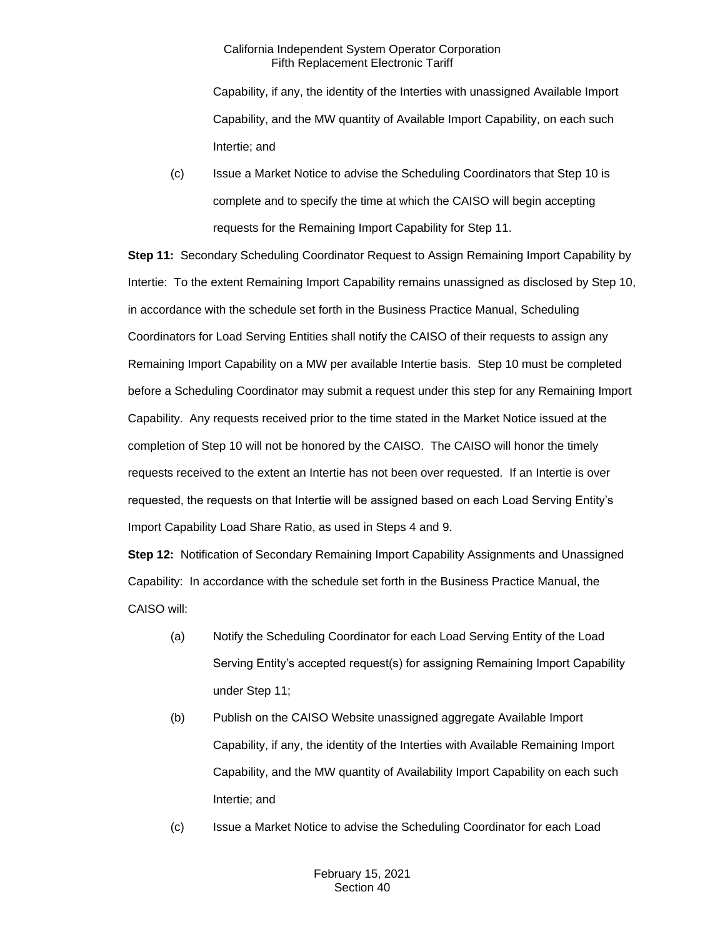Capability, if any, the identity of the Interties with unassigned Available Import Capability, and the MW quantity of Available Import Capability, on each such Intertie; and

(c) Issue a Market Notice to advise the Scheduling Coordinators that Step 10 is complete and to specify the time at which the CAISO will begin accepting requests for the Remaining Import Capability for Step 11.

**Step 11:** Secondary Scheduling Coordinator Request to Assign Remaining Import Capability by Intertie: To the extent Remaining Import Capability remains unassigned as disclosed by Step 10, in accordance with the schedule set forth in the Business Practice Manual, Scheduling Coordinators for Load Serving Entities shall notify the CAISO of their requests to assign any Remaining Import Capability on a MW per available Intertie basis. Step 10 must be completed before a Scheduling Coordinator may submit a request under this step for any Remaining Import Capability. Any requests received prior to the time stated in the Market Notice issued at the completion of Step 10 will not be honored by the CAISO. The CAISO will honor the timely requests received to the extent an Intertie has not been over requested. If an Intertie is over requested, the requests on that Intertie will be assigned based on each Load Serving Entity's Import Capability Load Share Ratio, as used in Steps 4 and 9.

**Step 12:** Notification of Secondary Remaining Import Capability Assignments and Unassigned Capability: In accordance with the schedule set forth in the Business Practice Manual, the CAISO will:

- (a) Notify the Scheduling Coordinator for each Load Serving Entity of the Load Serving Entity's accepted request(s) for assigning Remaining Import Capability under Step 11;
- (b) Publish on the CAISO Website unassigned aggregate Available Import Capability, if any, the identity of the Interties with Available Remaining Import Capability, and the MW quantity of Availability Import Capability on each such Intertie; and
- (c) Issue a Market Notice to advise the Scheduling Coordinator for each Load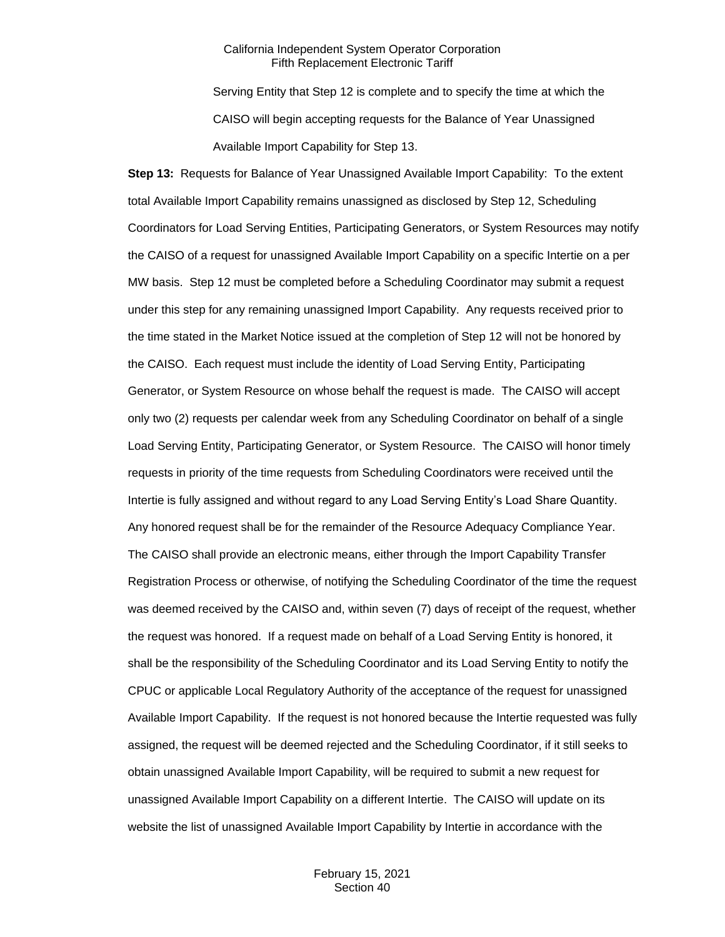Serving Entity that Step 12 is complete and to specify the time at which the CAISO will begin accepting requests for the Balance of Year Unassigned Available Import Capability for Step 13.

**Step 13:** Requests for Balance of Year Unassigned Available Import Capability: To the extent total Available Import Capability remains unassigned as disclosed by Step 12, Scheduling Coordinators for Load Serving Entities, Participating Generators, or System Resources may notify the CAISO of a request for unassigned Available Import Capability on a specific Intertie on a per MW basis. Step 12 must be completed before a Scheduling Coordinator may submit a request under this step for any remaining unassigned Import Capability. Any requests received prior to the time stated in the Market Notice issued at the completion of Step 12 will not be honored by the CAISO. Each request must include the identity of Load Serving Entity, Participating Generator, or System Resource on whose behalf the request is made. The CAISO will accept only two (2) requests per calendar week from any Scheduling Coordinator on behalf of a single Load Serving Entity, Participating Generator, or System Resource. The CAISO will honor timely requests in priority of the time requests from Scheduling Coordinators were received until the Intertie is fully assigned and without regard to any Load Serving Entity's Load Share Quantity. Any honored request shall be for the remainder of the Resource Adequacy Compliance Year. The CAISO shall provide an electronic means, either through the Import Capability Transfer Registration Process or otherwise, of notifying the Scheduling Coordinator of the time the request was deemed received by the CAISO and, within seven (7) days of receipt of the request, whether the request was honored. If a request made on behalf of a Load Serving Entity is honored, it shall be the responsibility of the Scheduling Coordinator and its Load Serving Entity to notify the CPUC or applicable Local Regulatory Authority of the acceptance of the request for unassigned Available Import Capability. If the request is not honored because the Intertie requested was fully assigned, the request will be deemed rejected and the Scheduling Coordinator, if it still seeks to obtain unassigned Available Import Capability, will be required to submit a new request for unassigned Available Import Capability on a different Intertie. The CAISO will update on its website the list of unassigned Available Import Capability by Intertie in accordance with the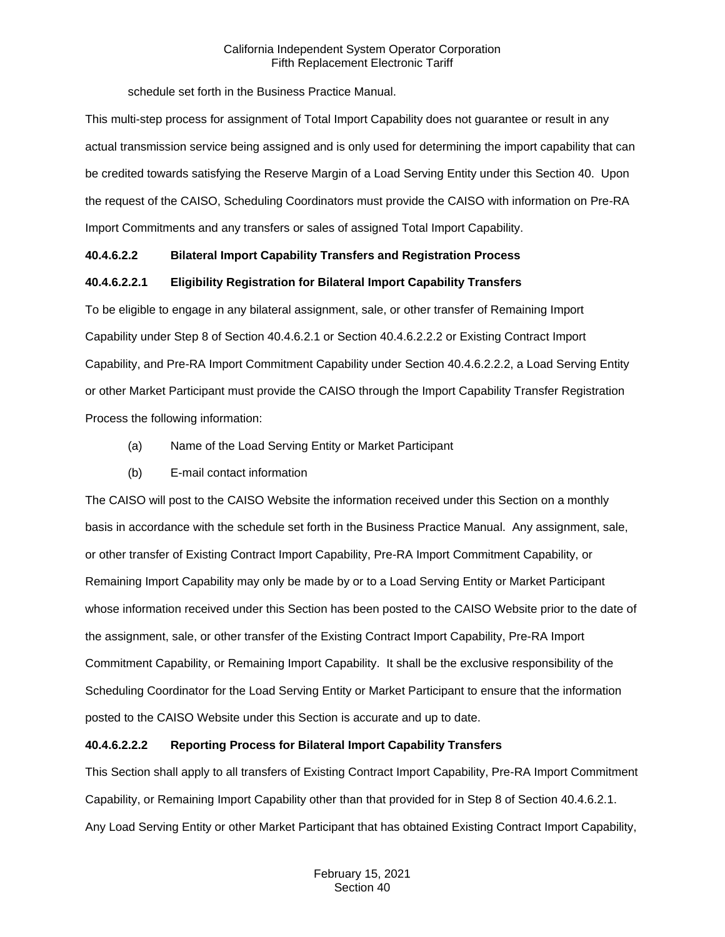schedule set forth in the Business Practice Manual.

This multi-step process for assignment of Total Import Capability does not guarantee or result in any actual transmission service being assigned and is only used for determining the import capability that can be credited towards satisfying the Reserve Margin of a Load Serving Entity under this Section 40. Upon the request of the CAISO, Scheduling Coordinators must provide the CAISO with information on Pre-RA Import Commitments and any transfers or sales of assigned Total Import Capability.

## **40.4.6.2.2 Bilateral Import Capability Transfers and Registration Process**

## **40.4.6.2.2.1 Eligibility Registration for Bilateral Import Capability Transfers**

To be eligible to engage in any bilateral assignment, sale, or other transfer of Remaining Import Capability under Step 8 of Section 40.4.6.2.1 or Section 40.4.6.2.2.2 or Existing Contract Import Capability, and Pre-RA Import Commitment Capability under Section 40.4.6.2.2.2, a Load Serving Entity or other Market Participant must provide the CAISO through the Import Capability Transfer Registration Process the following information:

- (a) Name of the Load Serving Entity or Market Participant
- (b) E-mail contact information

The CAISO will post to the CAISO Website the information received under this Section on a monthly basis in accordance with the schedule set forth in the Business Practice Manual. Any assignment, sale, or other transfer of Existing Contract Import Capability, Pre-RA Import Commitment Capability, or Remaining Import Capability may only be made by or to a Load Serving Entity or Market Participant whose information received under this Section has been posted to the CAISO Website prior to the date of the assignment, sale, or other transfer of the Existing Contract Import Capability, Pre-RA Import Commitment Capability, or Remaining Import Capability. It shall be the exclusive responsibility of the Scheduling Coordinator for the Load Serving Entity or Market Participant to ensure that the information posted to the CAISO Website under this Section is accurate and up to date.

## **40.4.6.2.2.2 Reporting Process for Bilateral Import Capability Transfers**

This Section shall apply to all transfers of Existing Contract Import Capability, Pre-RA Import Commitment Capability, or Remaining Import Capability other than that provided for in Step 8 of Section 40.4.6.2.1. Any Load Serving Entity or other Market Participant that has obtained Existing Contract Import Capability,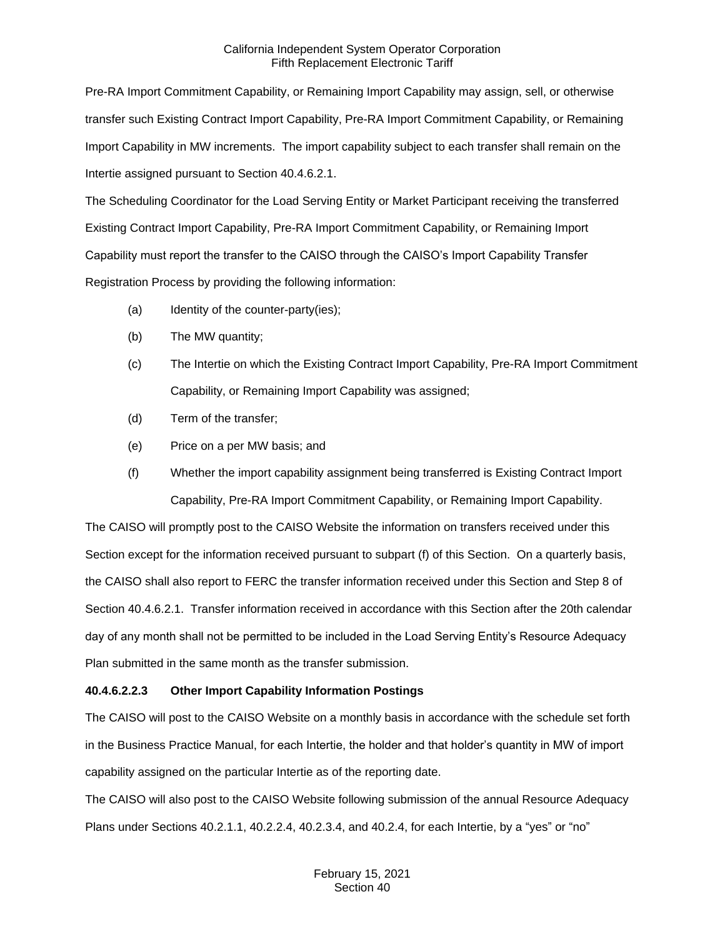Pre-RA Import Commitment Capability, or Remaining Import Capability may assign, sell, or otherwise transfer such Existing Contract Import Capability, Pre-RA Import Commitment Capability, or Remaining Import Capability in MW increments. The import capability subject to each transfer shall remain on the Intertie assigned pursuant to Section 40.4.6.2.1.

The Scheduling Coordinator for the Load Serving Entity or Market Participant receiving the transferred Existing Contract Import Capability, Pre-RA Import Commitment Capability, or Remaining Import Capability must report the transfer to the CAISO through the CAISO's Import Capability Transfer Registration Process by providing the following information:

- (a) Identity of the counter-party(ies);
- (b) The MW quantity;
- (c) The Intertie on which the Existing Contract Import Capability, Pre-RA Import Commitment Capability, or Remaining Import Capability was assigned;
- (d) Term of the transfer;
- (e) Price on a per MW basis; and
- (f) Whether the import capability assignment being transferred is Existing Contract Import Capability, Pre-RA Import Commitment Capability, or Remaining Import Capability.

The CAISO will promptly post to the CAISO Website the information on transfers received under this Section except for the information received pursuant to subpart (f) of this Section. On a quarterly basis, the CAISO shall also report to FERC the transfer information received under this Section and Step 8 of Section 40.4.6.2.1. Transfer information received in accordance with this Section after the 20th calendar day of any month shall not be permitted to be included in the Load Serving Entity's Resource Adequacy Plan submitted in the same month as the transfer submission.

## **40.4.6.2.2.3 Other Import Capability Information Postings**

The CAISO will post to the CAISO Website on a monthly basis in accordance with the schedule set forth in the Business Practice Manual, for each Intertie, the holder and that holder's quantity in MW of import capability assigned on the particular Intertie as of the reporting date.

The CAISO will also post to the CAISO Website following submission of the annual Resource Adequacy Plans under Sections 40.2.1.1, 40.2.2.4, 40.2.3.4, and 40.2.4, for each Intertie, by a "yes" or "no"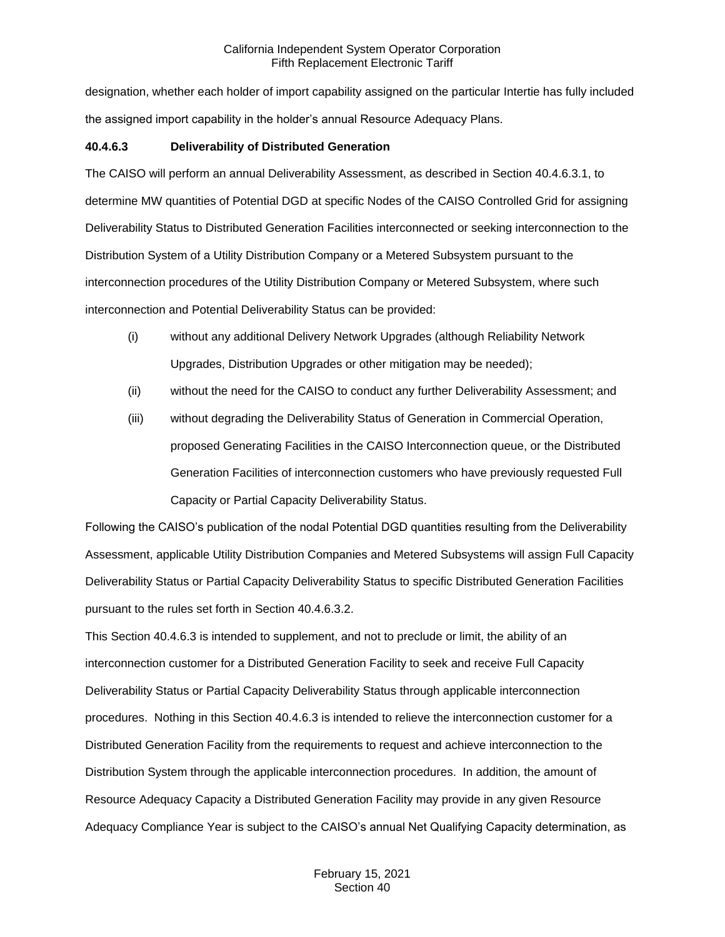designation, whether each holder of import capability assigned on the particular Intertie has fully included the assigned import capability in the holder's annual Resource Adequacy Plans.

## **40.4.6.3 Deliverability of Distributed Generation**

The CAISO will perform an annual Deliverability Assessment, as described in Section 40.4.6.3.1, to determine MW quantities of Potential DGD at specific Nodes of the CAISO Controlled Grid for assigning Deliverability Status to Distributed Generation Facilities interconnected or seeking interconnection to the Distribution System of a Utility Distribution Company or a Metered Subsystem pursuant to the interconnection procedures of the Utility Distribution Company or Metered Subsystem, where such interconnection and Potential Deliverability Status can be provided:

- (i) without any additional Delivery Network Upgrades (although Reliability Network Upgrades, Distribution Upgrades or other mitigation may be needed);
- (ii) without the need for the CAISO to conduct any further Deliverability Assessment; and
- (iii) without degrading the Deliverability Status of Generation in Commercial Operation, proposed Generating Facilities in the CAISO Interconnection queue, or the Distributed Generation Facilities of interconnection customers who have previously requested Full Capacity or Partial Capacity Deliverability Status.

Following the CAISO's publication of the nodal Potential DGD quantities resulting from the Deliverability Assessment, applicable Utility Distribution Companies and Metered Subsystems will assign Full Capacity Deliverability Status or Partial Capacity Deliverability Status to specific Distributed Generation Facilities pursuant to the rules set forth in Section 40.4.6.3.2.

This Section 40.4.6.3 is intended to supplement, and not to preclude or limit, the ability of an interconnection customer for a Distributed Generation Facility to seek and receive Full Capacity Deliverability Status or Partial Capacity Deliverability Status through applicable interconnection procedures. Nothing in this Section 40.4.6.3 is intended to relieve the interconnection customer for a Distributed Generation Facility from the requirements to request and achieve interconnection to the Distribution System through the applicable interconnection procedures. In addition, the amount of Resource Adequacy Capacity a Distributed Generation Facility may provide in any given Resource Adequacy Compliance Year is subject to the CAISO's annual Net Qualifying Capacity determination, as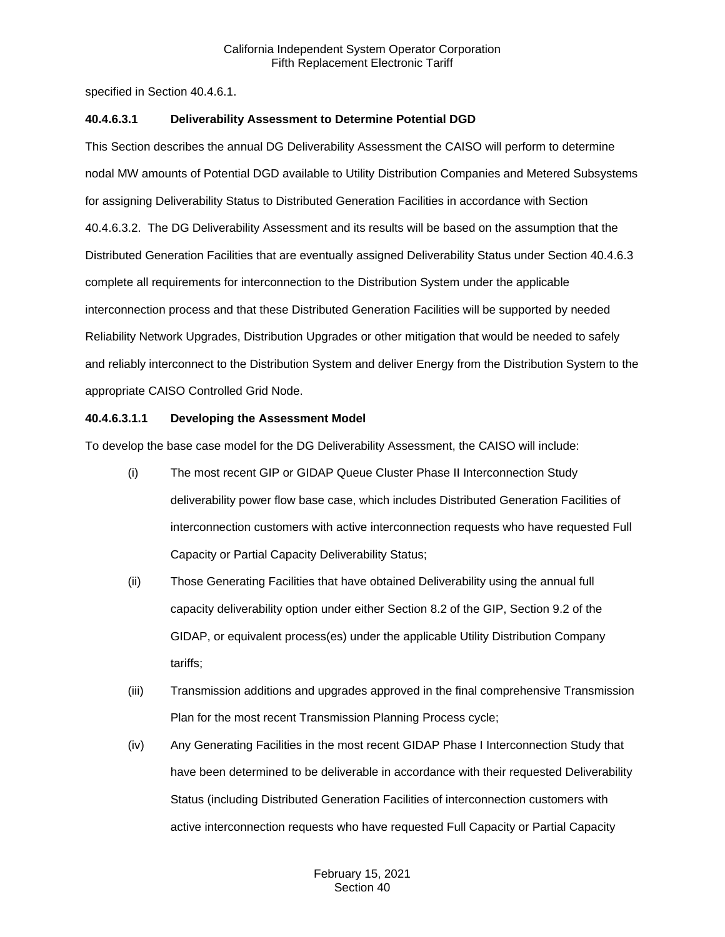specified in Section 40.4.6.1.

## **40.4.6.3.1 Deliverability Assessment to Determine Potential DGD**

This Section describes the annual DG Deliverability Assessment the CAISO will perform to determine nodal MW amounts of Potential DGD available to Utility Distribution Companies and Metered Subsystems for assigning Deliverability Status to Distributed Generation Facilities in accordance with Section 40.4.6.3.2. The DG Deliverability Assessment and its results will be based on the assumption that the Distributed Generation Facilities that are eventually assigned Deliverability Status under Section 40.4.6.3 complete all requirements for interconnection to the Distribution System under the applicable interconnection process and that these Distributed Generation Facilities will be supported by needed Reliability Network Upgrades, Distribution Upgrades or other mitigation that would be needed to safely and reliably interconnect to the Distribution System and deliver Energy from the Distribution System to the appropriate CAISO Controlled Grid Node.

## **40.4.6.3.1.1 Developing the Assessment Model**

To develop the base case model for the DG Deliverability Assessment, the CAISO will include:

- (i) The most recent GIP or GIDAP Queue Cluster Phase II Interconnection Study deliverability power flow base case, which includes Distributed Generation Facilities of interconnection customers with active interconnection requests who have requested Full Capacity or Partial Capacity Deliverability Status;
- (ii) Those Generating Facilities that have obtained Deliverability using the annual full capacity deliverability option under either Section 8.2 of the GIP, Section 9.2 of the GIDAP, or equivalent process(es) under the applicable Utility Distribution Company tariffs;
- (iii) Transmission additions and upgrades approved in the final comprehensive Transmission Plan for the most recent Transmission Planning Process cycle;
- (iv) Any Generating Facilities in the most recent GIDAP Phase I Interconnection Study that have been determined to be deliverable in accordance with their requested Deliverability Status (including Distributed Generation Facilities of interconnection customers with active interconnection requests who have requested Full Capacity or Partial Capacity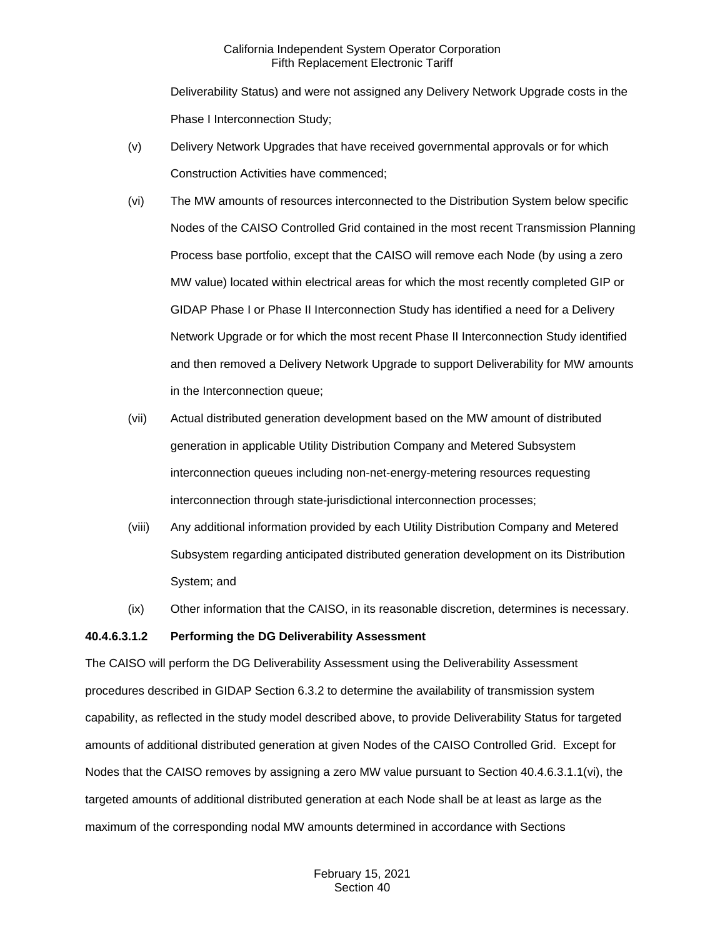Deliverability Status) and were not assigned any Delivery Network Upgrade costs in the Phase I Interconnection Study;

- (v) Delivery Network Upgrades that have received governmental approvals or for which Construction Activities have commenced;
- (vi) The MW amounts of resources interconnected to the Distribution System below specific Nodes of the CAISO Controlled Grid contained in the most recent Transmission Planning Process base portfolio, except that the CAISO will remove each Node (by using a zero MW value) located within electrical areas for which the most recently completed GIP or GIDAP Phase I or Phase II Interconnection Study has identified a need for a Delivery Network Upgrade or for which the most recent Phase II Interconnection Study identified and then removed a Delivery Network Upgrade to support Deliverability for MW amounts in the Interconnection queue;
- (vii) Actual distributed generation development based on the MW amount of distributed generation in applicable Utility Distribution Company and Metered Subsystem interconnection queues including non-net-energy-metering resources requesting interconnection through state-jurisdictional interconnection processes;
- (viii) Any additional information provided by each Utility Distribution Company and Metered Subsystem regarding anticipated distributed generation development on its Distribution System; and
- (ix) Other information that the CAISO, in its reasonable discretion, determines is necessary.

## **40.4.6.3.1.2 Performing the DG Deliverability Assessment**

The CAISO will perform the DG Deliverability Assessment using the Deliverability Assessment procedures described in GIDAP Section 6.3.2 to determine the availability of transmission system capability, as reflected in the study model described above, to provide Deliverability Status for targeted amounts of additional distributed generation at given Nodes of the CAISO Controlled Grid. Except for Nodes that the CAISO removes by assigning a zero MW value pursuant to Section 40.4.6.3.1.1(vi), the targeted amounts of additional distributed generation at each Node shall be at least as large as the maximum of the corresponding nodal MW amounts determined in accordance with Sections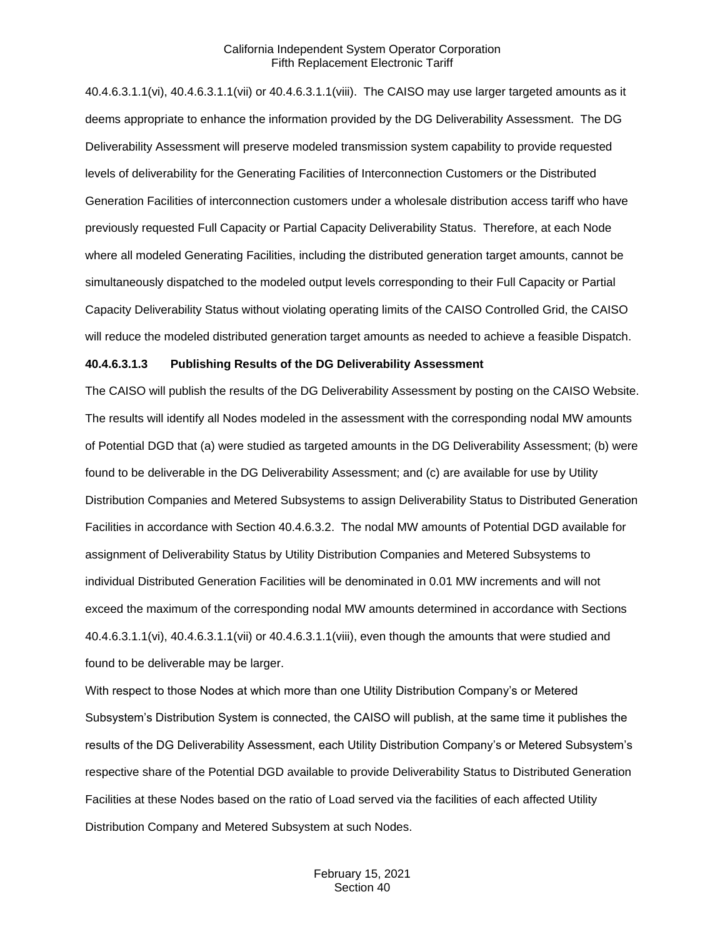40.4.6.3.1.1(vi), 40.4.6.3.1.1(vii) or 40.4.6.3.1.1(viii). The CAISO may use larger targeted amounts as it deems appropriate to enhance the information provided by the DG Deliverability Assessment. The DG Deliverability Assessment will preserve modeled transmission system capability to provide requested levels of deliverability for the Generating Facilities of Interconnection Customers or the Distributed Generation Facilities of interconnection customers under a wholesale distribution access tariff who have previously requested Full Capacity or Partial Capacity Deliverability Status. Therefore, at each Node where all modeled Generating Facilities, including the distributed generation target amounts, cannot be simultaneously dispatched to the modeled output levels corresponding to their Full Capacity or Partial Capacity Deliverability Status without violating operating limits of the CAISO Controlled Grid, the CAISO will reduce the modeled distributed generation target amounts as needed to achieve a feasible Dispatch.

## **40.4.6.3.1.3 Publishing Results of the DG Deliverability Assessment**

The CAISO will publish the results of the DG Deliverability Assessment by posting on the CAISO Website. The results will identify all Nodes modeled in the assessment with the corresponding nodal MW amounts of Potential DGD that (a) were studied as targeted amounts in the DG Deliverability Assessment; (b) were found to be deliverable in the DG Deliverability Assessment; and (c) are available for use by Utility Distribution Companies and Metered Subsystems to assign Deliverability Status to Distributed Generation Facilities in accordance with Section 40.4.6.3.2. The nodal MW amounts of Potential DGD available for assignment of Deliverability Status by Utility Distribution Companies and Metered Subsystems to individual Distributed Generation Facilities will be denominated in 0.01 MW increments and will not exceed the maximum of the corresponding nodal MW amounts determined in accordance with Sections 40.4.6.3.1.1(vi), 40.4.6.3.1.1(vii) or 40.4.6.3.1.1(viii), even though the amounts that were studied and found to be deliverable may be larger.

With respect to those Nodes at which more than one Utility Distribution Company's or Metered Subsystem's Distribution System is connected, the CAISO will publish, at the same time it publishes the results of the DG Deliverability Assessment, each Utility Distribution Company's or Metered Subsystem's respective share of the Potential DGD available to provide Deliverability Status to Distributed Generation Facilities at these Nodes based on the ratio of Load served via the facilities of each affected Utility Distribution Company and Metered Subsystem at such Nodes.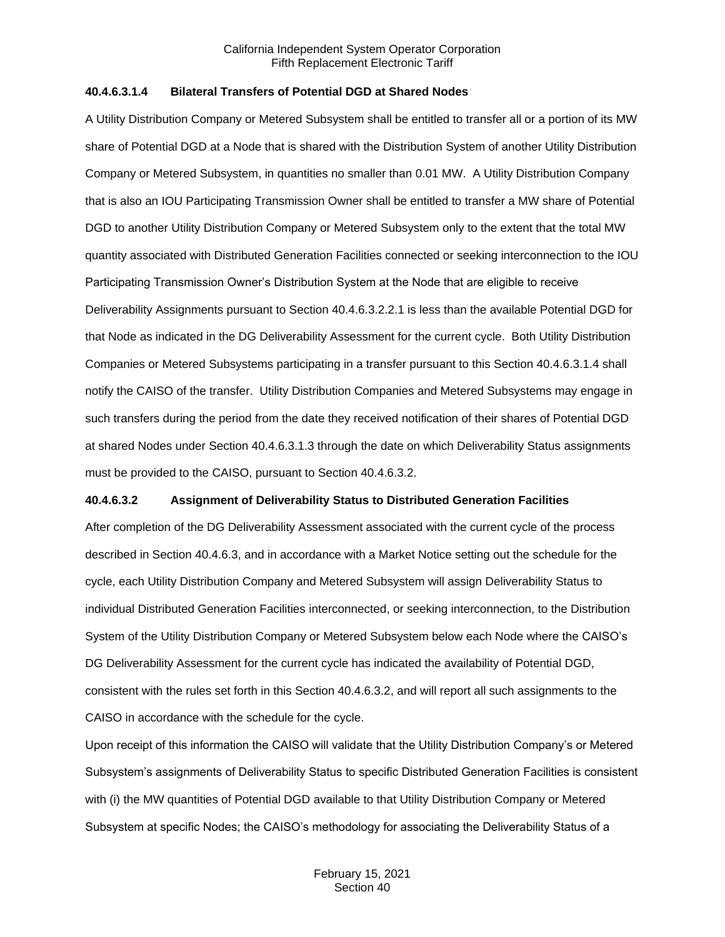## **40.4.6.3.1.4 Bilateral Transfers of Potential DGD at Shared Nodes**

A Utility Distribution Company or Metered Subsystem shall be entitled to transfer all or a portion of its MW share of Potential DGD at a Node that is shared with the Distribution System of another Utility Distribution Company or Metered Subsystem, in quantities no smaller than 0.01 MW. A Utility Distribution Company that is also an IOU Participating Transmission Owner shall be entitled to transfer a MW share of Potential DGD to another Utility Distribution Company or Metered Subsystem only to the extent that the total MW quantity associated with Distributed Generation Facilities connected or seeking interconnection to the IOU Participating Transmission Owner's Distribution System at the Node that are eligible to receive Deliverability Assignments pursuant to Section 40.4.6.3.2.2.1 is less than the available Potential DGD for that Node as indicated in the DG Deliverability Assessment for the current cycle. Both Utility Distribution Companies or Metered Subsystems participating in a transfer pursuant to this Section 40.4.6.3.1.4 shall notify the CAISO of the transfer. Utility Distribution Companies and Metered Subsystems may engage in such transfers during the period from the date they received notification of their shares of Potential DGD at shared Nodes under Section 40.4.6.3.1.3 through the date on which Deliverability Status assignments must be provided to the CAISO, pursuant to Section 40.4.6.3.2.

#### **40.4.6.3.2 Assignment of Deliverability Status to Distributed Generation Facilities**

After completion of the DG Deliverability Assessment associated with the current cycle of the process described in Section 40.4.6.3, and in accordance with a Market Notice setting out the schedule for the cycle, each Utility Distribution Company and Metered Subsystem will assign Deliverability Status to individual Distributed Generation Facilities interconnected, or seeking interconnection, to the Distribution System of the Utility Distribution Company or Metered Subsystem below each Node where the CAISO's DG Deliverability Assessment for the current cycle has indicated the availability of Potential DGD, consistent with the rules set forth in this Section 40.4.6.3.2, and will report all such assignments to the CAISO in accordance with the schedule for the cycle.

Upon receipt of this information the CAISO will validate that the Utility Distribution Company's or Metered Subsystem's assignments of Deliverability Status to specific Distributed Generation Facilities is consistent with (i) the MW quantities of Potential DGD available to that Utility Distribution Company or Metered Subsystem at specific Nodes; the CAISO's methodology for associating the Deliverability Status of a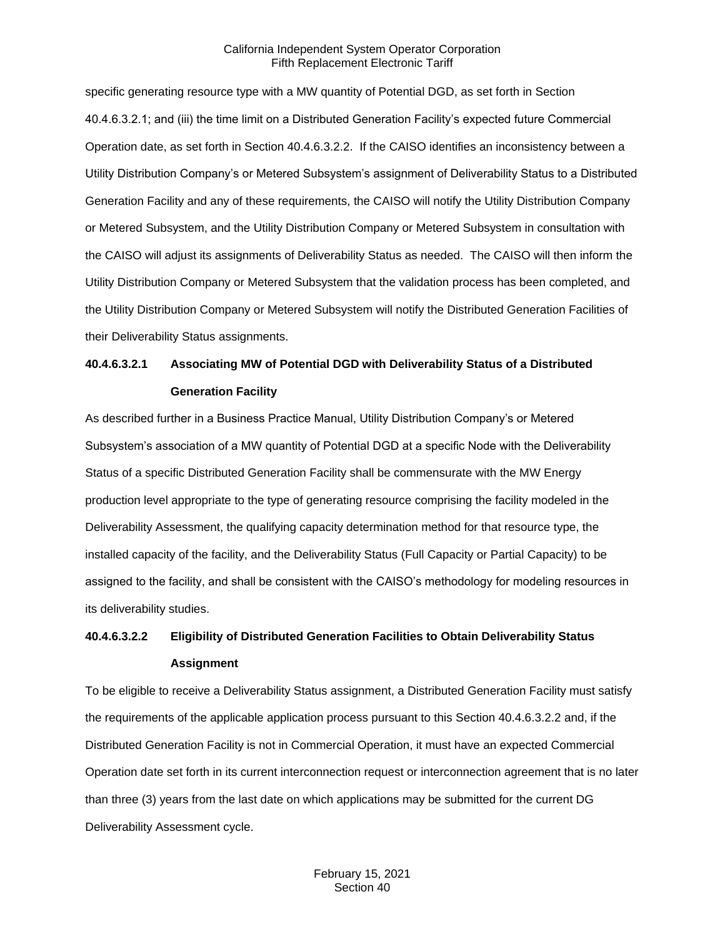specific generating resource type with a MW quantity of Potential DGD, as set forth in Section 40.4.6.3.2.1; and (iii) the time limit on a Distributed Generation Facility's expected future Commercial Operation date, as set forth in Section 40.4.6.3.2.2. If the CAISO identifies an inconsistency between a Utility Distribution Company's or Metered Subsystem's assignment of Deliverability Status to a Distributed Generation Facility and any of these requirements, the CAISO will notify the Utility Distribution Company or Metered Subsystem, and the Utility Distribution Company or Metered Subsystem in consultation with the CAISO will adjust its assignments of Deliverability Status as needed. The CAISO will then inform the Utility Distribution Company or Metered Subsystem that the validation process has been completed, and the Utility Distribution Company or Metered Subsystem will notify the Distributed Generation Facilities of their Deliverability Status assignments.

# **40.4.6.3.2.1 Associating MW of Potential DGD with Deliverability Status of a Distributed Generation Facility**

As described further in a Business Practice Manual, Utility Distribution Company's or Metered Subsystem's association of a MW quantity of Potential DGD at a specific Node with the Deliverability Status of a specific Distributed Generation Facility shall be commensurate with the MW Energy production level appropriate to the type of generating resource comprising the facility modeled in the Deliverability Assessment, the qualifying capacity determination method for that resource type, the installed capacity of the facility, and the Deliverability Status (Full Capacity or Partial Capacity) to be assigned to the facility, and shall be consistent with the CAISO's methodology for modeling resources in its deliverability studies.

## **40.4.6.3.2.2 Eligibility of Distributed Generation Facilities to Obtain Deliverability Status Assignment**

To be eligible to receive a Deliverability Status assignment, a Distributed Generation Facility must satisfy the requirements of the applicable application process pursuant to this Section 40.4.6.3.2.2 and, if the Distributed Generation Facility is not in Commercial Operation, it must have an expected Commercial Operation date set forth in its current interconnection request or interconnection agreement that is no later than three (3) years from the last date on which applications may be submitted for the current DG Deliverability Assessment cycle.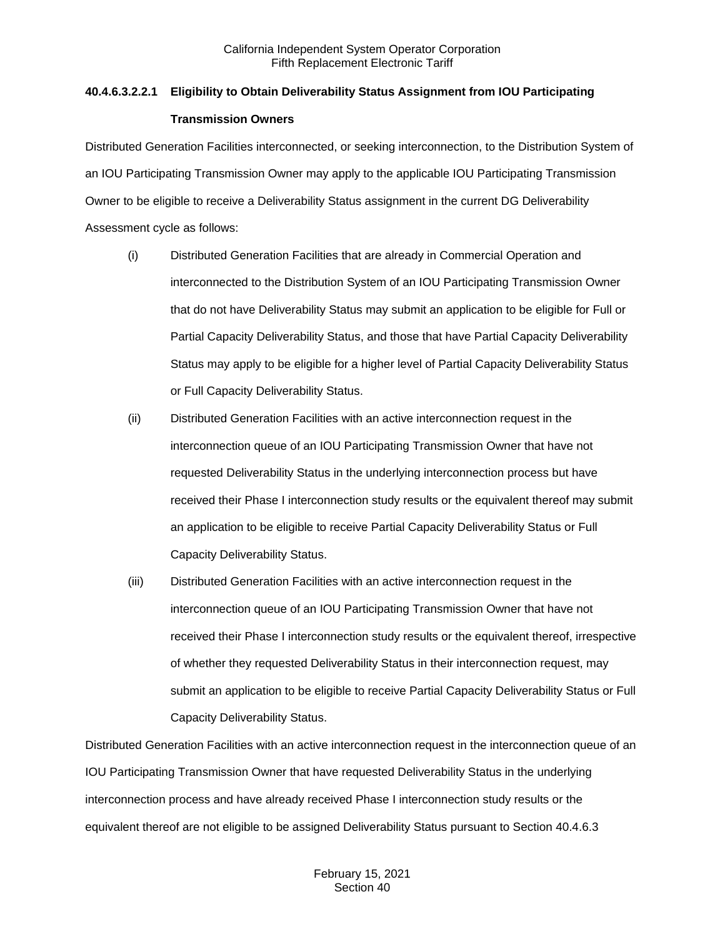## **40.4.6.3.2.2.1 Eligibility to Obtain Deliverability Status Assignment from IOU Participating Transmission Owners**

Distributed Generation Facilities interconnected, or seeking interconnection, to the Distribution System of an IOU Participating Transmission Owner may apply to the applicable IOU Participating Transmission Owner to be eligible to receive a Deliverability Status assignment in the current DG Deliverability Assessment cycle as follows:

- (i) Distributed Generation Facilities that are already in Commercial Operation and interconnected to the Distribution System of an IOU Participating Transmission Owner that do not have Deliverability Status may submit an application to be eligible for Full or Partial Capacity Deliverability Status, and those that have Partial Capacity Deliverability Status may apply to be eligible for a higher level of Partial Capacity Deliverability Status or Full Capacity Deliverability Status.
- (ii) Distributed Generation Facilities with an active interconnection request in the interconnection queue of an IOU Participating Transmission Owner that have not requested Deliverability Status in the underlying interconnection process but have received their Phase I interconnection study results or the equivalent thereof may submit an application to be eligible to receive Partial Capacity Deliverability Status or Full Capacity Deliverability Status.
- (iii) Distributed Generation Facilities with an active interconnection request in the interconnection queue of an IOU Participating Transmission Owner that have not received their Phase I interconnection study results or the equivalent thereof, irrespective of whether they requested Deliverability Status in their interconnection request, may submit an application to be eligible to receive Partial Capacity Deliverability Status or Full Capacity Deliverability Status.

Distributed Generation Facilities with an active interconnection request in the interconnection queue of an IOU Participating Transmission Owner that have requested Deliverability Status in the underlying interconnection process and have already received Phase I interconnection study results or the equivalent thereof are not eligible to be assigned Deliverability Status pursuant to Section 40.4.6.3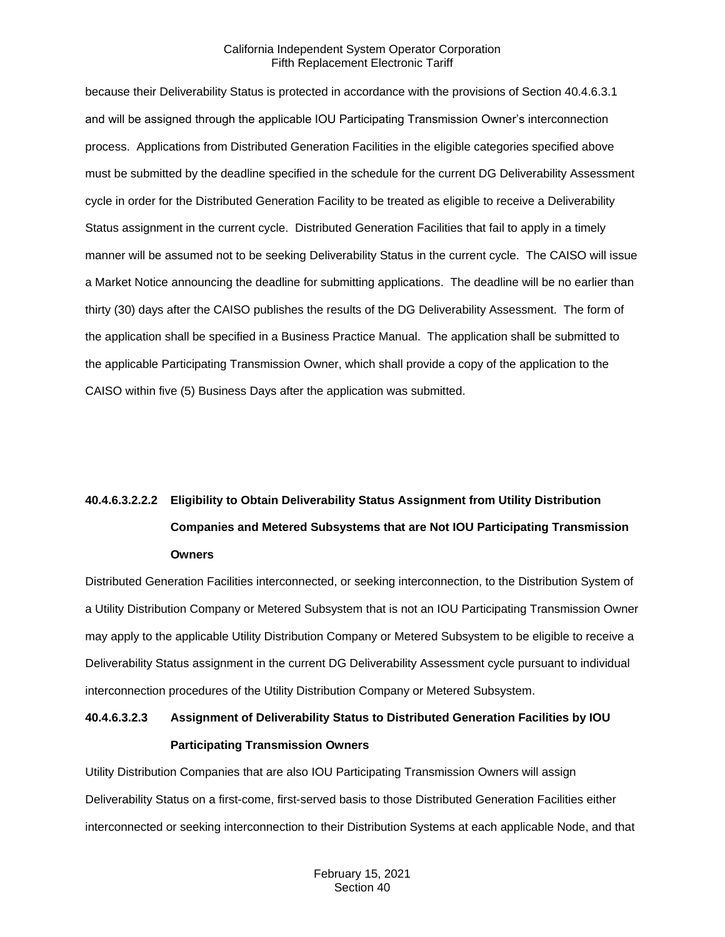because their Deliverability Status is protected in accordance with the provisions of Section 40.4.6.3.1 and will be assigned through the applicable IOU Participating Transmission Owner's interconnection process. Applications from Distributed Generation Facilities in the eligible categories specified above must be submitted by the deadline specified in the schedule for the current DG Deliverability Assessment cycle in order for the Distributed Generation Facility to be treated as eligible to receive a Deliverability Status assignment in the current cycle. Distributed Generation Facilities that fail to apply in a timely manner will be assumed not to be seeking Deliverability Status in the current cycle. The CAISO will issue a Market Notice announcing the deadline for submitting applications. The deadline will be no earlier than thirty (30) days after the CAISO publishes the results of the DG Deliverability Assessment. The form of the application shall be specified in a Business Practice Manual. The application shall be submitted to the applicable Participating Transmission Owner, which shall provide a copy of the application to the CAISO within five (5) Business Days after the application was submitted.

# **40.4.6.3.2.2.2 Eligibility to Obtain Deliverability Status Assignment from Utility Distribution Companies and Metered Subsystems that are Not IOU Participating Transmission Owners**

Distributed Generation Facilities interconnected, or seeking interconnection, to the Distribution System of a Utility Distribution Company or Metered Subsystem that is not an IOU Participating Transmission Owner may apply to the applicable Utility Distribution Company or Metered Subsystem to be eligible to receive a Deliverability Status assignment in the current DG Deliverability Assessment cycle pursuant to individual interconnection procedures of the Utility Distribution Company or Metered Subsystem.

## **40.4.6.3.2.3 Assignment of Deliverability Status to Distributed Generation Facilities by IOU Participating Transmission Owners**

Utility Distribution Companies that are also IOU Participating Transmission Owners will assign Deliverability Status on a first-come, first-served basis to those Distributed Generation Facilities either interconnected or seeking interconnection to their Distribution Systems at each applicable Node, and that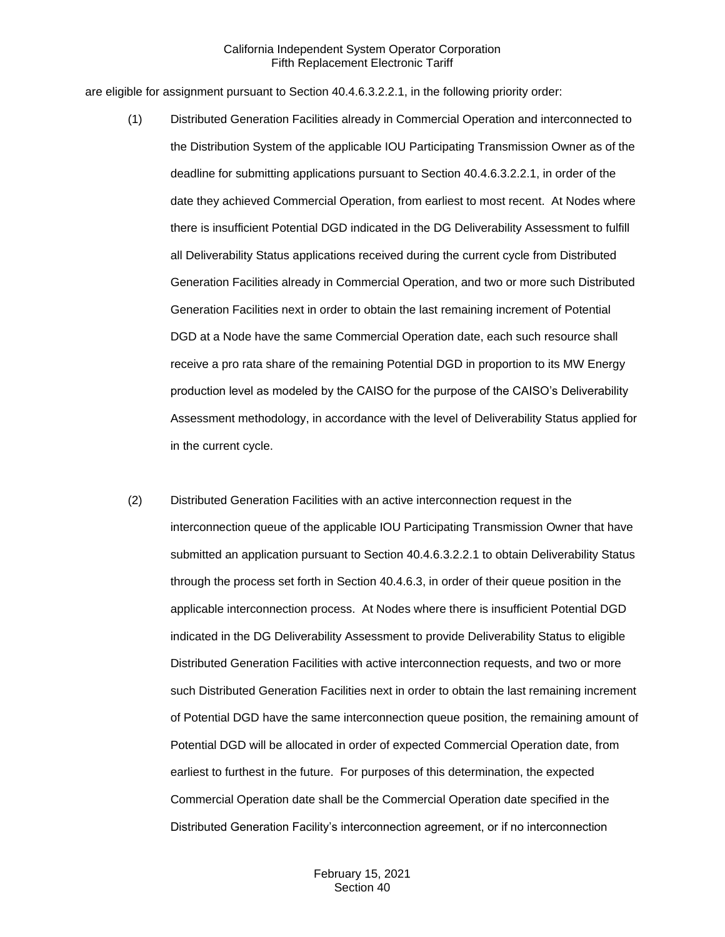are eligible for assignment pursuant to Section 40.4.6.3.2.2.1, in the following priority order:

- (1) Distributed Generation Facilities already in Commercial Operation and interconnected to the Distribution System of the applicable IOU Participating Transmission Owner as of the deadline for submitting applications pursuant to Section 40.4.6.3.2.2.1, in order of the date they achieved Commercial Operation, from earliest to most recent. At Nodes where there is insufficient Potential DGD indicated in the DG Deliverability Assessment to fulfill all Deliverability Status applications received during the current cycle from Distributed Generation Facilities already in Commercial Operation, and two or more such Distributed Generation Facilities next in order to obtain the last remaining increment of Potential DGD at a Node have the same Commercial Operation date, each such resource shall receive a pro rata share of the remaining Potential DGD in proportion to its MW Energy production level as modeled by the CAISO for the purpose of the CAISO's Deliverability Assessment methodology, in accordance with the level of Deliverability Status applied for in the current cycle.
- (2) Distributed Generation Facilities with an active interconnection request in the interconnection queue of the applicable IOU Participating Transmission Owner that have submitted an application pursuant to Section 40.4.6.3.2.2.1 to obtain Deliverability Status through the process set forth in Section 40.4.6.3, in order of their queue position in the applicable interconnection process. At Nodes where there is insufficient Potential DGD indicated in the DG Deliverability Assessment to provide Deliverability Status to eligible Distributed Generation Facilities with active interconnection requests, and two or more such Distributed Generation Facilities next in order to obtain the last remaining increment of Potential DGD have the same interconnection queue position, the remaining amount of Potential DGD will be allocated in order of expected Commercial Operation date, from earliest to furthest in the future. For purposes of this determination, the expected Commercial Operation date shall be the Commercial Operation date specified in the Distributed Generation Facility's interconnection agreement, or if no interconnection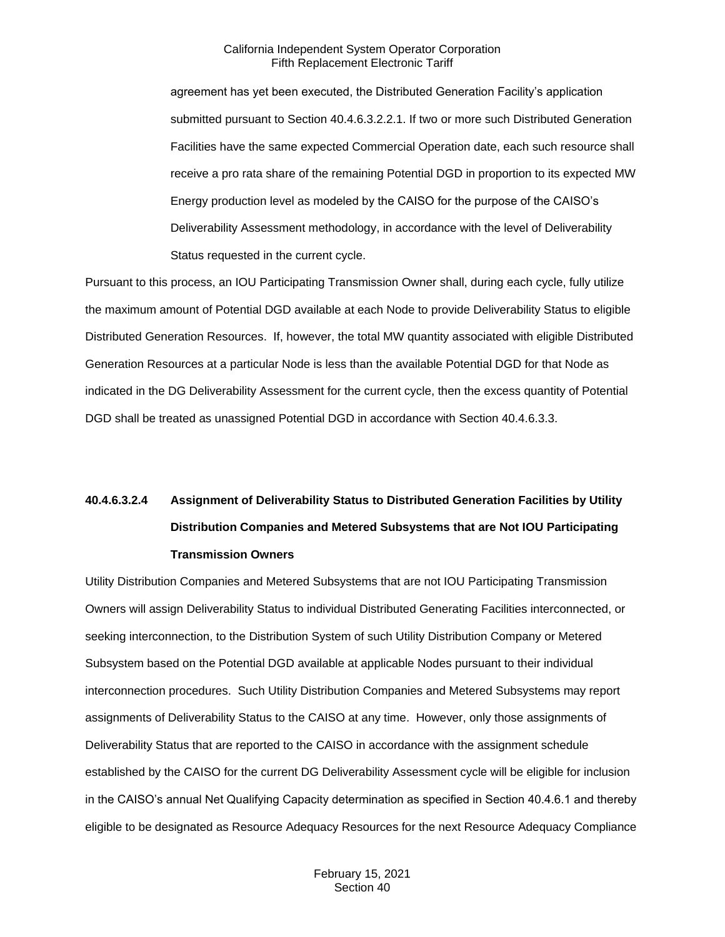agreement has yet been executed, the Distributed Generation Facility's application submitted pursuant to Section 40.4.6.3.2.2.1. If two or more such Distributed Generation Facilities have the same expected Commercial Operation date, each such resource shall receive a pro rata share of the remaining Potential DGD in proportion to its expected MW Energy production level as modeled by the CAISO for the purpose of the CAISO's Deliverability Assessment methodology, in accordance with the level of Deliverability Status requested in the current cycle.

Pursuant to this process, an IOU Participating Transmission Owner shall, during each cycle, fully utilize the maximum amount of Potential DGD available at each Node to provide Deliverability Status to eligible Distributed Generation Resources. If, however, the total MW quantity associated with eligible Distributed Generation Resources at a particular Node is less than the available Potential DGD for that Node as indicated in the DG Deliverability Assessment for the current cycle, then the excess quantity of Potential DGD shall be treated as unassigned Potential DGD in accordance with Section 40.4.6.3.3.

# **40.4.6.3.2.4 Assignment of Deliverability Status to Distributed Generation Facilities by Utility Distribution Companies and Metered Subsystems that are Not IOU Participating Transmission Owners**

Utility Distribution Companies and Metered Subsystems that are not IOU Participating Transmission Owners will assign Deliverability Status to individual Distributed Generating Facilities interconnected, or seeking interconnection, to the Distribution System of such Utility Distribution Company or Metered Subsystem based on the Potential DGD available at applicable Nodes pursuant to their individual interconnection procedures. Such Utility Distribution Companies and Metered Subsystems may report assignments of Deliverability Status to the CAISO at any time. However, only those assignments of Deliverability Status that are reported to the CAISO in accordance with the assignment schedule established by the CAISO for the current DG Deliverability Assessment cycle will be eligible for inclusion in the CAISO's annual Net Qualifying Capacity determination as specified in Section 40.4.6.1 and thereby eligible to be designated as Resource Adequacy Resources for the next Resource Adequacy Compliance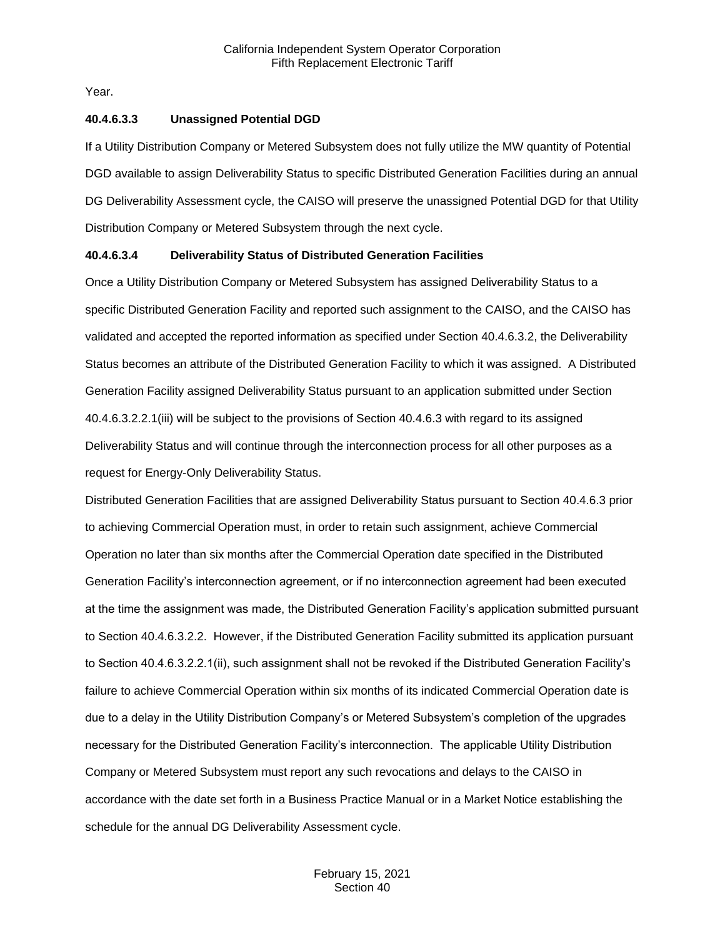Year.

#### **40.4.6.3.3 Unassigned Potential DGD**

If a Utility Distribution Company or Metered Subsystem does not fully utilize the MW quantity of Potential DGD available to assign Deliverability Status to specific Distributed Generation Facilities during an annual DG Deliverability Assessment cycle, the CAISO will preserve the unassigned Potential DGD for that Utility Distribution Company or Metered Subsystem through the next cycle.

## **40.4.6.3.4 Deliverability Status of Distributed Generation Facilities**

Once a Utility Distribution Company or Metered Subsystem has assigned Deliverability Status to a specific Distributed Generation Facility and reported such assignment to the CAISO, and the CAISO has validated and accepted the reported information as specified under Section 40.4.6.3.2, the Deliverability Status becomes an attribute of the Distributed Generation Facility to which it was assigned. A Distributed Generation Facility assigned Deliverability Status pursuant to an application submitted under Section 40.4.6.3.2.2.1(iii) will be subject to the provisions of Section 40.4.6.3 with regard to its assigned Deliverability Status and will continue through the interconnection process for all other purposes as a request for Energy-Only Deliverability Status.

Distributed Generation Facilities that are assigned Deliverability Status pursuant to Section 40.4.6.3 prior to achieving Commercial Operation must, in order to retain such assignment, achieve Commercial Operation no later than six months after the Commercial Operation date specified in the Distributed Generation Facility's interconnection agreement, or if no interconnection agreement had been executed at the time the assignment was made, the Distributed Generation Facility's application submitted pursuant to Section 40.4.6.3.2.2. However, if the Distributed Generation Facility submitted its application pursuant to Section 40.4.6.3.2.2.1(ii), such assignment shall not be revoked if the Distributed Generation Facility's failure to achieve Commercial Operation within six months of its indicated Commercial Operation date is due to a delay in the Utility Distribution Company's or Metered Subsystem's completion of the upgrades necessary for the Distributed Generation Facility's interconnection. The applicable Utility Distribution Company or Metered Subsystem must report any such revocations and delays to the CAISO in accordance with the date set forth in a Business Practice Manual or in a Market Notice establishing the schedule for the annual DG Deliverability Assessment cycle.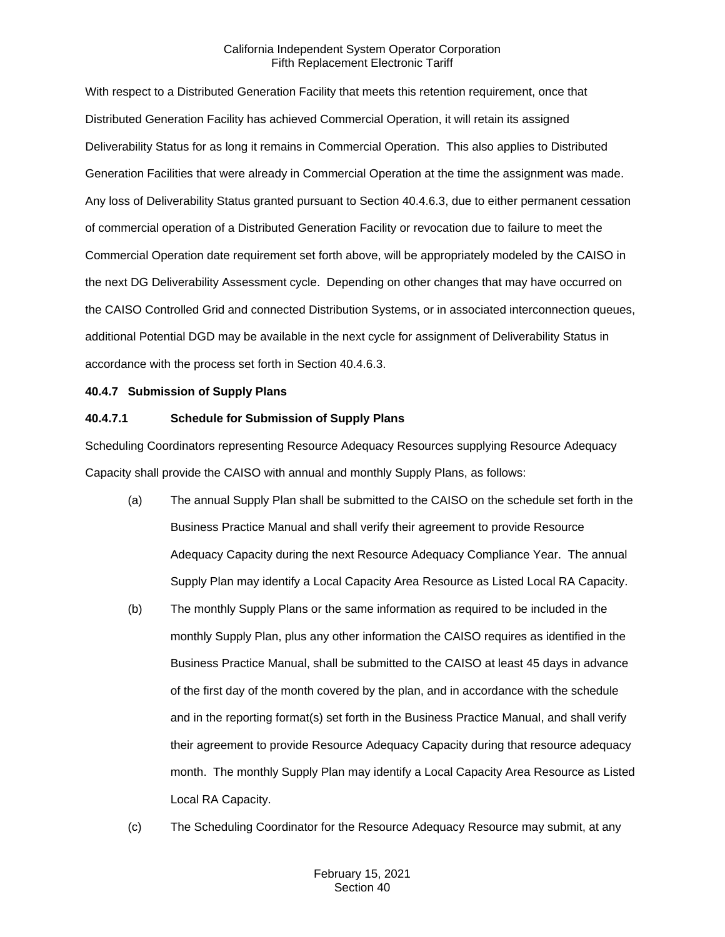With respect to a Distributed Generation Facility that meets this retention requirement, once that Distributed Generation Facility has achieved Commercial Operation, it will retain its assigned Deliverability Status for as long it remains in Commercial Operation. This also applies to Distributed Generation Facilities that were already in Commercial Operation at the time the assignment was made. Any loss of Deliverability Status granted pursuant to Section 40.4.6.3, due to either permanent cessation of commercial operation of a Distributed Generation Facility or revocation due to failure to meet the Commercial Operation date requirement set forth above, will be appropriately modeled by the CAISO in the next DG Deliverability Assessment cycle. Depending on other changes that may have occurred on the CAISO Controlled Grid and connected Distribution Systems, or in associated interconnection queues, additional Potential DGD may be available in the next cycle for assignment of Deliverability Status in accordance with the process set forth in Section 40.4.6.3.

## <span id="page-32-0"></span>**40.4.7 Submission of Supply Plans**

## **40.4.7.1 Schedule for Submission of Supply Plans**

Scheduling Coordinators representing Resource Adequacy Resources supplying Resource Adequacy Capacity shall provide the CAISO with annual and monthly Supply Plans, as follows:

- (a) The annual Supply Plan shall be submitted to the CAISO on the schedule set forth in the Business Practice Manual and shall verify their agreement to provide Resource Adequacy Capacity during the next Resource Adequacy Compliance Year. The annual Supply Plan may identify a Local Capacity Area Resource as Listed Local RA Capacity.
- (b) The monthly Supply Plans or the same information as required to be included in the monthly Supply Plan, plus any other information the CAISO requires as identified in the Business Practice Manual, shall be submitted to the CAISO at least 45 days in advance of the first day of the month covered by the plan, and in accordance with the schedule and in the reporting format(s) set forth in the Business Practice Manual, and shall verify their agreement to provide Resource Adequacy Capacity during that resource adequacy month. The monthly Supply Plan may identify a Local Capacity Area Resource as Listed Local RA Capacity.
- (c) The Scheduling Coordinator for the Resource Adequacy Resource may submit, at any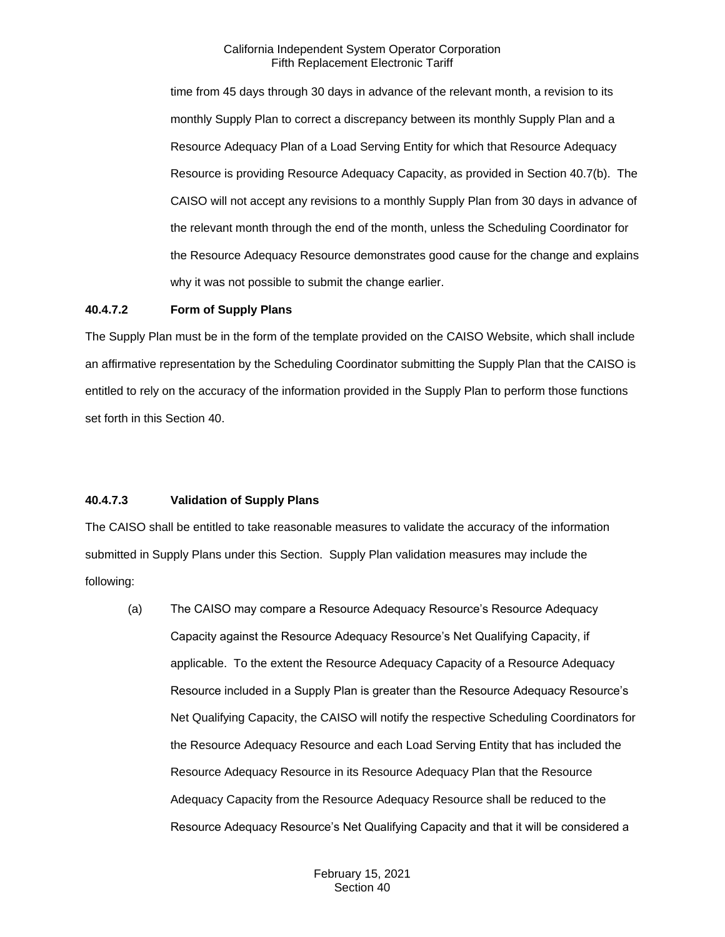time from 45 days through 30 days in advance of the relevant month, a revision to its monthly Supply Plan to correct a discrepancy between its monthly Supply Plan and a Resource Adequacy Plan of a Load Serving Entity for which that Resource Adequacy Resource is providing Resource Adequacy Capacity, as provided in Section 40.7(b). The CAISO will not accept any revisions to a monthly Supply Plan from 30 days in advance of the relevant month through the end of the month, unless the Scheduling Coordinator for the Resource Adequacy Resource demonstrates good cause for the change and explains why it was not possible to submit the change earlier.

## **40.4.7.2 Form of Supply Plans**

The Supply Plan must be in the form of the template provided on the CAISO Website, which shall include an affirmative representation by the Scheduling Coordinator submitting the Supply Plan that the CAISO is entitled to rely on the accuracy of the information provided in the Supply Plan to perform those functions set forth in this Section 40.

## **40.4.7.3 Validation of Supply Plans**

The CAISO shall be entitled to take reasonable measures to validate the accuracy of the information submitted in Supply Plans under this Section. Supply Plan validation measures may include the following:

(a) The CAISO may compare a Resource Adequacy Resource's Resource Adequacy Capacity against the Resource Adequacy Resource's Net Qualifying Capacity, if applicable. To the extent the Resource Adequacy Capacity of a Resource Adequacy Resource included in a Supply Plan is greater than the Resource Adequacy Resource's Net Qualifying Capacity, the CAISO will notify the respective Scheduling Coordinators for the Resource Adequacy Resource and each Load Serving Entity that has included the Resource Adequacy Resource in its Resource Adequacy Plan that the Resource Adequacy Capacity from the Resource Adequacy Resource shall be reduced to the Resource Adequacy Resource's Net Qualifying Capacity and that it will be considered a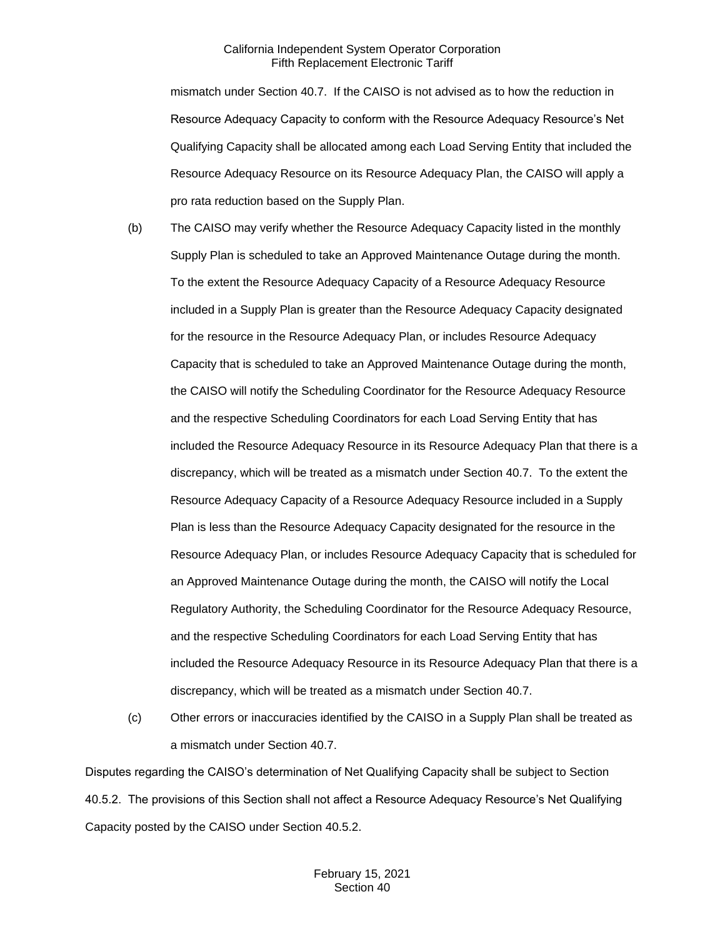mismatch under Section 40.7. If the CAISO is not advised as to how the reduction in Resource Adequacy Capacity to conform with the Resource Adequacy Resource's Net Qualifying Capacity shall be allocated among each Load Serving Entity that included the Resource Adequacy Resource on its Resource Adequacy Plan, the CAISO will apply a pro rata reduction based on the Supply Plan.

- (b) The CAISO may verify whether the Resource Adequacy Capacity listed in the monthly Supply Plan is scheduled to take an Approved Maintenance Outage during the month. To the extent the Resource Adequacy Capacity of a Resource Adequacy Resource included in a Supply Plan is greater than the Resource Adequacy Capacity designated for the resource in the Resource Adequacy Plan, or includes Resource Adequacy Capacity that is scheduled to take an Approved Maintenance Outage during the month, the CAISO will notify the Scheduling Coordinator for the Resource Adequacy Resource and the respective Scheduling Coordinators for each Load Serving Entity that has included the Resource Adequacy Resource in its Resource Adequacy Plan that there is a discrepancy, which will be treated as a mismatch under Section 40.7. To the extent the Resource Adequacy Capacity of a Resource Adequacy Resource included in a Supply Plan is less than the Resource Adequacy Capacity designated for the resource in the Resource Adequacy Plan, or includes Resource Adequacy Capacity that is scheduled for an Approved Maintenance Outage during the month, the CAISO will notify the Local Regulatory Authority, the Scheduling Coordinator for the Resource Adequacy Resource, and the respective Scheduling Coordinators for each Load Serving Entity that has included the Resource Adequacy Resource in its Resource Adequacy Plan that there is a discrepancy, which will be treated as a mismatch under Section 40.7.
- (c) Other errors or inaccuracies identified by the CAISO in a Supply Plan shall be treated as a mismatch under Section 40.7.

Disputes regarding the CAISO's determination of Net Qualifying Capacity shall be subject to Section 40.5.2. The provisions of this Section shall not affect a Resource Adequacy Resource's Net Qualifying Capacity posted by the CAISO under Section 40.5.2.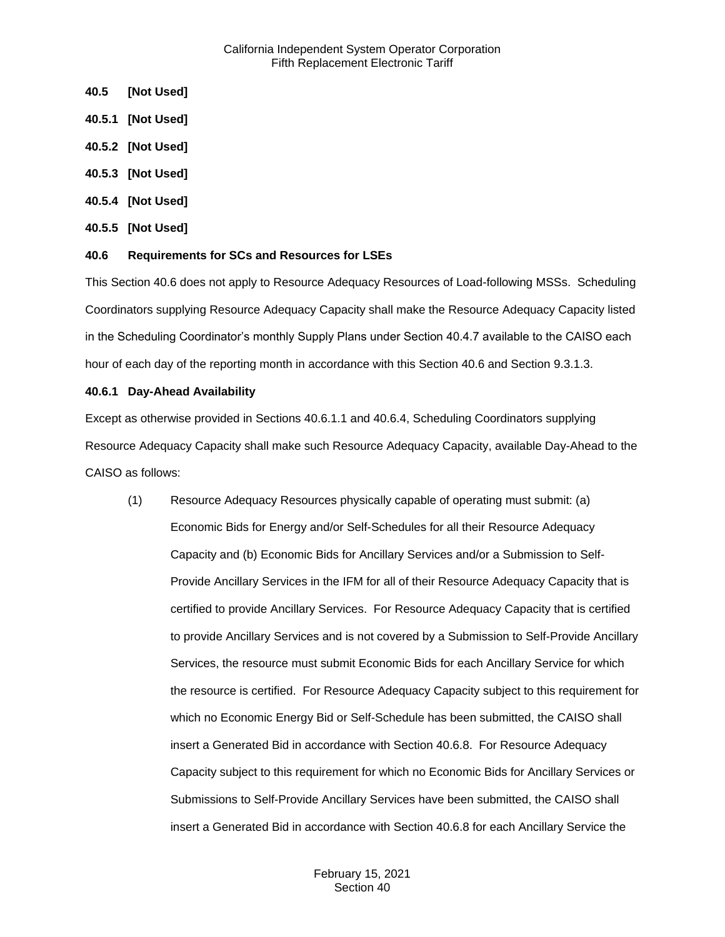- <span id="page-35-0"></span>**40.5 [Not Used]**
- <span id="page-35-1"></span>**40.5.1 [Not Used]**
- <span id="page-35-2"></span>**40.5.2 [Not Used]**
- <span id="page-35-3"></span>**40.5.3 [Not Used]**
- <span id="page-35-4"></span>**40.5.4 [Not Used]**
- <span id="page-35-5"></span>**40.5.5 [Not Used]**

## <span id="page-35-6"></span>**40.6 Requirements for SCs and Resources for LSEs**

This Section 40.6 does not apply to Resource Adequacy Resources of Load-following MSSs. Scheduling Coordinators supplying Resource Adequacy Capacity shall make the Resource Adequacy Capacity listed in the Scheduling Coordinator's monthly Supply Plans under Section 40.4.7 available to the CAISO each hour of each day of the reporting month in accordance with this Section 40.6 and Section 9.3.1.3.

## <span id="page-35-7"></span>**40.6.1 Day-Ahead Availability**

Except as otherwise provided in Sections 40.6.1.1 and 40.6.4, Scheduling Coordinators supplying Resource Adequacy Capacity shall make such Resource Adequacy Capacity, available Day-Ahead to the CAISO as follows:

(1) Resource Adequacy Resources physically capable of operating must submit: (a) Economic Bids for Energy and/or Self-Schedules for all their Resource Adequacy Capacity and (b) Economic Bids for Ancillary Services and/or a Submission to Self-Provide Ancillary Services in the IFM for all of their Resource Adequacy Capacity that is certified to provide Ancillary Services. For Resource Adequacy Capacity that is certified to provide Ancillary Services and is not covered by a Submission to Self-Provide Ancillary Services, the resource must submit Economic Bids for each Ancillary Service for which the resource is certified. For Resource Adequacy Capacity subject to this requirement for which no Economic Energy Bid or Self-Schedule has been submitted, the CAISO shall insert a Generated Bid in accordance with Section 40.6.8. For Resource Adequacy Capacity subject to this requirement for which no Economic Bids for Ancillary Services or Submissions to Self-Provide Ancillary Services have been submitted, the CAISO shall insert a Generated Bid in accordance with Section 40.6.8 for each Ancillary Service the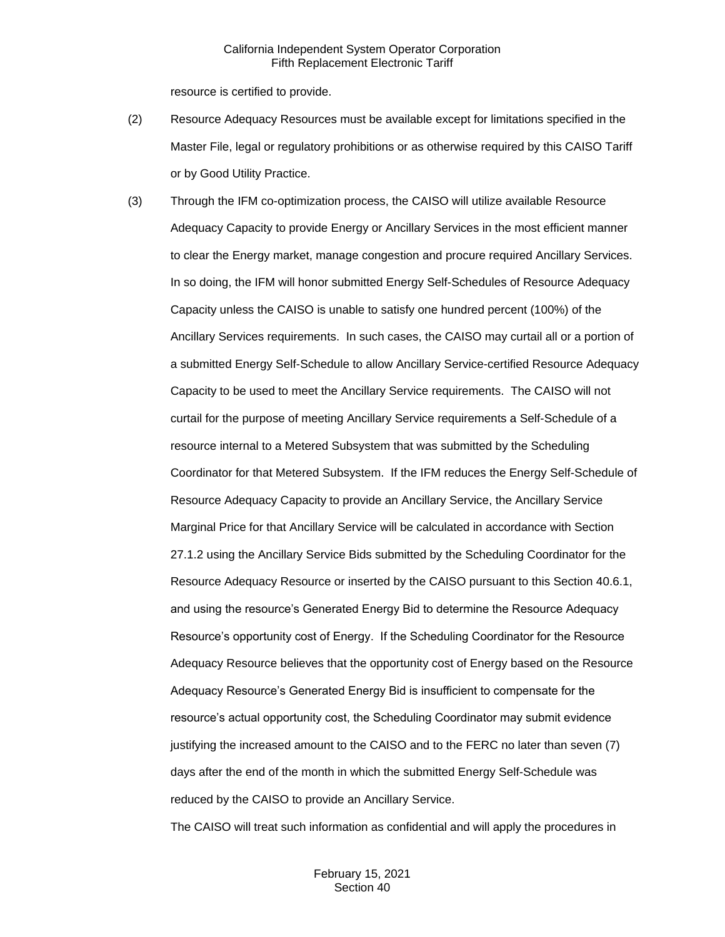resource is certified to provide.

- (2) Resource Adequacy Resources must be available except for limitations specified in the Master File, legal or regulatory prohibitions or as otherwise required by this CAISO Tariff or by Good Utility Practice.
- (3) Through the IFM co-optimization process, the CAISO will utilize available Resource Adequacy Capacity to provide Energy or Ancillary Services in the most efficient manner to clear the Energy market, manage congestion and procure required Ancillary Services. In so doing, the IFM will honor submitted Energy Self-Schedules of Resource Adequacy Capacity unless the CAISO is unable to satisfy one hundred percent (100%) of the Ancillary Services requirements. In such cases, the CAISO may curtail all or a portion of a submitted Energy Self-Schedule to allow Ancillary Service-certified Resource Adequacy Capacity to be used to meet the Ancillary Service requirements. The CAISO will not curtail for the purpose of meeting Ancillary Service requirements a Self-Schedule of a resource internal to a Metered Subsystem that was submitted by the Scheduling Coordinator for that Metered Subsystem. If the IFM reduces the Energy Self-Schedule of Resource Adequacy Capacity to provide an Ancillary Service, the Ancillary Service Marginal Price for that Ancillary Service will be calculated in accordance with Section 27.1.2 using the Ancillary Service Bids submitted by the Scheduling Coordinator for the Resource Adequacy Resource or inserted by the CAISO pursuant to this Section 40.6.1, and using the resource's Generated Energy Bid to determine the Resource Adequacy Resource's opportunity cost of Energy. If the Scheduling Coordinator for the Resource Adequacy Resource believes that the opportunity cost of Energy based on the Resource Adequacy Resource's Generated Energy Bid is insufficient to compensate for the resource's actual opportunity cost, the Scheduling Coordinator may submit evidence justifying the increased amount to the CAISO and to the FERC no later than seven (7) days after the end of the month in which the submitted Energy Self-Schedule was reduced by the CAISO to provide an Ancillary Service.

The CAISO will treat such information as confidential and will apply the procedures in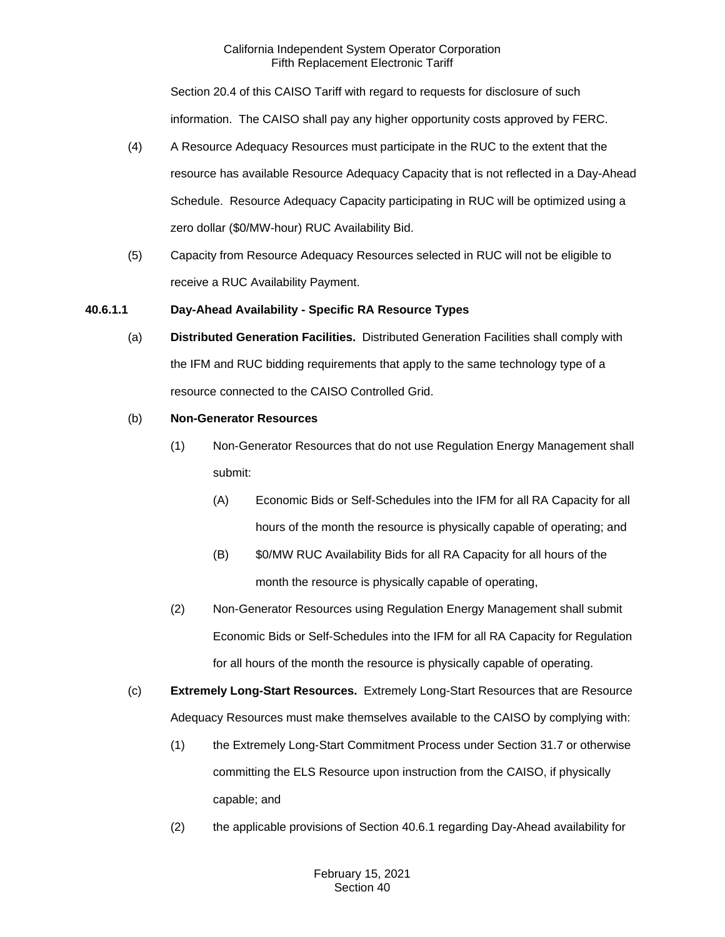Section 20.4 of this CAISO Tariff with regard to requests for disclosure of such information. The CAISO shall pay any higher opportunity costs approved by FERC.

- (4) A Resource Adequacy Resources must participate in the RUC to the extent that the resource has available Resource Adequacy Capacity that is not reflected in a Day-Ahead Schedule. Resource Adequacy Capacity participating in RUC will be optimized using a zero dollar (\$0/MW-hour) RUC Availability Bid.
- (5) Capacity from Resource Adequacy Resources selected in RUC will not be eligible to receive a RUC Availability Payment.

## **40.6.1.1 Day-Ahead Availability - Specific RA Resource Types**

(a) **Distributed Generation Facilities.** Distributed Generation Facilities shall comply with the IFM and RUC bidding requirements that apply to the same technology type of a resource connected to the CAISO Controlled Grid.

## (b) **Non-Generator Resources**

- (1) Non-Generator Resources that do not use Regulation Energy Management shall submit:
	- (A) Economic Bids or Self-Schedules into the IFM for all RA Capacity for all hours of the month the resource is physically capable of operating; and
	- (B) \$0/MW RUC Availability Bids for all RA Capacity for all hours of the month the resource is physically capable of operating,
- (2) Non-Generator Resources using Regulation Energy Management shall submit Economic Bids or Self-Schedules into the IFM for all RA Capacity for Regulation for all hours of the month the resource is physically capable of operating.
- (c) **Extremely Long-Start Resources.** Extremely Long-Start Resources that are Resource Adequacy Resources must make themselves available to the CAISO by complying with:
	- (1) the Extremely Long-Start Commitment Process under Section 31.7 or otherwise committing the ELS Resource upon instruction from the CAISO, if physically capable; and
	- (2) the applicable provisions of Section 40.6.1 regarding Day-Ahead availability for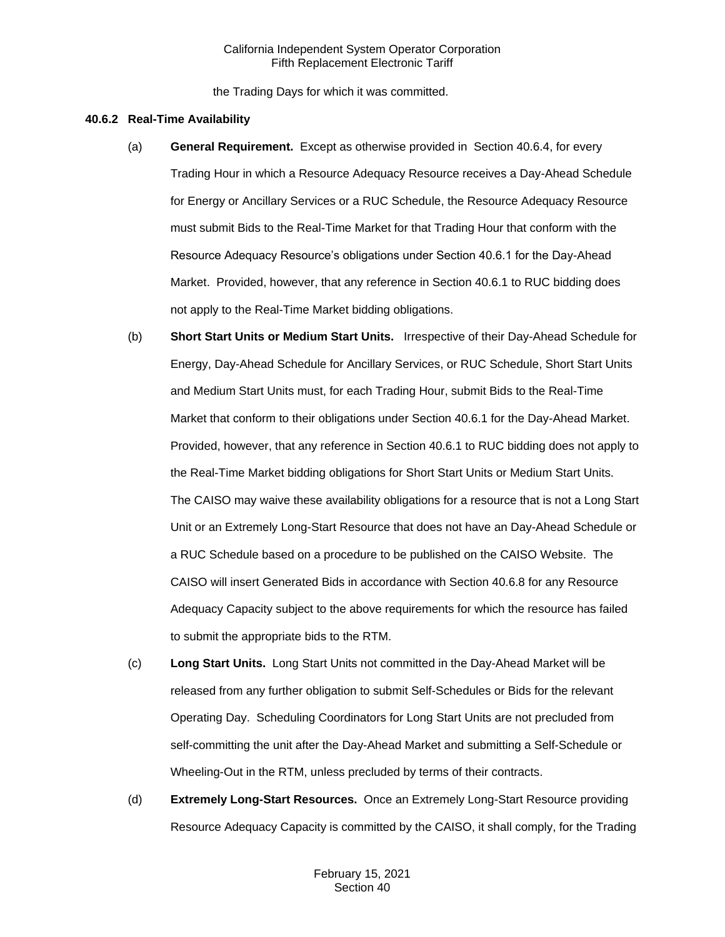the Trading Days for which it was committed.

#### **40.6.2 Real-Time Availability**

- (a) **General Requirement.** Except as otherwise provided in Section 40.6.4, for every Trading Hour in which a Resource Adequacy Resource receives a Day-Ahead Schedule for Energy or Ancillary Services or a RUC Schedule, the Resource Adequacy Resource must submit Bids to the Real-Time Market for that Trading Hour that conform with the Resource Adequacy Resource's obligations under Section 40.6.1 for the Day-Ahead Market. Provided, however, that any reference in Section 40.6.1 to RUC bidding does not apply to the Real-Time Market bidding obligations.
- (b) **Short Start Units or Medium Start Units.** Irrespective of their Day-Ahead Schedule for Energy, Day-Ahead Schedule for Ancillary Services, or RUC Schedule, Short Start Units and Medium Start Units must, for each Trading Hour, submit Bids to the Real-Time Market that conform to their obligations under Section 40.6.1 for the Day-Ahead Market. Provided, however, that any reference in Section 40.6.1 to RUC bidding does not apply to the Real-Time Market bidding obligations for Short Start Units or Medium Start Units. The CAISO may waive these availability obligations for a resource that is not a Long Start Unit or an Extremely Long-Start Resource that does not have an Day-Ahead Schedule or a RUC Schedule based on a procedure to be published on the CAISO Website. The CAISO will insert Generated Bids in accordance with Section 40.6.8 for any Resource Adequacy Capacity subject to the above requirements for which the resource has failed to submit the appropriate bids to the RTM.
- (c) **Long Start Units.** Long Start Units not committed in the Day-Ahead Market will be released from any further obligation to submit Self-Schedules or Bids for the relevant Operating Day. Scheduling Coordinators for Long Start Units are not precluded from self-committing the unit after the Day-Ahead Market and submitting a Self-Schedule or Wheeling-Out in the RTM, unless precluded by terms of their contracts.
- (d) **Extremely Long-Start Resources.** Once an Extremely Long-Start Resource providing Resource Adequacy Capacity is committed by the CAISO, it shall comply, for the Trading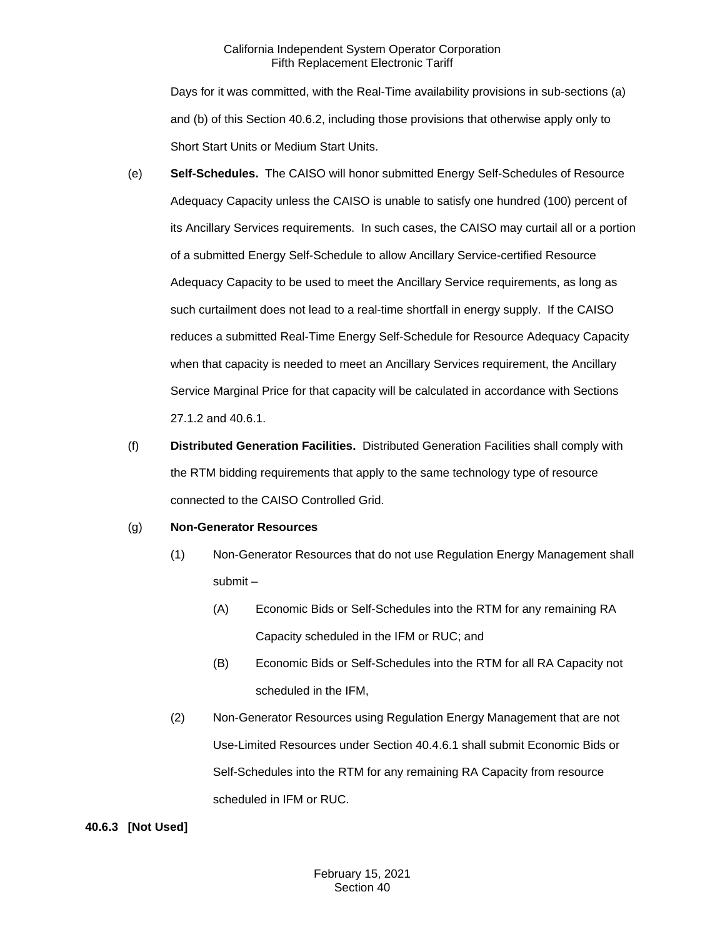Days for it was committed, with the Real-Time availability provisions in sub-sections (a) and (b) of this Section 40.6.2, including those provisions that otherwise apply only to Short Start Units or Medium Start Units.

- (e) **Self-Schedules.** The CAISO will honor submitted Energy Self-Schedules of Resource Adequacy Capacity unless the CAISO is unable to satisfy one hundred (100) percent of its Ancillary Services requirements. In such cases, the CAISO may curtail all or a portion of a submitted Energy Self-Schedule to allow Ancillary Service-certified Resource Adequacy Capacity to be used to meet the Ancillary Service requirements, as long as such curtailment does not lead to a real-time shortfall in energy supply. If the CAISO reduces a submitted Real-Time Energy Self-Schedule for Resource Adequacy Capacity when that capacity is needed to meet an Ancillary Services requirement, the Ancillary Service Marginal Price for that capacity will be calculated in accordance with Sections 27.1.2 and 40.6.1.
- (f) **Distributed Generation Facilities.** Distributed Generation Facilities shall comply with the RTM bidding requirements that apply to the same technology type of resource connected to the CAISO Controlled Grid.

## (g) **Non-Generator Resources**

- (1) Non-Generator Resources that do not use Regulation Energy Management shall submit –
	- (A) Economic Bids or Self-Schedules into the RTM for any remaining RA Capacity scheduled in the IFM or RUC; and
	- (B) Economic Bids or Self-Schedules into the RTM for all RA Capacity not scheduled in the IFM,
- (2) Non-Generator Resources using Regulation Energy Management that are not Use-Limited Resources under Section 40.4.6.1 shall submit Economic Bids or Self-Schedules into the RTM for any remaining RA Capacity from resource scheduled in IFM or RUC.

## **40.6.3 [Not Used]**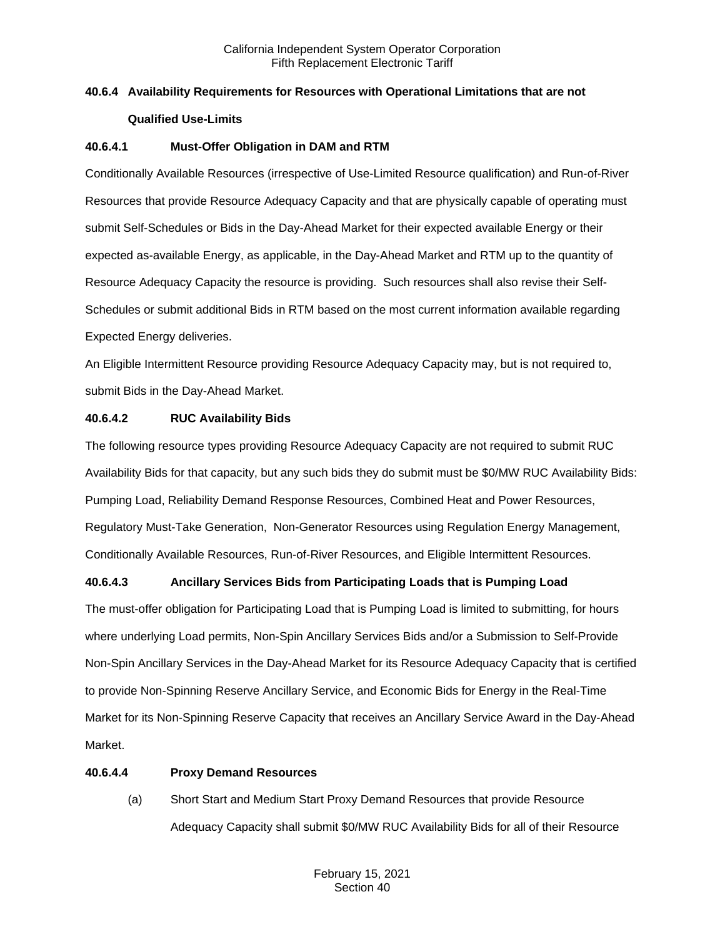# **40.6.4 Availability Requirements for Resources with Operational Limitations that are not Qualified Use-Limits**

## **40.6.4.1 Must-Offer Obligation in DAM and RTM**

Conditionally Available Resources (irrespective of Use-Limited Resource qualification) and Run-of-River Resources that provide Resource Adequacy Capacity and that are physically capable of operating must submit Self-Schedules or Bids in the Day-Ahead Market for their expected available Energy or their expected as-available Energy, as applicable, in the Day-Ahead Market and RTM up to the quantity of Resource Adequacy Capacity the resource is providing. Such resources shall also revise their Self-Schedules or submit additional Bids in RTM based on the most current information available regarding Expected Energy deliveries.

An Eligible Intermittent Resource providing Resource Adequacy Capacity may, but is not required to, submit Bids in the Day-Ahead Market.

## **40.6.4.2 RUC Availability Bids**

The following resource types providing Resource Adequacy Capacity are not required to submit RUC Availability Bids for that capacity, but any such bids they do submit must be \$0/MW RUC Availability Bids: Pumping Load, Reliability Demand Response Resources, Combined Heat and Power Resources, Regulatory Must-Take Generation, Non-Generator Resources using Regulation Energy Management, Conditionally Available Resources, Run-of-River Resources, and Eligible Intermittent Resources.

## **40.6.4.3 Ancillary Services Bids from Participating Loads that is Pumping Load**

The must-offer obligation for Participating Load that is Pumping Load is limited to submitting, for hours where underlying Load permits, Non-Spin Ancillary Services Bids and/or a Submission to Self-Provide Non-Spin Ancillary Services in the Day-Ahead Market for its Resource Adequacy Capacity that is certified to provide Non-Spinning Reserve Ancillary Service, and Economic Bids for Energy in the Real-Time Market for its Non-Spinning Reserve Capacity that receives an Ancillary Service Award in the Day-Ahead Market.

## **40.6.4.4 Proxy Demand Resources**

(a) Short Start and Medium Start Proxy Demand Resources that provide Resource Adequacy Capacity shall submit \$0/MW RUC Availability Bids for all of their Resource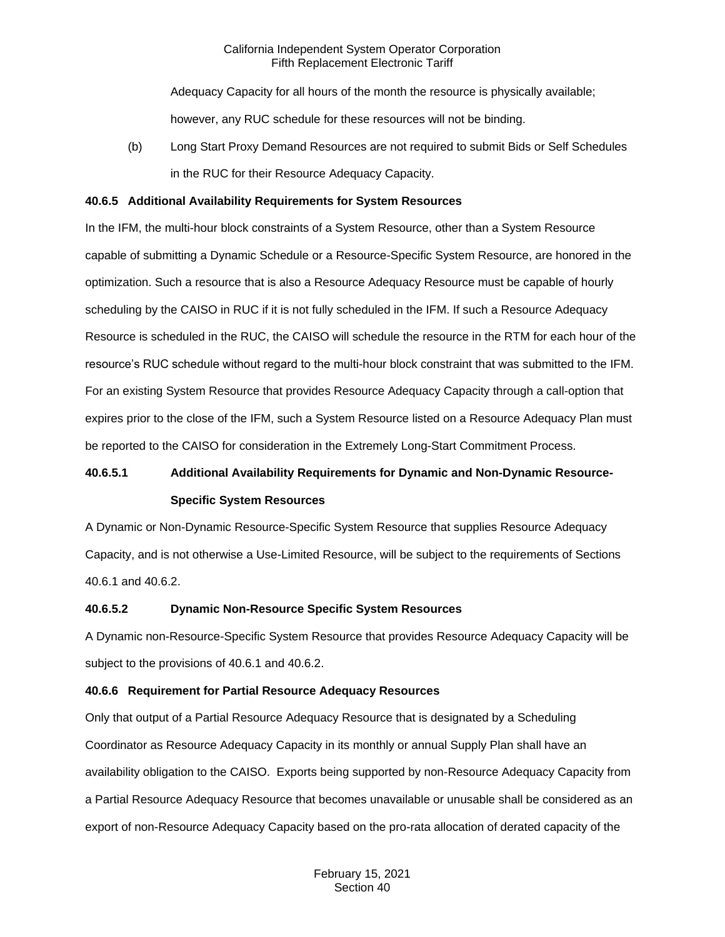Adequacy Capacity for all hours of the month the resource is physically available; however, any RUC schedule for these resources will not be binding.

(b) Long Start Proxy Demand Resources are not required to submit Bids or Self Schedules in the RUC for their Resource Adequacy Capacity.

#### **40.6.5 Additional Availability Requirements for System Resources**

In the IFM, the multi-hour block constraints of a System Resource, other than a System Resource capable of submitting a Dynamic Schedule or a Resource-Specific System Resource, are honored in the optimization. Such a resource that is also a Resource Adequacy Resource must be capable of hourly scheduling by the CAISO in RUC if it is not fully scheduled in the IFM. If such a Resource Adequacy Resource is scheduled in the RUC, the CAISO will schedule the resource in the RTM for each hour of the resource's RUC schedule without regard to the multi-hour block constraint that was submitted to the IFM. For an existing System Resource that provides Resource Adequacy Capacity through a call-option that expires prior to the close of the IFM, such a System Resource listed on a Resource Adequacy Plan must be reported to the CAISO for consideration in the Extremely Long-Start Commitment Process.

# **40.6.5.1 Additional Availability Requirements for Dynamic and Non-Dynamic Resource-Specific System Resources**

A Dynamic or Non-Dynamic Resource-Specific System Resource that supplies Resource Adequacy Capacity, and is not otherwise a Use-Limited Resource, will be subject to the requirements of Sections 40.6.1 and 40.6.2.

## **40.6.5.2 Dynamic Non-Resource Specific System Resources**

A Dynamic non-Resource-Specific System Resource that provides Resource Adequacy Capacity will be subject to the provisions of 40.6.1 and 40.6.2.

## **40.6.6 Requirement for Partial Resource Adequacy Resources**

Only that output of a Partial Resource Adequacy Resource that is designated by a Scheduling Coordinator as Resource Adequacy Capacity in its monthly or annual Supply Plan shall have an availability obligation to the CAISO. Exports being supported by non-Resource Adequacy Capacity from a Partial Resource Adequacy Resource that becomes unavailable or unusable shall be considered as an export of non-Resource Adequacy Capacity based on the pro-rata allocation of derated capacity of the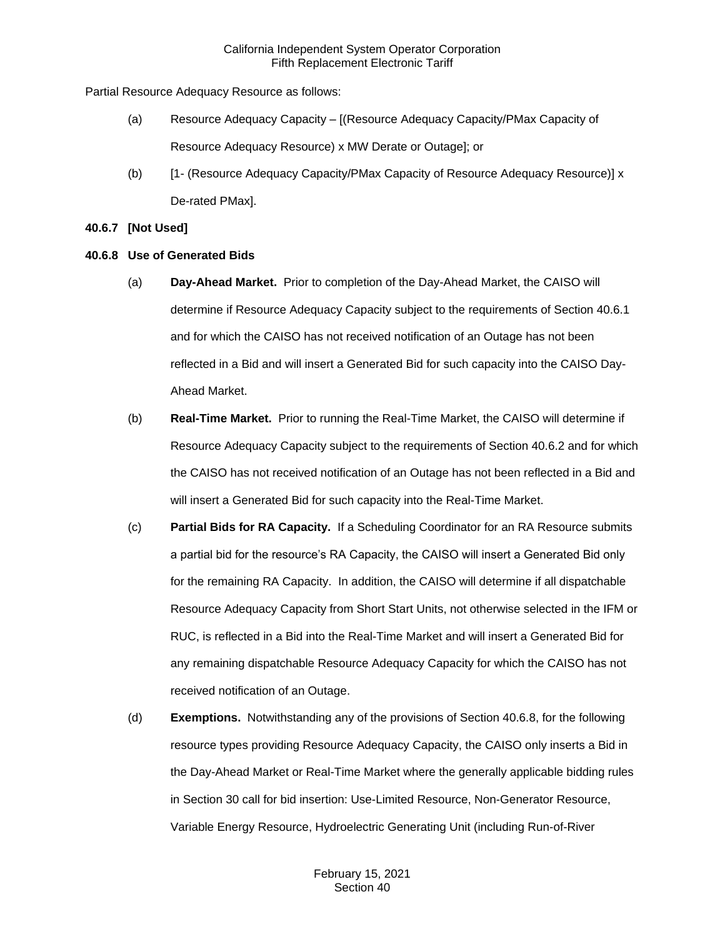Partial Resource Adequacy Resource as follows:

- (a) Resource Adequacy Capacity [(Resource Adequacy Capacity/PMax Capacity of Resource Adequacy Resource) x MW Derate or Outage]; or
- (b) [1- (Resource Adequacy Capacity/PMax Capacity of Resource Adequacy Resource)] x De-rated PMax].

## **40.6.7 [Not Used]**

## **40.6.8 Use of Generated Bids**

- (a) **Day-Ahead Market.** Prior to completion of the Day-Ahead Market, the CAISO will determine if Resource Adequacy Capacity subject to the requirements of Section 40.6.1 and for which the CAISO has not received notification of an Outage has not been reflected in a Bid and will insert a Generated Bid for such capacity into the CAISO Day-Ahead Market.
- (b) **Real-Time Market.** Prior to running the Real-Time Market, the CAISO will determine if Resource Adequacy Capacity subject to the requirements of Section 40.6.2 and for which the CAISO has not received notification of an Outage has not been reflected in a Bid and will insert a Generated Bid for such capacity into the Real-Time Market.
- (c) **Partial Bids for RA Capacity.** If a Scheduling Coordinator for an RA Resource submits a partial bid for the resource's RA Capacity, the CAISO will insert a Generated Bid only for the remaining RA Capacity. In addition, the CAISO will determine if all dispatchable Resource Adequacy Capacity from Short Start Units, not otherwise selected in the IFM or RUC, is reflected in a Bid into the Real-Time Market and will insert a Generated Bid for any remaining dispatchable Resource Adequacy Capacity for which the CAISO has not received notification of an Outage.
- (d) **Exemptions.** Notwithstanding any of the provisions of Section 40.6.8, for the following resource types providing Resource Adequacy Capacity, the CAISO only inserts a Bid in the Day-Ahead Market or Real-Time Market where the generally applicable bidding rules in Section 30 call for bid insertion: Use-Limited Resource, Non-Generator Resource, Variable Energy Resource, Hydroelectric Generating Unit (including Run-of-River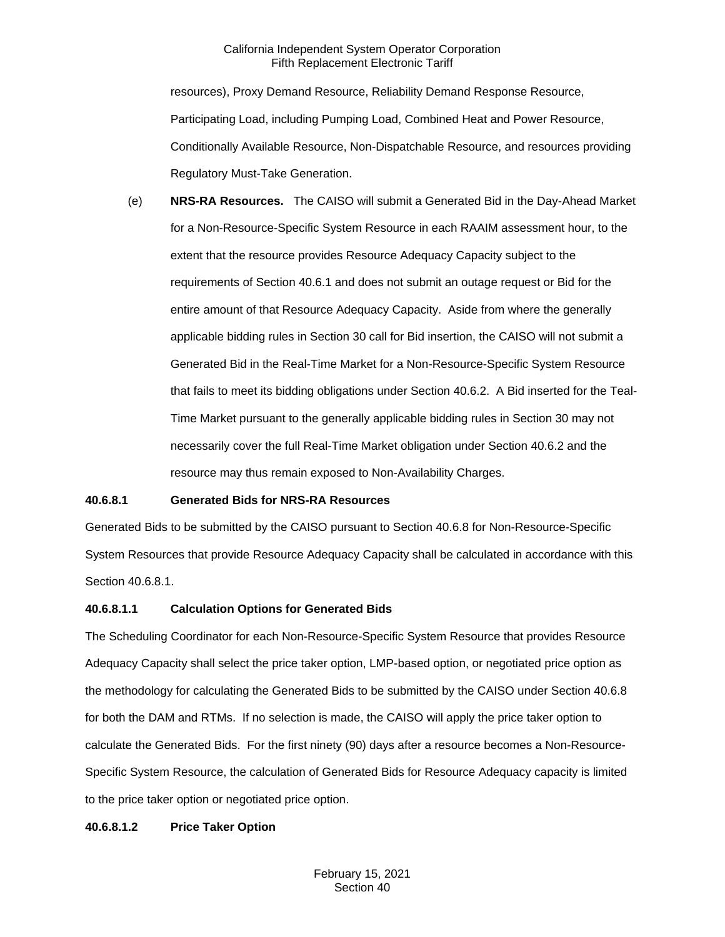resources), Proxy Demand Resource, Reliability Demand Response Resource, Participating Load, including Pumping Load, Combined Heat and Power Resource, Conditionally Available Resource, Non-Dispatchable Resource, and resources providing Regulatory Must-Take Generation.

(e) **NRS-RA Resources.** The CAISO will submit a Generated Bid in the Day-Ahead Market for a Non-Resource-Specific System Resource in each RAAIM assessment hour, to the extent that the resource provides Resource Adequacy Capacity subject to the requirements of Section 40.6.1 and does not submit an outage request or Bid for the entire amount of that Resource Adequacy Capacity. Aside from where the generally applicable bidding rules in Section 30 call for Bid insertion, the CAISO will not submit a Generated Bid in the Real-Time Market for a Non-Resource-Specific System Resource that fails to meet its bidding obligations under Section 40.6.2. A Bid inserted for the Teal-Time Market pursuant to the generally applicable bidding rules in Section 30 may not necessarily cover the full Real-Time Market obligation under Section 40.6.2 and the resource may thus remain exposed to Non-Availability Charges.

#### **40.6.8.1 Generated Bids for NRS-RA Resources**

Generated Bids to be submitted by the CAISO pursuant to Section 40.6.8 for Non-Resource-Specific System Resources that provide Resource Adequacy Capacity shall be calculated in accordance with this Section 40.6.8.1.

## **40.6.8.1.1 Calculation Options for Generated Bids**

The Scheduling Coordinator for each Non-Resource-Specific System Resource that provides Resource Adequacy Capacity shall select the price taker option, LMP-based option, or negotiated price option as the methodology for calculating the Generated Bids to be submitted by the CAISO under Section 40.6.8 for both the DAM and RTMs. If no selection is made, the CAISO will apply the price taker option to calculate the Generated Bids. For the first ninety (90) days after a resource becomes a Non-Resource-Specific System Resource, the calculation of Generated Bids for Resource Adequacy capacity is limited to the price taker option or negotiated price option.

## **40.6.8.1.2 Price Taker Option**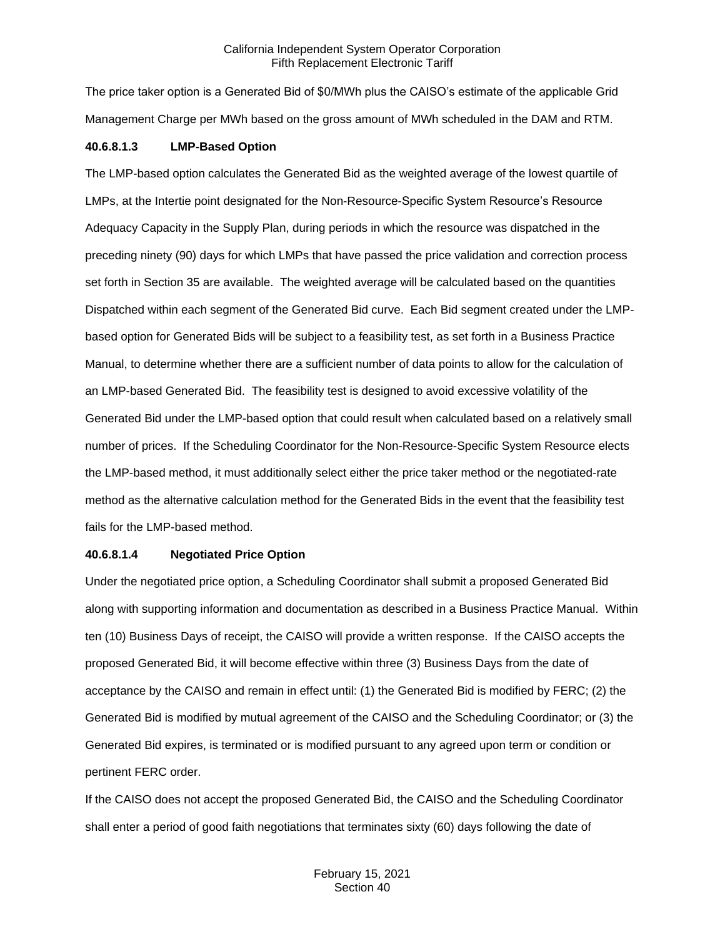The price taker option is a Generated Bid of \$0/MWh plus the CAISO's estimate of the applicable Grid Management Charge per MWh based on the gross amount of MWh scheduled in the DAM and RTM.

#### **40.6.8.1.3 LMP-Based Option**

The LMP-based option calculates the Generated Bid as the weighted average of the lowest quartile of LMPs, at the Intertie point designated for the Non-Resource-Specific System Resource's Resource Adequacy Capacity in the Supply Plan, during periods in which the resource was dispatched in the preceding ninety (90) days for which LMPs that have passed the price validation and correction process set forth in Section 35 are available. The weighted average will be calculated based on the quantities Dispatched within each segment of the Generated Bid curve. Each Bid segment created under the LMPbased option for Generated Bids will be subject to a feasibility test, as set forth in a Business Practice Manual, to determine whether there are a sufficient number of data points to allow for the calculation of an LMP-based Generated Bid. The feasibility test is designed to avoid excessive volatility of the Generated Bid under the LMP-based option that could result when calculated based on a relatively small number of prices. If the Scheduling Coordinator for the Non-Resource-Specific System Resource elects the LMP-based method, it must additionally select either the price taker method or the negotiated-rate method as the alternative calculation method for the Generated Bids in the event that the feasibility test fails for the LMP-based method.

#### **40.6.8.1.4 Negotiated Price Option**

Under the negotiated price option, a Scheduling Coordinator shall submit a proposed Generated Bid along with supporting information and documentation as described in a Business Practice Manual. Within ten (10) Business Days of receipt, the CAISO will provide a written response. If the CAISO accepts the proposed Generated Bid, it will become effective within three (3) Business Days from the date of acceptance by the CAISO and remain in effect until: (1) the Generated Bid is modified by FERC; (2) the Generated Bid is modified by mutual agreement of the CAISO and the Scheduling Coordinator; or (3) the Generated Bid expires, is terminated or is modified pursuant to any agreed upon term or condition or pertinent FERC order.

If the CAISO does not accept the proposed Generated Bid, the CAISO and the Scheduling Coordinator shall enter a period of good faith negotiations that terminates sixty (60) days following the date of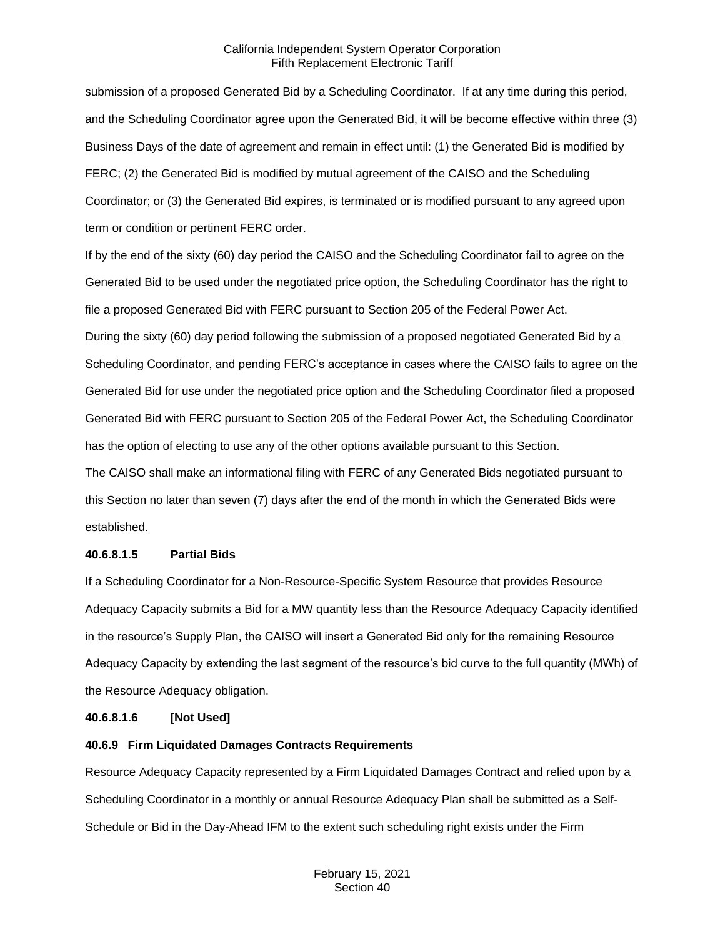submission of a proposed Generated Bid by a Scheduling Coordinator. If at any time during this period, and the Scheduling Coordinator agree upon the Generated Bid, it will be become effective within three (3) Business Days of the date of agreement and remain in effect until: (1) the Generated Bid is modified by FERC; (2) the Generated Bid is modified by mutual agreement of the CAISO and the Scheduling Coordinator; or (3) the Generated Bid expires, is terminated or is modified pursuant to any agreed upon term or condition or pertinent FERC order.

If by the end of the sixty (60) day period the CAISO and the Scheduling Coordinator fail to agree on the Generated Bid to be used under the negotiated price option, the Scheduling Coordinator has the right to file a proposed Generated Bid with FERC pursuant to Section 205 of the Federal Power Act.

During the sixty (60) day period following the submission of a proposed negotiated Generated Bid by a Scheduling Coordinator, and pending FERC's acceptance in cases where the CAISO fails to agree on the Generated Bid for use under the negotiated price option and the Scheduling Coordinator filed a proposed Generated Bid with FERC pursuant to Section 205 of the Federal Power Act, the Scheduling Coordinator has the option of electing to use any of the other options available pursuant to this Section.

The CAISO shall make an informational filing with FERC of any Generated Bids negotiated pursuant to this Section no later than seven (7) days after the end of the month in which the Generated Bids were established.

## **40.6.8.1.5 Partial Bids**

If a Scheduling Coordinator for a Non-Resource-Specific System Resource that provides Resource Adequacy Capacity submits a Bid for a MW quantity less than the Resource Adequacy Capacity identified in the resource's Supply Plan, the CAISO will insert a Generated Bid only for the remaining Resource Adequacy Capacity by extending the last segment of the resource's bid curve to the full quantity (MWh) of the Resource Adequacy obligation.

#### **40.6.8.1.6 [Not Used]**

## **40.6.9 Firm Liquidated Damages Contracts Requirements**

Resource Adequacy Capacity represented by a Firm Liquidated Damages Contract and relied upon by a Scheduling Coordinator in a monthly or annual Resource Adequacy Plan shall be submitted as a Self-Schedule or Bid in the Day-Ahead IFM to the extent such scheduling right exists under the Firm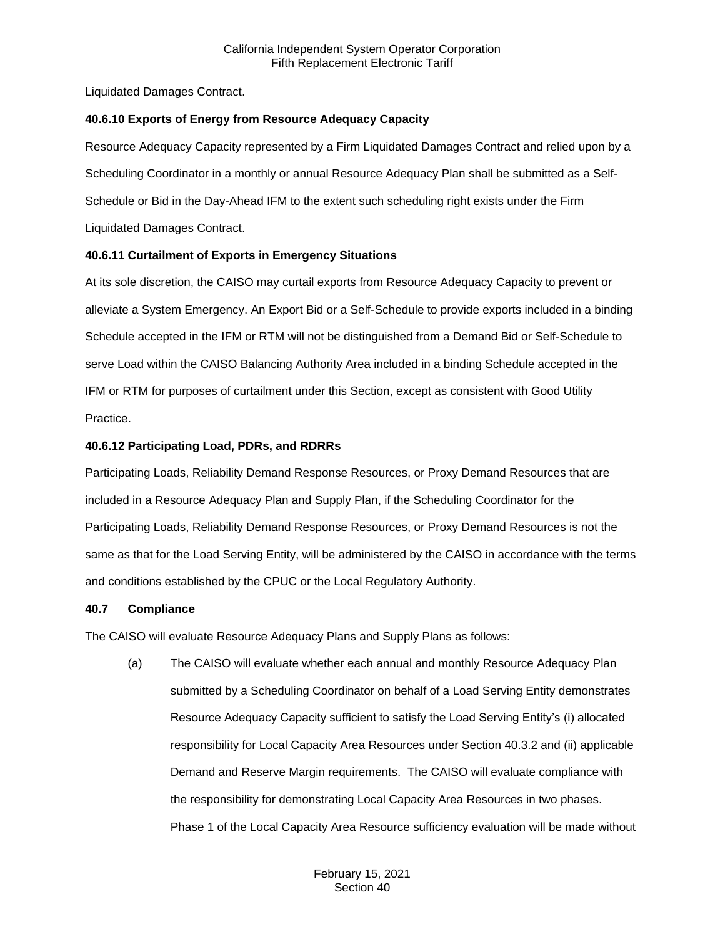Liquidated Damages Contract.

## **40.6.10 Exports of Energy from Resource Adequacy Capacity**

Resource Adequacy Capacity represented by a Firm Liquidated Damages Contract and relied upon by a Scheduling Coordinator in a monthly or annual Resource Adequacy Plan shall be submitted as a Self-Schedule or Bid in the Day-Ahead IFM to the extent such scheduling right exists under the Firm Liquidated Damages Contract.

## **40.6.11 Curtailment of Exports in Emergency Situations**

At its sole discretion, the CAISO may curtail exports from Resource Adequacy Capacity to prevent or alleviate a System Emergency. An Export Bid or a Self-Schedule to provide exports included in a binding Schedule accepted in the IFM or RTM will not be distinguished from a Demand Bid or Self-Schedule to serve Load within the CAISO Balancing Authority Area included in a binding Schedule accepted in the IFM or RTM for purposes of curtailment under this Section, except as consistent with Good Utility Practice.

## **40.6.12 Participating Load, PDRs, and RDRRs**

Participating Loads, Reliability Demand Response Resources, or Proxy Demand Resources that are included in a Resource Adequacy Plan and Supply Plan, if the Scheduling Coordinator for the Participating Loads, Reliability Demand Response Resources, or Proxy Demand Resources is not the same as that for the Load Serving Entity, will be administered by the CAISO in accordance with the terms and conditions established by the CPUC or the Local Regulatory Authority.

## **40.7 Compliance**

The CAISO will evaluate Resource Adequacy Plans and Supply Plans as follows:

(a) The CAISO will evaluate whether each annual and monthly Resource Adequacy Plan submitted by a Scheduling Coordinator on behalf of a Load Serving Entity demonstrates Resource Adequacy Capacity sufficient to satisfy the Load Serving Entity's (i) allocated responsibility for Local Capacity Area Resources under Section 40.3.2 and (ii) applicable Demand and Reserve Margin requirements. The CAISO will evaluate compliance with the responsibility for demonstrating Local Capacity Area Resources in two phases. Phase 1 of the Local Capacity Area Resource sufficiency evaluation will be made without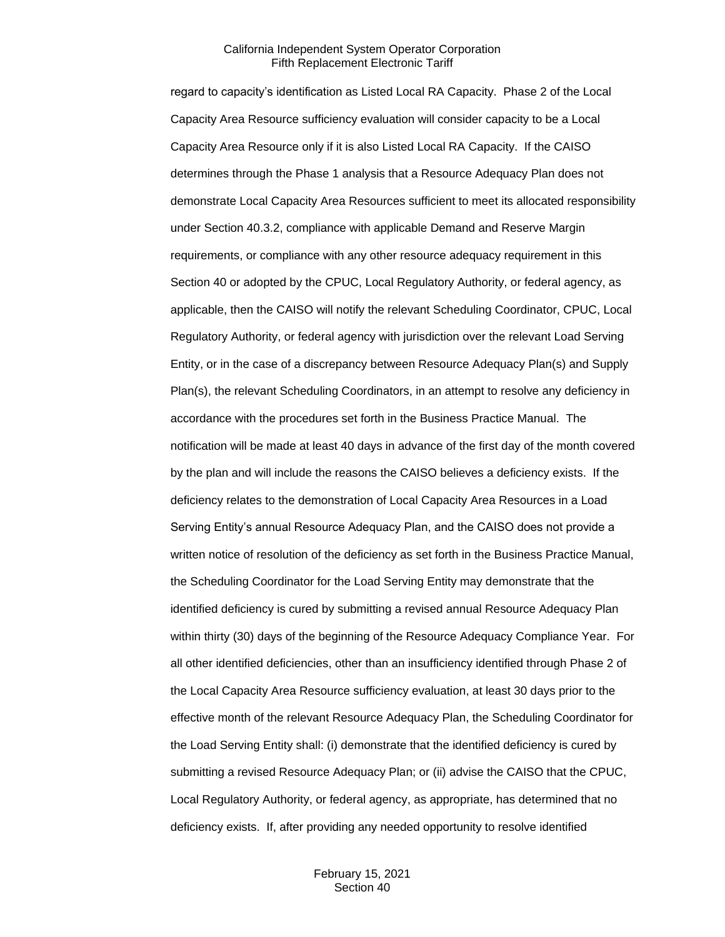regard to capacity's identification as Listed Local RA Capacity. Phase 2 of the Local Capacity Area Resource sufficiency evaluation will consider capacity to be a Local Capacity Area Resource only if it is also Listed Local RA Capacity. If the CAISO determines through the Phase 1 analysis that a Resource Adequacy Plan does not demonstrate Local Capacity Area Resources sufficient to meet its allocated responsibility under Section 40.3.2, compliance with applicable Demand and Reserve Margin requirements, or compliance with any other resource adequacy requirement in this Section 40 or adopted by the CPUC, Local Regulatory Authority, or federal agency, as applicable, then the CAISO will notify the relevant Scheduling Coordinator, CPUC, Local Regulatory Authority, or federal agency with jurisdiction over the relevant Load Serving Entity, or in the case of a discrepancy between Resource Adequacy Plan(s) and Supply Plan(s), the relevant Scheduling Coordinators, in an attempt to resolve any deficiency in accordance with the procedures set forth in the Business Practice Manual. The notification will be made at least 40 days in advance of the first day of the month covered by the plan and will include the reasons the CAISO believes a deficiency exists. If the deficiency relates to the demonstration of Local Capacity Area Resources in a Load Serving Entity's annual Resource Adequacy Plan, and the CAISO does not provide a written notice of resolution of the deficiency as set forth in the Business Practice Manual, the Scheduling Coordinator for the Load Serving Entity may demonstrate that the identified deficiency is cured by submitting a revised annual Resource Adequacy Plan within thirty (30) days of the beginning of the Resource Adequacy Compliance Year. For all other identified deficiencies, other than an insufficiency identified through Phase 2 of the Local Capacity Area Resource sufficiency evaluation, at least 30 days prior to the effective month of the relevant Resource Adequacy Plan, the Scheduling Coordinator for the Load Serving Entity shall: (i) demonstrate that the identified deficiency is cured by submitting a revised Resource Adequacy Plan; or (ii) advise the CAISO that the CPUC, Local Regulatory Authority, or federal agency, as appropriate, has determined that no deficiency exists. If, after providing any needed opportunity to resolve identified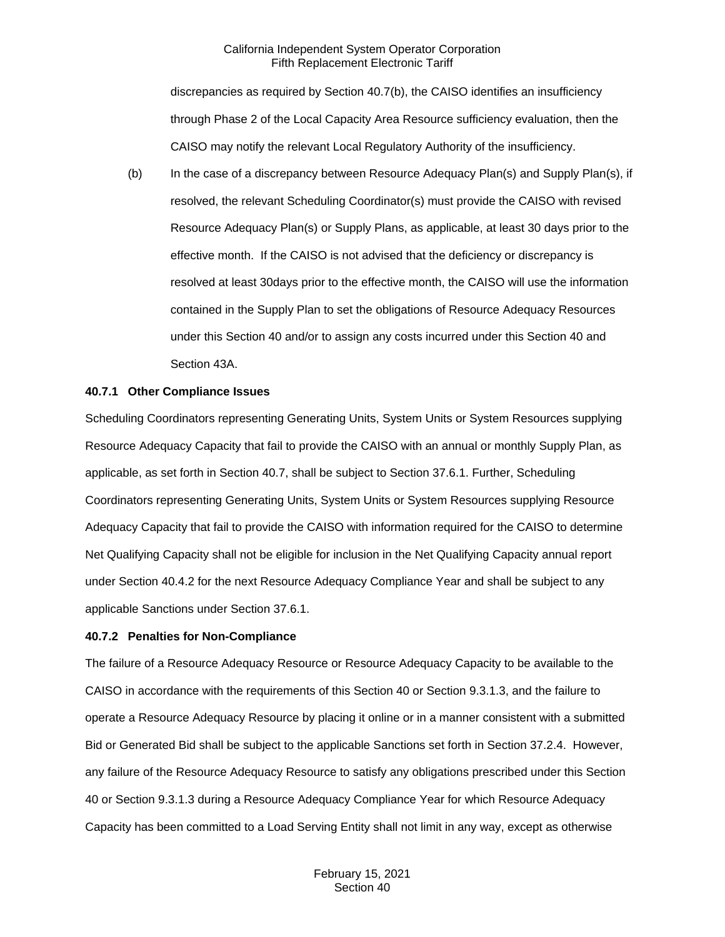discrepancies as required by Section 40.7(b), the CAISO identifies an insufficiency through Phase 2 of the Local Capacity Area Resource sufficiency evaluation, then the CAISO may notify the relevant Local Regulatory Authority of the insufficiency.

(b) In the case of a discrepancy between Resource Adequacy Plan(s) and Supply Plan(s), if resolved, the relevant Scheduling Coordinator(s) must provide the CAISO with revised Resource Adequacy Plan(s) or Supply Plans, as applicable, at least 30 days prior to the effective month. If the CAISO is not advised that the deficiency or discrepancy is resolved at least 30days prior to the effective month, the CAISO will use the information contained in the Supply Plan to set the obligations of Resource Adequacy Resources under this Section 40 and/or to assign any costs incurred under this Section 40 and Section 43A.

## **40.7.1 Other Compliance Issues**

Scheduling Coordinators representing Generating Units, System Units or System Resources supplying Resource Adequacy Capacity that fail to provide the CAISO with an annual or monthly Supply Plan, as applicable, as set forth in Section 40.7, shall be subject to Section 37.6.1. Further, Scheduling Coordinators representing Generating Units, System Units or System Resources supplying Resource Adequacy Capacity that fail to provide the CAISO with information required for the CAISO to determine Net Qualifying Capacity shall not be eligible for inclusion in the Net Qualifying Capacity annual report under Section 40.4.2 for the next Resource Adequacy Compliance Year and shall be subject to any applicable Sanctions under Section 37.6.1.

#### **40.7.2 Penalties for Non-Compliance**

The failure of a Resource Adequacy Resource or Resource Adequacy Capacity to be available to the CAISO in accordance with the requirements of this Section 40 or Section 9.3.1.3, and the failure to operate a Resource Adequacy Resource by placing it online or in a manner consistent with a submitted Bid or Generated Bid shall be subject to the applicable Sanctions set forth in Section 37.2.4. However, any failure of the Resource Adequacy Resource to satisfy any obligations prescribed under this Section 40 or Section 9.3.1.3 during a Resource Adequacy Compliance Year for which Resource Adequacy Capacity has been committed to a Load Serving Entity shall not limit in any way, except as otherwise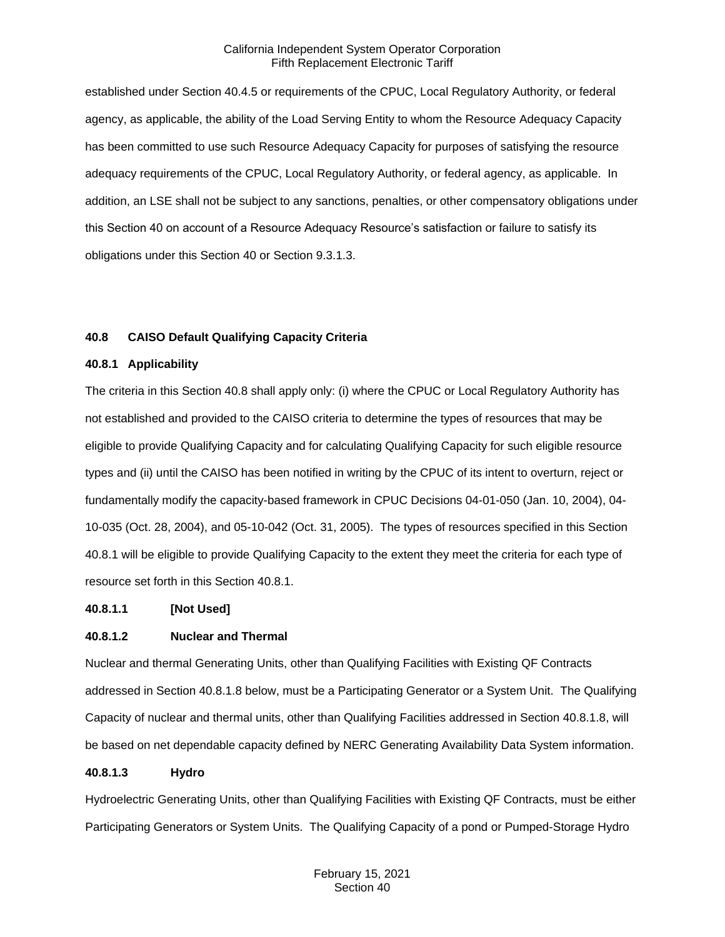established under Section 40.4.5 or requirements of the CPUC, Local Regulatory Authority, or federal agency, as applicable, the ability of the Load Serving Entity to whom the Resource Adequacy Capacity has been committed to use such Resource Adequacy Capacity for purposes of satisfying the resource adequacy requirements of the CPUC, Local Regulatory Authority, or federal agency, as applicable. In addition, an LSE shall not be subject to any sanctions, penalties, or other compensatory obligations under this Section 40 on account of a Resource Adequacy Resource's satisfaction or failure to satisfy its obligations under this Section 40 or Section 9.3.1.3.

## **40.8 CAISO Default Qualifying Capacity Criteria**

#### **40.8.1 Applicability**

The criteria in this Section 40.8 shall apply only: (i) where the CPUC or Local Regulatory Authority has not established and provided to the CAISO criteria to determine the types of resources that may be eligible to provide Qualifying Capacity and for calculating Qualifying Capacity for such eligible resource types and (ii) until the CAISO has been notified in writing by the CPUC of its intent to overturn, reject or fundamentally modify the capacity-based framework in CPUC Decisions 04-01-050 (Jan. 10, 2004), 04- 10-035 (Oct. 28, 2004), and 05-10-042 (Oct. 31, 2005). The types of resources specified in this Section 40.8.1 will be eligible to provide Qualifying Capacity to the extent they meet the criteria for each type of resource set forth in this Section 40.8.1.

## **40.8.1.1 [Not Used]**

## **40.8.1.2 Nuclear and Thermal**

Nuclear and thermal Generating Units, other than Qualifying Facilities with Existing QF Contracts addressed in Section 40.8.1.8 below, must be a Participating Generator or a System Unit. The Qualifying Capacity of nuclear and thermal units, other than Qualifying Facilities addressed in Section 40.8.1.8, will be based on net dependable capacity defined by NERC Generating Availability Data System information.

## **40.8.1.3 Hydro**

Hydroelectric Generating Units, other than Qualifying Facilities with Existing QF Contracts, must be either Participating Generators or System Units. The Qualifying Capacity of a pond or Pumped-Storage Hydro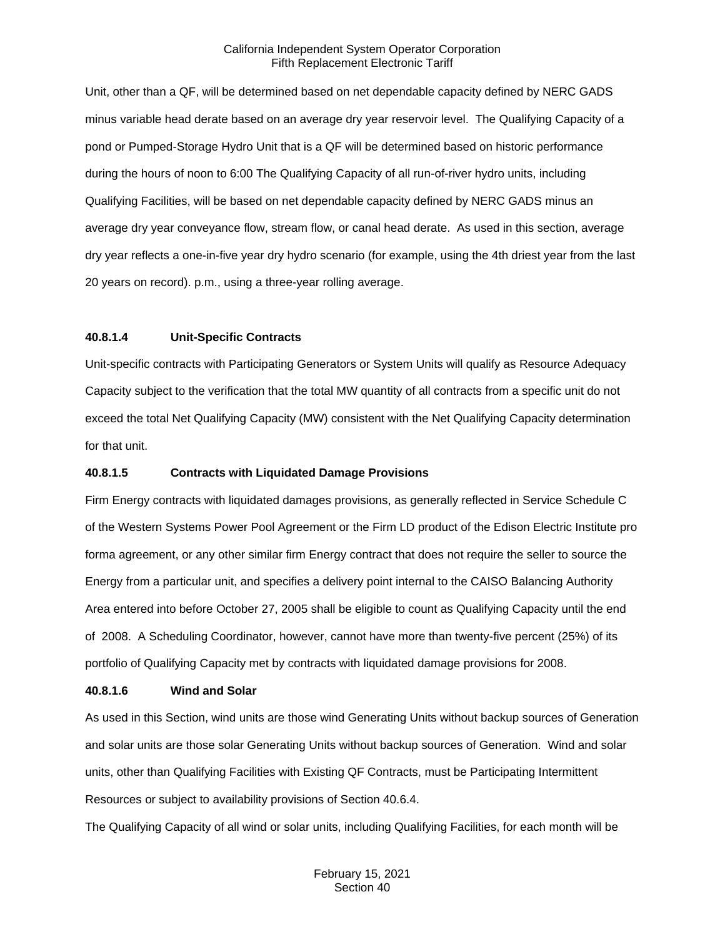Unit, other than a QF, will be determined based on net dependable capacity defined by NERC GADS minus variable head derate based on an average dry year reservoir level. The Qualifying Capacity of a pond or Pumped-Storage Hydro Unit that is a QF will be determined based on historic performance during the hours of noon to 6:00 The Qualifying Capacity of all run-of-river hydro units, including Qualifying Facilities, will be based on net dependable capacity defined by NERC GADS minus an average dry year conveyance flow, stream flow, or canal head derate. As used in this section, average dry year reflects a one-in-five year dry hydro scenario (for example, using the 4th driest year from the last 20 years on record). p.m., using a three-year rolling average.

#### **40.8.1.4 Unit-Specific Contracts**

Unit-specific contracts with Participating Generators or System Units will qualify as Resource Adequacy Capacity subject to the verification that the total MW quantity of all contracts from a specific unit do not exceed the total Net Qualifying Capacity (MW) consistent with the Net Qualifying Capacity determination for that unit.

#### **40.8.1.5 Contracts with Liquidated Damage Provisions**

Firm Energy contracts with liquidated damages provisions, as generally reflected in Service Schedule C of the Western Systems Power Pool Agreement or the Firm LD product of the Edison Electric Institute pro forma agreement, or any other similar firm Energy contract that does not require the seller to source the Energy from a particular unit, and specifies a delivery point internal to the CAISO Balancing Authority Area entered into before October 27, 2005 shall be eligible to count as Qualifying Capacity until the end of 2008. A Scheduling Coordinator, however, cannot have more than twenty-five percent (25%) of its portfolio of Qualifying Capacity met by contracts with liquidated damage provisions for 2008.

## **40.8.1.6 Wind and Solar**

As used in this Section, wind units are those wind Generating Units without backup sources of Generation and solar units are those solar Generating Units without backup sources of Generation. Wind and solar units, other than Qualifying Facilities with Existing QF Contracts, must be Participating Intermittent Resources or subject to availability provisions of Section 40.6.4.

The Qualifying Capacity of all wind or solar units, including Qualifying Facilities, for each month will be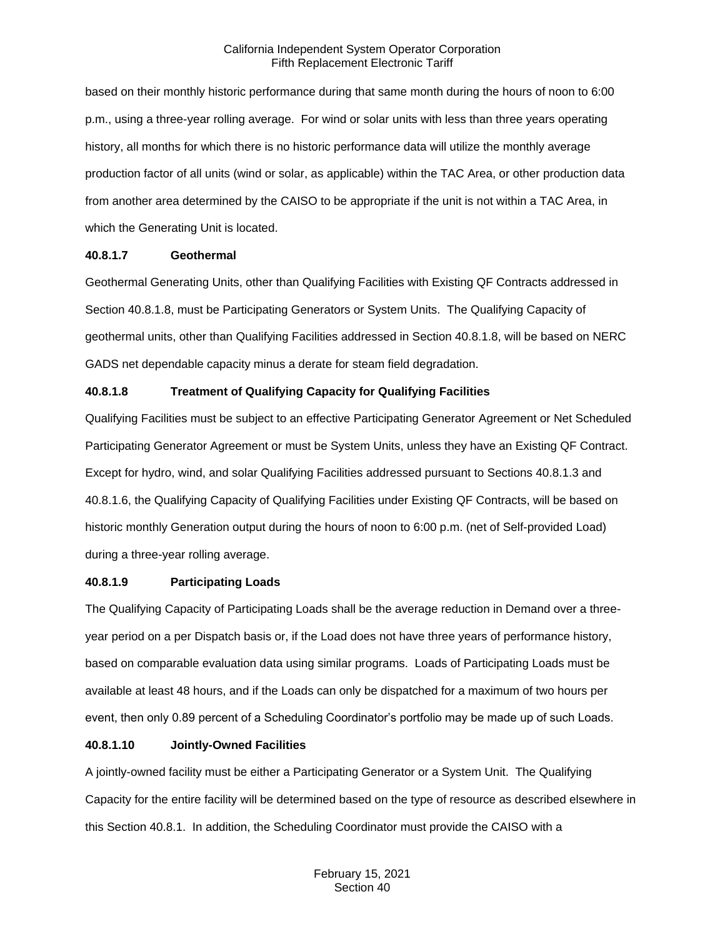based on their monthly historic performance during that same month during the hours of noon to 6:00 p.m., using a three-year rolling average. For wind or solar units with less than three years operating history, all months for which there is no historic performance data will utilize the monthly average production factor of all units (wind or solar, as applicable) within the TAC Area, or other production data from another area determined by the CAISO to be appropriate if the unit is not within a TAC Area, in which the Generating Unit is located.

#### **40.8.1.7 Geothermal**

Geothermal Generating Units, other than Qualifying Facilities with Existing QF Contracts addressed in Section 40.8.1.8, must be Participating Generators or System Units. The Qualifying Capacity of geothermal units, other than Qualifying Facilities addressed in Section 40.8.1.8, will be based on NERC GADS net dependable capacity minus a derate for steam field degradation.

## **40.8.1.8 Treatment of Qualifying Capacity for Qualifying Facilities**

Qualifying Facilities must be subject to an effective Participating Generator Agreement or Net Scheduled Participating Generator Agreement or must be System Units, unless they have an Existing QF Contract. Except for hydro, wind, and solar Qualifying Facilities addressed pursuant to Sections 40.8.1.3 and 40.8.1.6, the Qualifying Capacity of Qualifying Facilities under Existing QF Contracts, will be based on historic monthly Generation output during the hours of noon to 6:00 p.m. (net of Self-provided Load) during a three-year rolling average.

## **40.8.1.9 Participating Loads**

The Qualifying Capacity of Participating Loads shall be the average reduction in Demand over a threeyear period on a per Dispatch basis or, if the Load does not have three years of performance history, based on comparable evaluation data using similar programs. Loads of Participating Loads must be available at least 48 hours, and if the Loads can only be dispatched for a maximum of two hours per event, then only 0.89 percent of a Scheduling Coordinator's portfolio may be made up of such Loads.

## **40.8.1.10 Jointly-Owned Facilities**

A jointly-owned facility must be either a Participating Generator or a System Unit. The Qualifying Capacity for the entire facility will be determined based on the type of resource as described elsewhere in this Section 40.8.1. In addition, the Scheduling Coordinator must provide the CAISO with a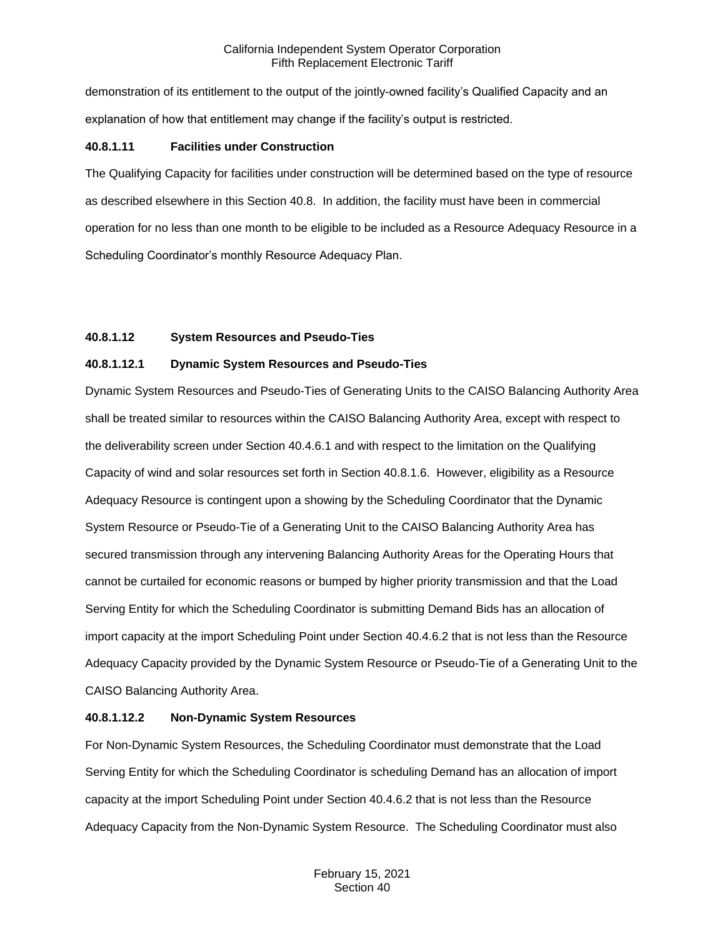demonstration of its entitlement to the output of the jointly-owned facility's Qualified Capacity and an explanation of how that entitlement may change if the facility's output is restricted.

## **40.8.1.11 Facilities under Construction**

The Qualifying Capacity for facilities under construction will be determined based on the type of resource as described elsewhere in this Section 40.8. In addition, the facility must have been in commercial operation for no less than one month to be eligible to be included as a Resource Adequacy Resource in a Scheduling Coordinator's monthly Resource Adequacy Plan.

## **40.8.1.12 System Resources and Pseudo-Ties**

## **40.8.1.12.1 Dynamic System Resources and Pseudo-Ties**

Dynamic System Resources and Pseudo-Ties of Generating Units to the CAISO Balancing Authority Area shall be treated similar to resources within the CAISO Balancing Authority Area, except with respect to the deliverability screen under Section 40.4.6.1 and with respect to the limitation on the Qualifying Capacity of wind and solar resources set forth in Section 40.8.1.6. However, eligibility as a Resource Adequacy Resource is contingent upon a showing by the Scheduling Coordinator that the Dynamic System Resource or Pseudo-Tie of a Generating Unit to the CAISO Balancing Authority Area has secured transmission through any intervening Balancing Authority Areas for the Operating Hours that cannot be curtailed for economic reasons or bumped by higher priority transmission and that the Load Serving Entity for which the Scheduling Coordinator is submitting Demand Bids has an allocation of import capacity at the import Scheduling Point under Section 40.4.6.2 that is not less than the Resource Adequacy Capacity provided by the Dynamic System Resource or Pseudo-Tie of a Generating Unit to the CAISO Balancing Authority Area.

## **40.8.1.12.2 Non-Dynamic System Resources**

For Non-Dynamic System Resources, the Scheduling Coordinator must demonstrate that the Load Serving Entity for which the Scheduling Coordinator is scheduling Demand has an allocation of import capacity at the import Scheduling Point under Section 40.4.6.2 that is not less than the Resource Adequacy Capacity from the Non-Dynamic System Resource. The Scheduling Coordinator must also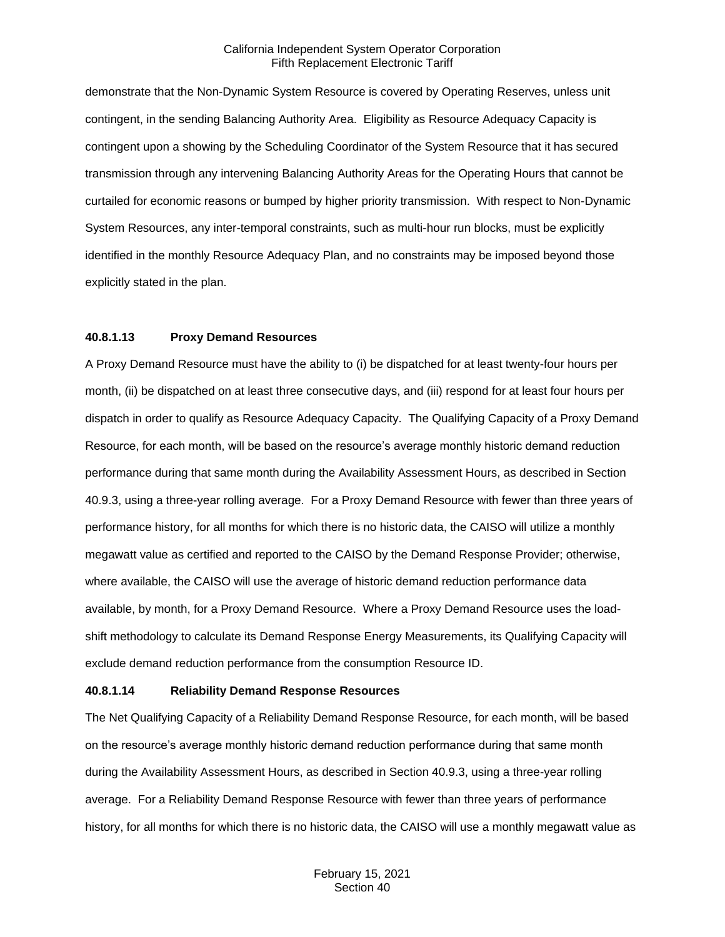demonstrate that the Non-Dynamic System Resource is covered by Operating Reserves, unless unit contingent, in the sending Balancing Authority Area. Eligibility as Resource Adequacy Capacity is contingent upon a showing by the Scheduling Coordinator of the System Resource that it has secured transmission through any intervening Balancing Authority Areas for the Operating Hours that cannot be curtailed for economic reasons or bumped by higher priority transmission. With respect to Non-Dynamic System Resources, any inter-temporal constraints, such as multi-hour run blocks, must be explicitly identified in the monthly Resource Adequacy Plan, and no constraints may be imposed beyond those explicitly stated in the plan.

#### **40.8.1.13 Proxy Demand Resources**

A Proxy Demand Resource must have the ability to (i) be dispatched for at least twenty-four hours per month, (ii) be dispatched on at least three consecutive days, and (iii) respond for at least four hours per dispatch in order to qualify as Resource Adequacy Capacity. The Qualifying Capacity of a Proxy Demand Resource, for each month, will be based on the resource's average monthly historic demand reduction performance during that same month during the Availability Assessment Hours, as described in Section 40.9.3, using a three-year rolling average. For a Proxy Demand Resource with fewer than three years of performance history, for all months for which there is no historic data, the CAISO will utilize a monthly megawatt value as certified and reported to the CAISO by the Demand Response Provider; otherwise, where available, the CAISO will use the average of historic demand reduction performance data available, by month, for a Proxy Demand Resource. Where a Proxy Demand Resource uses the loadshift methodology to calculate its Demand Response Energy Measurements, its Qualifying Capacity will exclude demand reduction performance from the consumption Resource ID.

#### **40.8.1.14 Reliability Demand Response Resources**

The Net Qualifying Capacity of a Reliability Demand Response Resource, for each month, will be based on the resource's average monthly historic demand reduction performance during that same month during the Availability Assessment Hours, as described in Section 40.9.3, using a three-year rolling average. For a Reliability Demand Response Resource with fewer than three years of performance history, for all months for which there is no historic data, the CAISO will use a monthly megawatt value as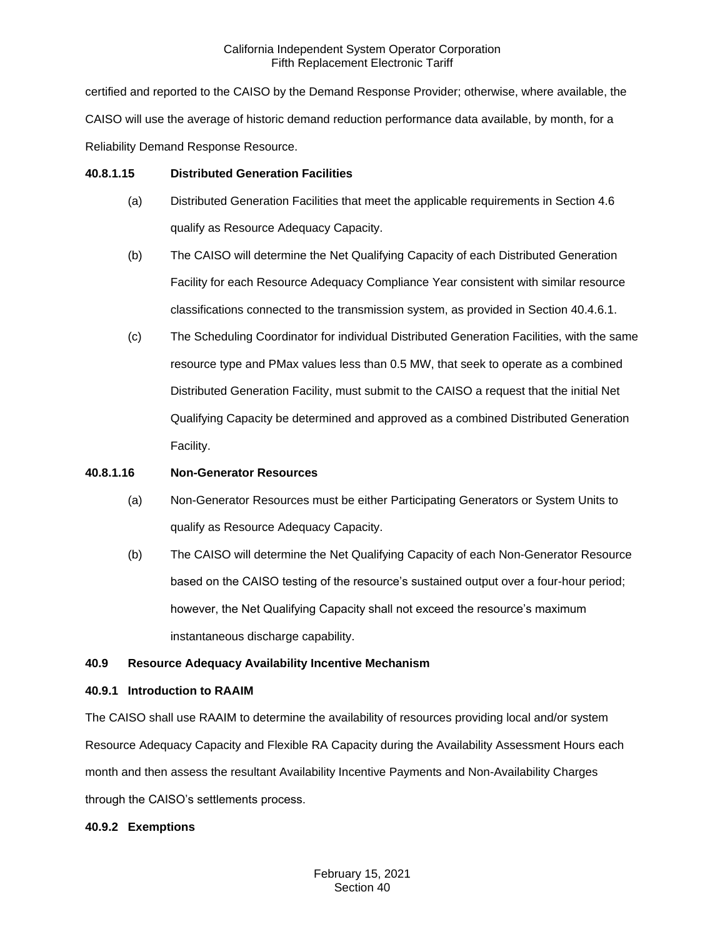certified and reported to the CAISO by the Demand Response Provider; otherwise, where available, the CAISO will use the average of historic demand reduction performance data available, by month, for a Reliability Demand Response Resource.

#### **40.8.1.15 Distributed Generation Facilities**

- (a) Distributed Generation Facilities that meet the applicable requirements in Section 4.6 qualify as Resource Adequacy Capacity.
- (b) The CAISO will determine the Net Qualifying Capacity of each Distributed Generation Facility for each Resource Adequacy Compliance Year consistent with similar resource classifications connected to the transmission system, as provided in Section 40.4.6.1.
- (c) The Scheduling Coordinator for individual Distributed Generation Facilities, with the same resource type and PMax values less than 0.5 MW, that seek to operate as a combined Distributed Generation Facility, must submit to the CAISO a request that the initial Net Qualifying Capacity be determined and approved as a combined Distributed Generation Facility.

## **40.8.1.16 Non-Generator Resources**

- (a) Non-Generator Resources must be either Participating Generators or System Units to qualify as Resource Adequacy Capacity.
- (b) The CAISO will determine the Net Qualifying Capacity of each Non-Generator Resource based on the CAISO testing of the resource's sustained output over a four-hour period; however, the Net Qualifying Capacity shall not exceed the resource's maximum instantaneous discharge capability.

## **40.9 Resource Adequacy Availability Incentive Mechanism**

#### **40.9.1 Introduction to RAAIM**

The CAISO shall use RAAIM to determine the availability of resources providing local and/or system Resource Adequacy Capacity and Flexible RA Capacity during the Availability Assessment Hours each month and then assess the resultant Availability Incentive Payments and Non-Availability Charges through the CAISO's settlements process.

## **40.9.2 Exemptions**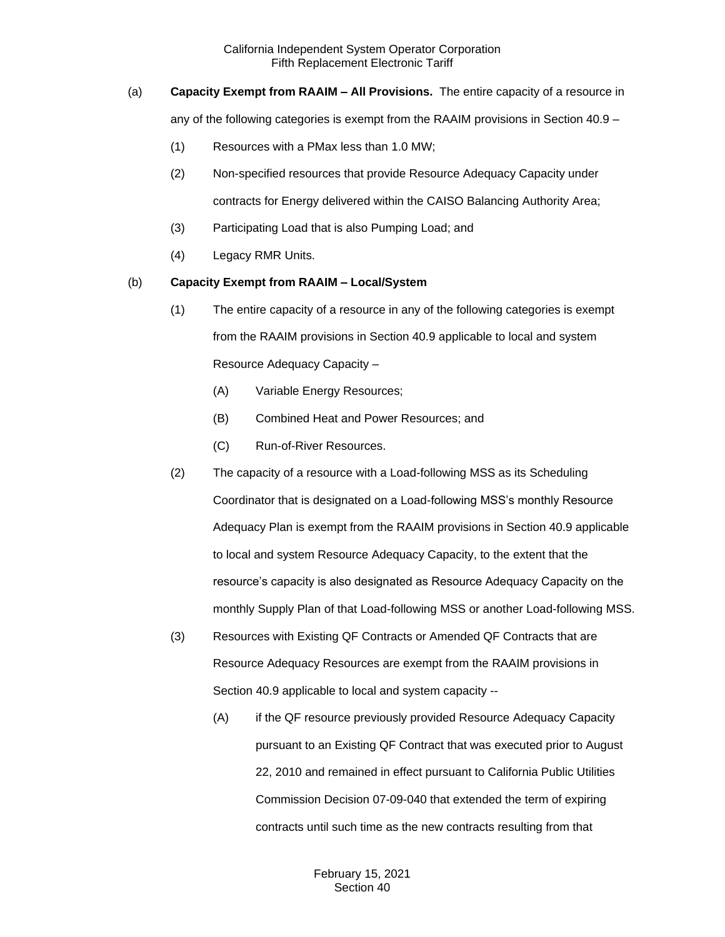## (a) **Capacity Exempt from RAAIM – All Provisions.** The entire capacity of a resource in

any of the following categories is exempt from the RAAIM provisions in Section 40.9 –

- (1) Resources with a PMax less than 1.0 MW;
- (2) Non-specified resources that provide Resource Adequacy Capacity under contracts for Energy delivered within the CAISO Balancing Authority Area;
- (3) Participating Load that is also Pumping Load; and
- (4) Legacy RMR Units.

#### (b) **Capacity Exempt from RAAIM – Local/System**

- (1) The entire capacity of a resource in any of the following categories is exempt from the RAAIM provisions in Section 40.9 applicable to local and system Resource Adequacy Capacity –
	- (A) Variable Energy Resources;
	- (B) Combined Heat and Power Resources; and
	- (C) Run-of-River Resources.
- (2) The capacity of a resource with a Load-following MSS as its Scheduling Coordinator that is designated on a Load-following MSS's monthly Resource Adequacy Plan is exempt from the RAAIM provisions in Section 40.9 applicable to local and system Resource Adequacy Capacity, to the extent that the resource's capacity is also designated as Resource Adequacy Capacity on the monthly Supply Plan of that Load-following MSS or another Load-following MSS.
- (3) Resources with Existing QF Contracts or Amended QF Contracts that are Resource Adequacy Resources are exempt from the RAAIM provisions in Section 40.9 applicable to local and system capacity --
	- (A) if the QF resource previously provided Resource Adequacy Capacity pursuant to an Existing QF Contract that was executed prior to August 22, 2010 and remained in effect pursuant to California Public Utilities Commission Decision 07-09-040 that extended the term of expiring contracts until such time as the new contracts resulting from that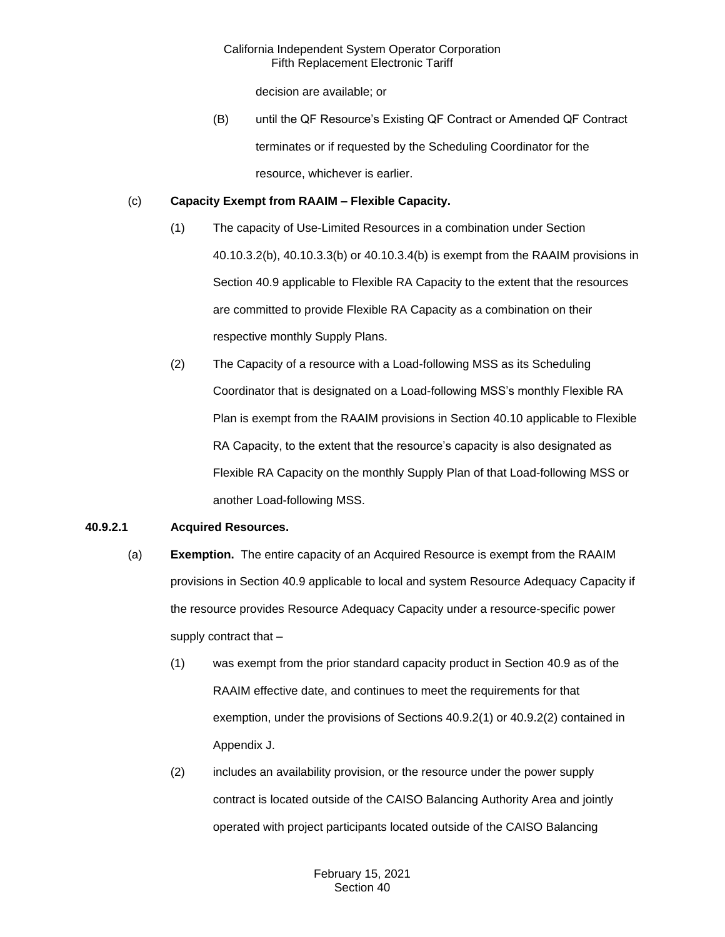decision are available; or

(B) until the QF Resource's Existing QF Contract or Amended QF Contract terminates or if requested by the Scheduling Coordinator for the resource, whichever is earlier.

## (c) **Capacity Exempt from RAAIM – Flexible Capacity.**

- (1) The capacity of Use-Limited Resources in a combination under Section 40.10.3.2(b), 40.10.3.3(b) or 40.10.3.4(b) is exempt from the RAAIM provisions in Section 40.9 applicable to Flexible RA Capacity to the extent that the resources are committed to provide Flexible RA Capacity as a combination on their respective monthly Supply Plans.
- (2) The Capacity of a resource with a Load-following MSS as its Scheduling Coordinator that is designated on a Load-following MSS's monthly Flexible RA Plan is exempt from the RAAIM provisions in Section 40.10 applicable to Flexible RA Capacity, to the extent that the resource's capacity is also designated as Flexible RA Capacity on the monthly Supply Plan of that Load-following MSS or another Load-following MSS.

## **40.9.2.1 Acquired Resources.**

- (a) **Exemption.** The entire capacity of an Acquired Resource is exempt from the RAAIM provisions in Section 40.9 applicable to local and system Resource Adequacy Capacity if the resource provides Resource Adequacy Capacity under a resource-specific power supply contract that –
	- (1) was exempt from the prior standard capacity product in Section 40.9 as of the RAAIM effective date, and continues to meet the requirements for that exemption, under the provisions of Sections 40.9.2(1) or 40.9.2(2) contained in Appendix J.
	- (2) includes an availability provision, or the resource under the power supply contract is located outside of the CAISO Balancing Authority Area and jointly operated with project participants located outside of the CAISO Balancing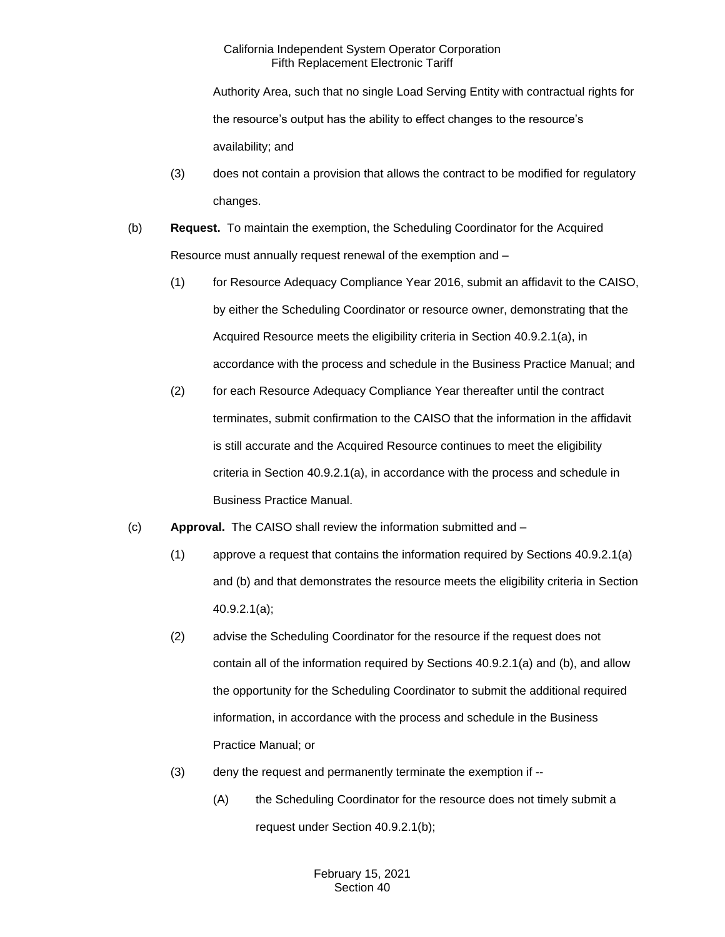Authority Area, such that no single Load Serving Entity with contractual rights for the resource's output has the ability to effect changes to the resource's availability; and

- (3) does not contain a provision that allows the contract to be modified for regulatory changes.
- (b) **Request.** To maintain the exemption, the Scheduling Coordinator for the Acquired Resource must annually request renewal of the exemption and –
	- (1) for Resource Adequacy Compliance Year 2016, submit an affidavit to the CAISO, by either the Scheduling Coordinator or resource owner, demonstrating that the Acquired Resource meets the eligibility criteria in Section 40.9.2.1(a), in accordance with the process and schedule in the Business Practice Manual; and
	- (2) for each Resource Adequacy Compliance Year thereafter until the contract terminates, submit confirmation to the CAISO that the information in the affidavit is still accurate and the Acquired Resource continues to meet the eligibility criteria in Section 40.9.2.1(a), in accordance with the process and schedule in Business Practice Manual.
- (c) **Approval.** The CAISO shall review the information submitted and
	- (1) approve a request that contains the information required by Sections 40.9.2.1(a) and (b) and that demonstrates the resource meets the eligibility criteria in Section 40.9.2.1(a);
	- (2) advise the Scheduling Coordinator for the resource if the request does not contain all of the information required by Sections 40.9.2.1(a) and (b), and allow the opportunity for the Scheduling Coordinator to submit the additional required information, in accordance with the process and schedule in the Business Practice Manual; or
	- (3) deny the request and permanently terminate the exemption if --
		- (A) the Scheduling Coordinator for the resource does not timely submit a request under Section 40.9.2.1(b);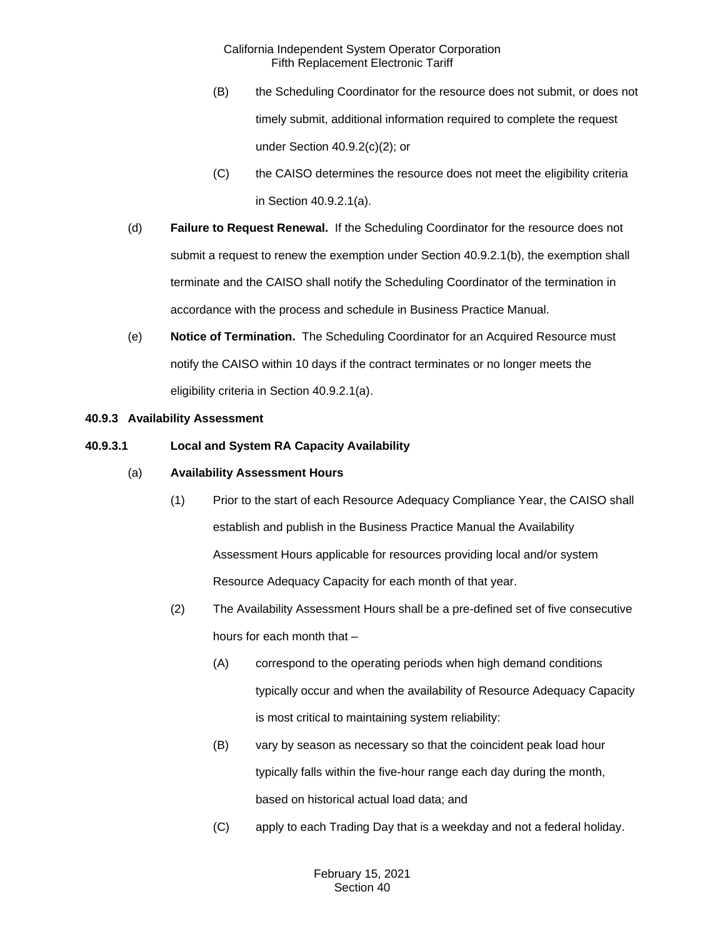- (B) the Scheduling Coordinator for the resource does not submit, or does not timely submit, additional information required to complete the request under Section 40.9.2(c)(2); or
- (C) the CAISO determines the resource does not meet the eligibility criteria in Section 40.9.2.1(a).
- (d) **Failure to Request Renewal.** If the Scheduling Coordinator for the resource does not submit a request to renew the exemption under Section 40.9.2.1(b), the exemption shall terminate and the CAISO shall notify the Scheduling Coordinator of the termination in accordance with the process and schedule in Business Practice Manual.
- (e) **Notice of Termination.** The Scheduling Coordinator for an Acquired Resource must notify the CAISO within 10 days if the contract terminates or no longer meets the eligibility criteria in Section 40.9.2.1(a).

## **40.9.3 Availability Assessment**

## **40.9.3.1 Local and System RA Capacity Availability**

#### (a) **Availability Assessment Hours**

- (1) Prior to the start of each Resource Adequacy Compliance Year, the CAISO shall establish and publish in the Business Practice Manual the Availability Assessment Hours applicable for resources providing local and/or system Resource Adequacy Capacity for each month of that year.
- (2) The Availability Assessment Hours shall be a pre-defined set of five consecutive hours for each month that –
	- (A) correspond to the operating periods when high demand conditions typically occur and when the availability of Resource Adequacy Capacity is most critical to maintaining system reliability:
	- (B) vary by season as necessary so that the coincident peak load hour typically falls within the five-hour range each day during the month, based on historical actual load data; and
	- (C) apply to each Trading Day that is a weekday and not a federal holiday.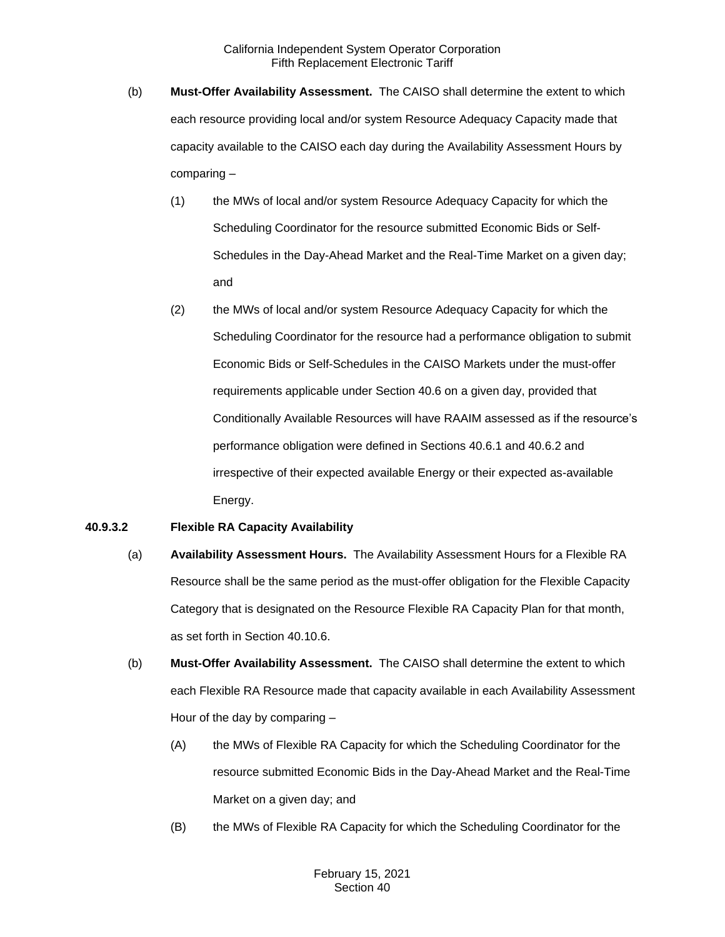- (b) **Must-Offer Availability Assessment.** The CAISO shall determine the extent to which each resource providing local and/or system Resource Adequacy Capacity made that capacity available to the CAISO each day during the Availability Assessment Hours by comparing –
	- (1) the MWs of local and/or system Resource Adequacy Capacity for which the Scheduling Coordinator for the resource submitted Economic Bids or Self-Schedules in the Day-Ahead Market and the Real-Time Market on a given day; and
	- (2) the MWs of local and/or system Resource Adequacy Capacity for which the Scheduling Coordinator for the resource had a performance obligation to submit Economic Bids or Self-Schedules in the CAISO Markets under the must-offer requirements applicable under Section 40.6 on a given day, provided that Conditionally Available Resources will have RAAIM assessed as if the resource's performance obligation were defined in Sections 40.6.1 and 40.6.2 and irrespective of their expected available Energy or their expected as-available Energy.

## **40.9.3.2 Flexible RA Capacity Availability**

- (a) **Availability Assessment Hours.** The Availability Assessment Hours for a Flexible RA Resource shall be the same period as the must-offer obligation for the Flexible Capacity Category that is designated on the Resource Flexible RA Capacity Plan for that month, as set forth in Section 40.10.6.
- (b) **Must-Offer Availability Assessment.** The CAISO shall determine the extent to which each Flexible RA Resource made that capacity available in each Availability Assessment Hour of the day by comparing –
	- (A) the MWs of Flexible RA Capacity for which the Scheduling Coordinator for the resource submitted Economic Bids in the Day-Ahead Market and the Real-Time Market on a given day; and
	- (B) the MWs of Flexible RA Capacity for which the Scheduling Coordinator for the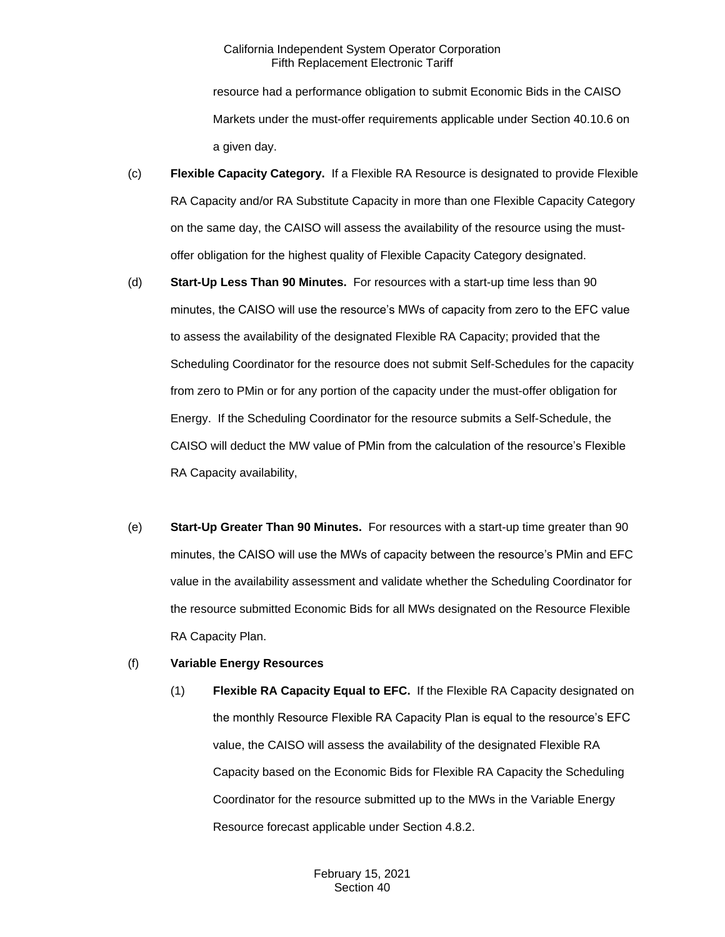resource had a performance obligation to submit Economic Bids in the CAISO Markets under the must-offer requirements applicable under Section 40.10.6 on a given day.

- (c) **Flexible Capacity Category.** If a Flexible RA Resource is designated to provide Flexible RA Capacity and/or RA Substitute Capacity in more than one Flexible Capacity Category on the same day, the CAISO will assess the availability of the resource using the mustoffer obligation for the highest quality of Flexible Capacity Category designated.
- (d) **Start-Up Less Than 90 Minutes.** For resources with a start-up time less than 90 minutes, the CAISO will use the resource's MWs of capacity from zero to the EFC value to assess the availability of the designated Flexible RA Capacity; provided that the Scheduling Coordinator for the resource does not submit Self-Schedules for the capacity from zero to PMin or for any portion of the capacity under the must-offer obligation for Energy. If the Scheduling Coordinator for the resource submits a Self-Schedule, the CAISO will deduct the MW value of PMin from the calculation of the resource's Flexible RA Capacity availability,
- (e) **Start-Up Greater Than 90 Minutes.** For resources with a start-up time greater than 90 minutes, the CAISO will use the MWs of capacity between the resource's PMin and EFC value in the availability assessment and validate whether the Scheduling Coordinator for the resource submitted Economic Bids for all MWs designated on the Resource Flexible RA Capacity Plan.

#### (f) **Variable Energy Resources**

(1) **Flexible RA Capacity Equal to EFC.** If the Flexible RA Capacity designated on the monthly Resource Flexible RA Capacity Plan is equal to the resource's EFC value, the CAISO will assess the availability of the designated Flexible RA Capacity based on the Economic Bids for Flexible RA Capacity the Scheduling Coordinator for the resource submitted up to the MWs in the Variable Energy Resource forecast applicable under Section 4.8.2.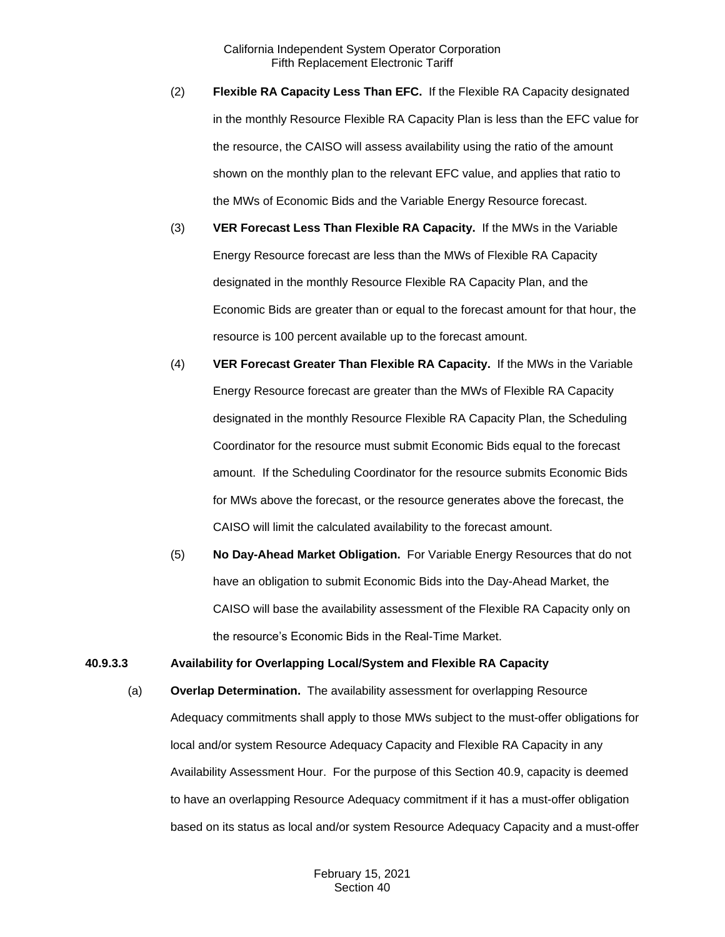- (2) **Flexible RA Capacity Less Than EFC.** If the Flexible RA Capacity designated in the monthly Resource Flexible RA Capacity Plan is less than the EFC value for the resource, the CAISO will assess availability using the ratio of the amount shown on the monthly plan to the relevant EFC value, and applies that ratio to the MWs of Economic Bids and the Variable Energy Resource forecast.
- (3) **VER Forecast Less Than Flexible RA Capacity.** If the MWs in the Variable Energy Resource forecast are less than the MWs of Flexible RA Capacity designated in the monthly Resource Flexible RA Capacity Plan, and the Economic Bids are greater than or equal to the forecast amount for that hour, the resource is 100 percent available up to the forecast amount.
- (4) **VER Forecast Greater Than Flexible RA Capacity.** If the MWs in the Variable Energy Resource forecast are greater than the MWs of Flexible RA Capacity designated in the monthly Resource Flexible RA Capacity Plan, the Scheduling Coordinator for the resource must submit Economic Bids equal to the forecast amount. If the Scheduling Coordinator for the resource submits Economic Bids for MWs above the forecast, or the resource generates above the forecast, the CAISO will limit the calculated availability to the forecast amount.
- (5) **No Day-Ahead Market Obligation.** For Variable Energy Resources that do not have an obligation to submit Economic Bids into the Day-Ahead Market, the CAISO will base the availability assessment of the Flexible RA Capacity only on the resource's Economic Bids in the Real-Time Market.

## **40.9.3.3 Availability for Overlapping Local/System and Flexible RA Capacity**

(a) **Overlap Determination.** The availability assessment for overlapping Resource Adequacy commitments shall apply to those MWs subject to the must-offer obligations for local and/or system Resource Adequacy Capacity and Flexible RA Capacity in any Availability Assessment Hour. For the purpose of this Section 40.9, capacity is deemed to have an overlapping Resource Adequacy commitment if it has a must-offer obligation based on its status as local and/or system Resource Adequacy Capacity and a must-offer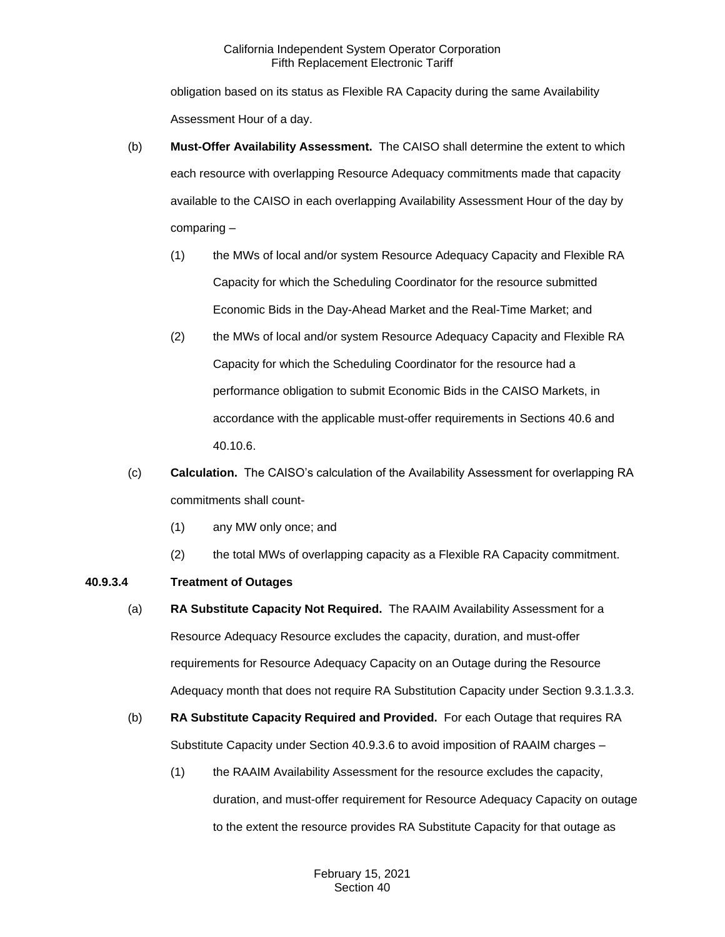obligation based on its status as Flexible RA Capacity during the same Availability Assessment Hour of a day.

- (b) **Must-Offer Availability Assessment.** The CAISO shall determine the extent to which each resource with overlapping Resource Adequacy commitments made that capacity available to the CAISO in each overlapping Availability Assessment Hour of the day by comparing –
	- (1) the MWs of local and/or system Resource Adequacy Capacity and Flexible RA Capacity for which the Scheduling Coordinator for the resource submitted Economic Bids in the Day-Ahead Market and the Real-Time Market; and
	- (2) the MWs of local and/or system Resource Adequacy Capacity and Flexible RA Capacity for which the Scheduling Coordinator for the resource had a performance obligation to submit Economic Bids in the CAISO Markets, in accordance with the applicable must-offer requirements in Sections 40.6 and 40.10.6.
- (c) **Calculation.** The CAISO's calculation of the Availability Assessment for overlapping RA commitments shall count-
	- (1) any MW only once; and
	- (2) the total MWs of overlapping capacity as a Flexible RA Capacity commitment.

## **40.9.3.4 Treatment of Outages**

- (a) **RA Substitute Capacity Not Required.** The RAAIM Availability Assessment for a Resource Adequacy Resource excludes the capacity, duration, and must-offer requirements for Resource Adequacy Capacity on an Outage during the Resource Adequacy month that does not require RA Substitution Capacity under Section 9.3.1.3.3.
- (b) **RA Substitute Capacity Required and Provided.** For each Outage that requires RA Substitute Capacity under Section 40.9.3.6 to avoid imposition of RAAIM charges –
	- (1) the RAAIM Availability Assessment for the resource excludes the capacity, duration, and must-offer requirement for Resource Adequacy Capacity on outage to the extent the resource provides RA Substitute Capacity for that outage as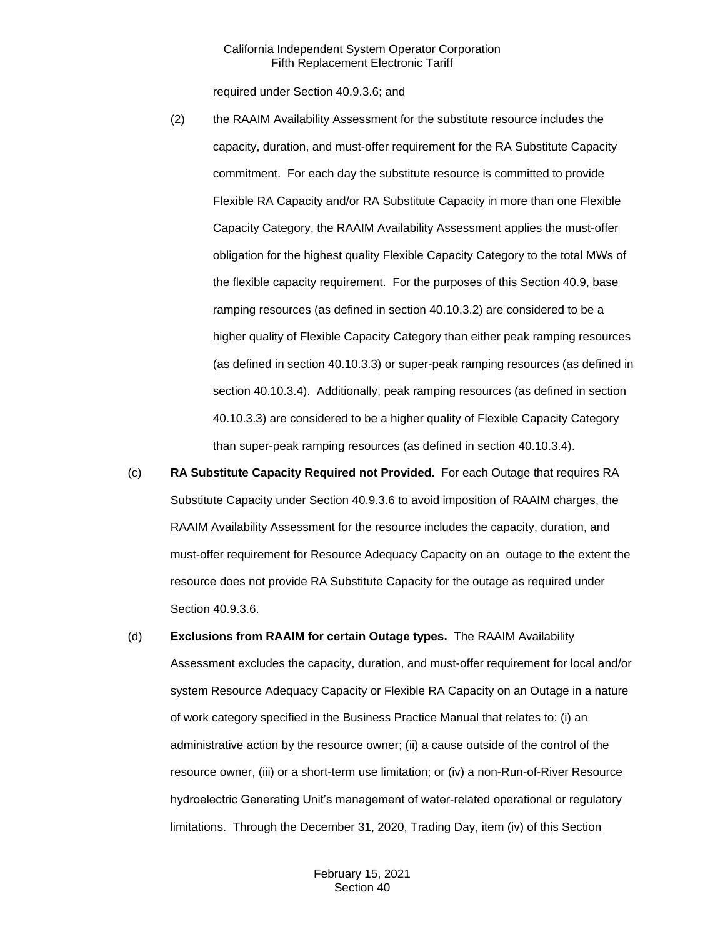required under Section 40.9.3.6; and

- (2) the RAAIM Availability Assessment for the substitute resource includes the capacity, duration, and must-offer requirement for the RA Substitute Capacity commitment. For each day the substitute resource is committed to provide Flexible RA Capacity and/or RA Substitute Capacity in more than one Flexible Capacity Category, the RAAIM Availability Assessment applies the must-offer obligation for the highest quality Flexible Capacity Category to the total MWs of the flexible capacity requirement. For the purposes of this Section 40.9, base ramping resources (as defined in section 40.10.3.2) are considered to be a higher quality of Flexible Capacity Category than either peak ramping resources (as defined in section 40.10.3.3) or super-peak ramping resources (as defined in section 40.10.3.4). Additionally, peak ramping resources (as defined in section 40.10.3.3) are considered to be a higher quality of Flexible Capacity Category than super-peak ramping resources (as defined in section 40.10.3.4).
- (c) **RA Substitute Capacity Required not Provided.** For each Outage that requires RA Substitute Capacity under Section 40.9.3.6 to avoid imposition of RAAIM charges, the RAAIM Availability Assessment for the resource includes the capacity, duration, and must-offer requirement for Resource Adequacy Capacity on an outage to the extent the resource does not provide RA Substitute Capacity for the outage as required under Section 40.9.3.6.
- (d) **Exclusions from RAAIM for certain Outage types.** The RAAIM Availability Assessment excludes the capacity, duration, and must-offer requirement for local and/or system Resource Adequacy Capacity or Flexible RA Capacity on an Outage in a nature of work category specified in the Business Practice Manual that relates to: (i) an administrative action by the resource owner; (ii) a cause outside of the control of the resource owner, (iii) or a short-term use limitation; or (iv) a non-Run-of-River Resource hydroelectric Generating Unit's management of water-related operational or regulatory limitations. Through the December 31, 2020, Trading Day, item (iv) of this Section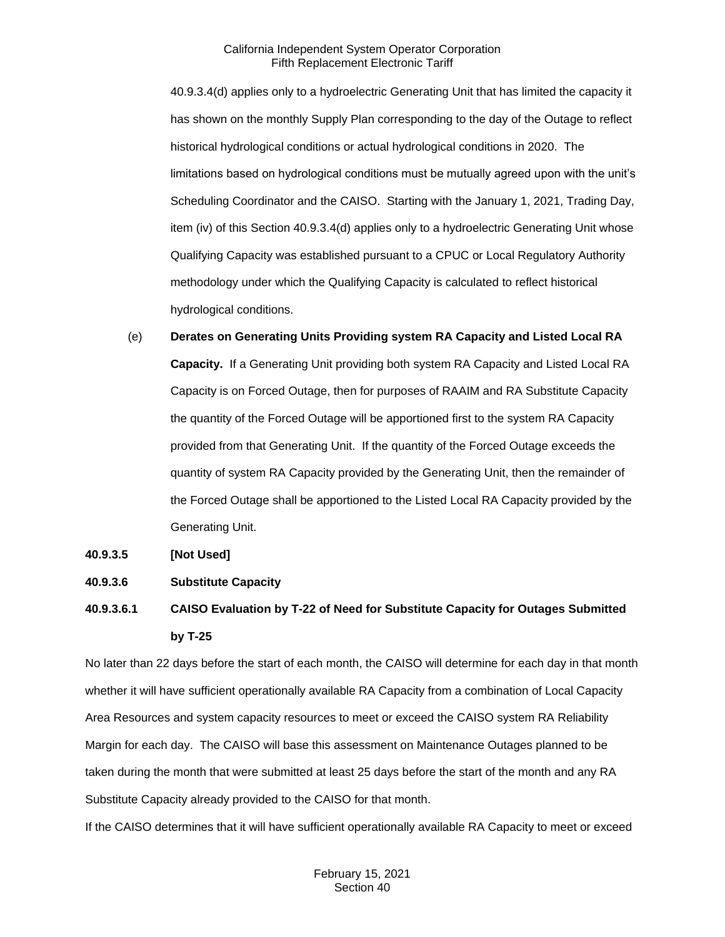40.9.3.4(d) applies only to a hydroelectric Generating Unit that has limited the capacity it has shown on the monthly Supply Plan corresponding to the day of the Outage to reflect historical hydrological conditions or actual hydrological conditions in 2020. The limitations based on hydrological conditions must be mutually agreed upon with the unit's Scheduling Coordinator and the CAISO. Starting with the January 1, 2021, Trading Day, item (iv) of this Section 40.9.3.4(d) applies only to a hydroelectric Generating Unit whose Qualifying Capacity was established pursuant to a CPUC or Local Regulatory Authority methodology under which the Qualifying Capacity is calculated to reflect historical hydrological conditions.

# (e) **Derates on Generating Units Providing system RA Capacity and Listed Local RA Capacity.** If a Generating Unit providing both system RA Capacity and Listed Local RA Capacity is on Forced Outage, then for purposes of RAAIM and RA Substitute Capacity the quantity of the Forced Outage will be apportioned first to the system RA Capacity provided from that Generating Unit. If the quantity of the Forced Outage exceeds the quantity of system RA Capacity provided by the Generating Unit, then the remainder of the Forced Outage shall be apportioned to the Listed Local RA Capacity provided by the Generating Unit.

#### **40.9.3.5 [Not Used]**

## **40.9.3.6 Substitute Capacity**

# **40.9.3.6.1 CAISO Evaluation by T-22 of Need for Substitute Capacity for Outages Submitted by T-25**

No later than 22 days before the start of each month, the CAISO will determine for each day in that month whether it will have sufficient operationally available RA Capacity from a combination of Local Capacity Area Resources and system capacity resources to meet or exceed the CAISO system RA Reliability Margin for each day. The CAISO will base this assessment on Maintenance Outages planned to be taken during the month that were submitted at least 25 days before the start of the month and any RA Substitute Capacity already provided to the CAISO for that month.

If the CAISO determines that it will have sufficient operationally available RA Capacity to meet or exceed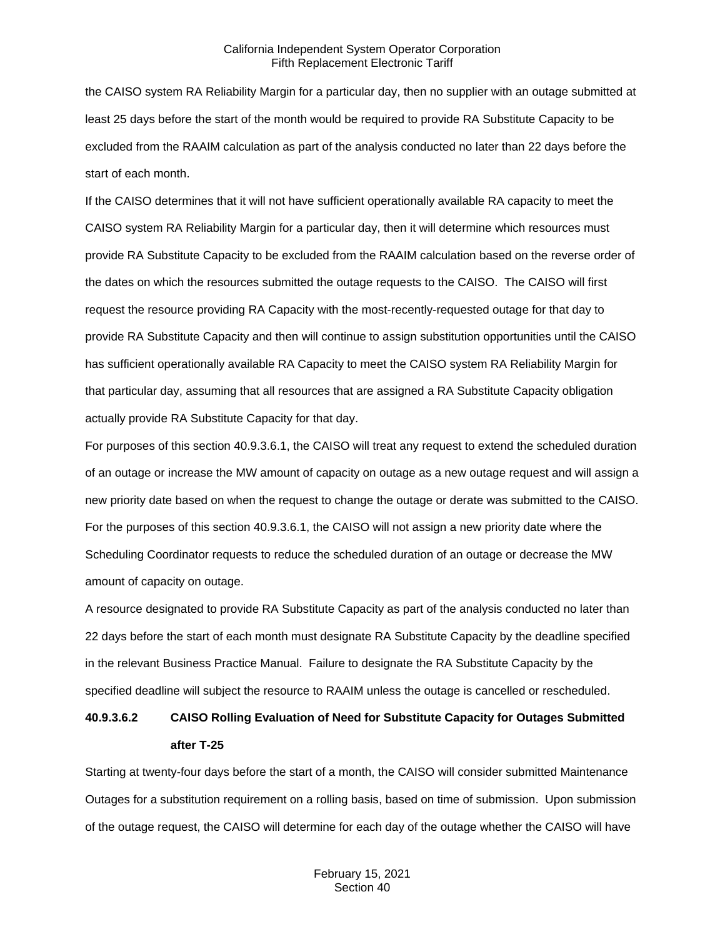the CAISO system RA Reliability Margin for a particular day, then no supplier with an outage submitted at least 25 days before the start of the month would be required to provide RA Substitute Capacity to be excluded from the RAAIM calculation as part of the analysis conducted no later than 22 days before the start of each month.

If the CAISO determines that it will not have sufficient operationally available RA capacity to meet the CAISO system RA Reliability Margin for a particular day, then it will determine which resources must provide RA Substitute Capacity to be excluded from the RAAIM calculation based on the reverse order of the dates on which the resources submitted the outage requests to the CAISO. The CAISO will first request the resource providing RA Capacity with the most-recently-requested outage for that day to provide RA Substitute Capacity and then will continue to assign substitution opportunities until the CAISO has sufficient operationally available RA Capacity to meet the CAISO system RA Reliability Margin for that particular day, assuming that all resources that are assigned a RA Substitute Capacity obligation actually provide RA Substitute Capacity for that day.

For purposes of this section 40.9.3.6.1, the CAISO will treat any request to extend the scheduled duration of an outage or increase the MW amount of capacity on outage as a new outage request and will assign a new priority date based on when the request to change the outage or derate was submitted to the CAISO. For the purposes of this section 40.9.3.6.1, the CAISO will not assign a new priority date where the Scheduling Coordinator requests to reduce the scheduled duration of an outage or decrease the MW amount of capacity on outage.

A resource designated to provide RA Substitute Capacity as part of the analysis conducted no later than 22 days before the start of each month must designate RA Substitute Capacity by the deadline specified in the relevant Business Practice Manual. Failure to designate the RA Substitute Capacity by the specified deadline will subject the resource to RAAIM unless the outage is cancelled or rescheduled.

## **40.9.3.6.2 CAISO Rolling Evaluation of Need for Substitute Capacity for Outages Submitted after T-25**

Starting at twenty-four days before the start of a month, the CAISO will consider submitted Maintenance Outages for a substitution requirement on a rolling basis, based on time of submission. Upon submission of the outage request, the CAISO will determine for each day of the outage whether the CAISO will have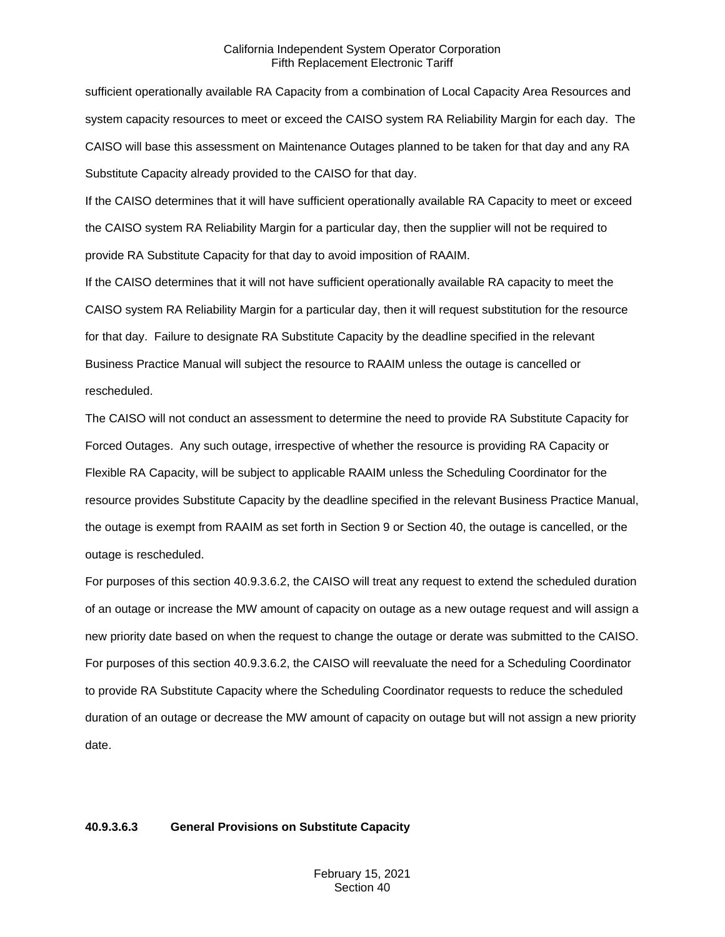sufficient operationally available RA Capacity from a combination of Local Capacity Area Resources and system capacity resources to meet or exceed the CAISO system RA Reliability Margin for each day. The CAISO will base this assessment on Maintenance Outages planned to be taken for that day and any RA Substitute Capacity already provided to the CAISO for that day.

If the CAISO determines that it will have sufficient operationally available RA Capacity to meet or exceed the CAISO system RA Reliability Margin for a particular day, then the supplier will not be required to provide RA Substitute Capacity for that day to avoid imposition of RAAIM.

If the CAISO determines that it will not have sufficient operationally available RA capacity to meet the CAISO system RA Reliability Margin for a particular day, then it will request substitution for the resource for that day. Failure to designate RA Substitute Capacity by the deadline specified in the relevant Business Practice Manual will subject the resource to RAAIM unless the outage is cancelled or rescheduled.

The CAISO will not conduct an assessment to determine the need to provide RA Substitute Capacity for Forced Outages. Any such outage, irrespective of whether the resource is providing RA Capacity or Flexible RA Capacity, will be subject to applicable RAAIM unless the Scheduling Coordinator for the resource provides Substitute Capacity by the deadline specified in the relevant Business Practice Manual, the outage is exempt from RAAIM as set forth in Section 9 or Section 40, the outage is cancelled, or the outage is rescheduled.

For purposes of this section 40.9.3.6.2, the CAISO will treat any request to extend the scheduled duration of an outage or increase the MW amount of capacity on outage as a new outage request and will assign a new priority date based on when the request to change the outage or derate was submitted to the CAISO. For purposes of this section 40.9.3.6.2, the CAISO will reevaluate the need for a Scheduling Coordinator to provide RA Substitute Capacity where the Scheduling Coordinator requests to reduce the scheduled duration of an outage or decrease the MW amount of capacity on outage but will not assign a new priority date.

## **40.9.3.6.3 General Provisions on Substitute Capacity**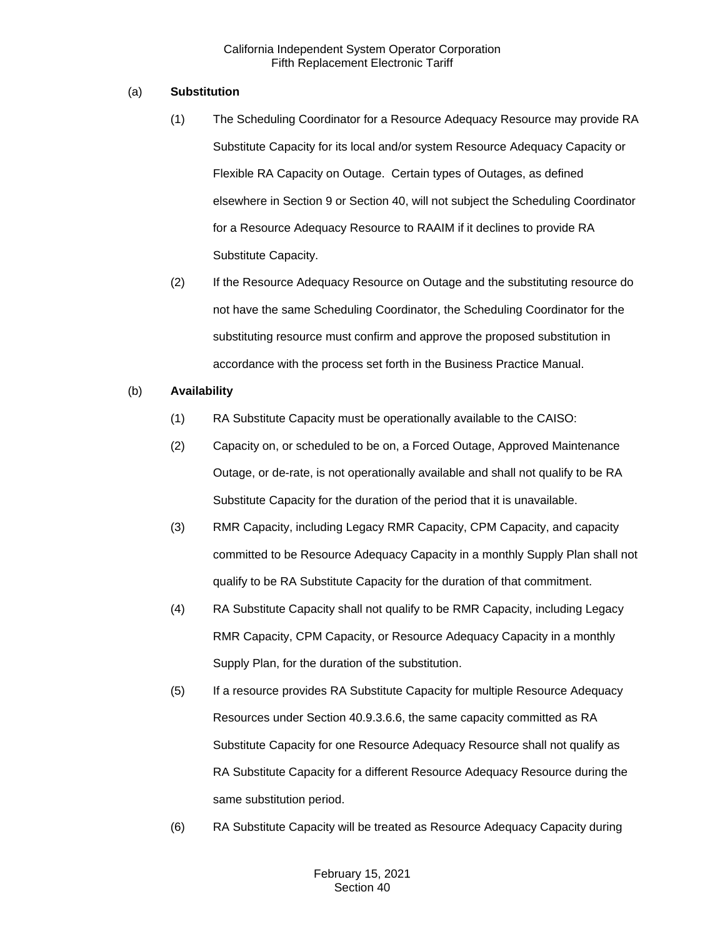## (a) **Substitution**

- (1) The Scheduling Coordinator for a Resource Adequacy Resource may provide RA Substitute Capacity for its local and/or system Resource Adequacy Capacity or Flexible RA Capacity on Outage. Certain types of Outages, as defined elsewhere in Section 9 or Section 40, will not subject the Scheduling Coordinator for a Resource Adequacy Resource to RAAIM if it declines to provide RA Substitute Capacity.
- (2) If the Resource Adequacy Resource on Outage and the substituting resource do not have the same Scheduling Coordinator, the Scheduling Coordinator for the substituting resource must confirm and approve the proposed substitution in accordance with the process set forth in the Business Practice Manual.

## (b) **Availability**

- (1) RA Substitute Capacity must be operationally available to the CAISO:
- (2) Capacity on, or scheduled to be on, a Forced Outage, Approved Maintenance Outage, or de-rate, is not operationally available and shall not qualify to be RA Substitute Capacity for the duration of the period that it is unavailable.
- (3) RMR Capacity, including Legacy RMR Capacity, CPM Capacity, and capacity committed to be Resource Adequacy Capacity in a monthly Supply Plan shall not qualify to be RA Substitute Capacity for the duration of that commitment.
- (4) RA Substitute Capacity shall not qualify to be RMR Capacity, including Legacy RMR Capacity, CPM Capacity, or Resource Adequacy Capacity in a monthly Supply Plan, for the duration of the substitution.
- (5) If a resource provides RA Substitute Capacity for multiple Resource Adequacy Resources under Section 40.9.3.6.6, the same capacity committed as RA Substitute Capacity for one Resource Adequacy Resource shall not qualify as RA Substitute Capacity for a different Resource Adequacy Resource during the same substitution period.
- (6) RA Substitute Capacity will be treated as Resource Adequacy Capacity during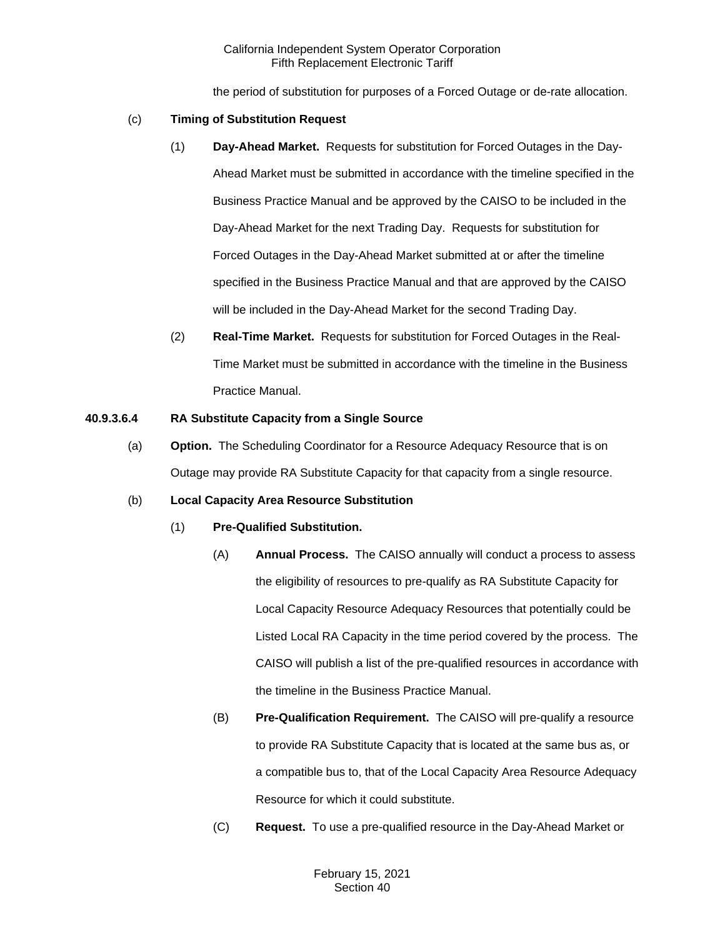the period of substitution for purposes of a Forced Outage or de-rate allocation.

## (c) **Timing of Substitution Request**

- (1) **Day-Ahead Market.** Requests for substitution for Forced Outages in the Day-Ahead Market must be submitted in accordance with the timeline specified in the Business Practice Manual and be approved by the CAISO to be included in the Day-Ahead Market for the next Trading Day. Requests for substitution for Forced Outages in the Day-Ahead Market submitted at or after the timeline specified in the Business Practice Manual and that are approved by the CAISO will be included in the Day-Ahead Market for the second Trading Day.
- (2) **Real-Time Market.** Requests for substitution for Forced Outages in the Real-Time Market must be submitted in accordance with the timeline in the Business Practice Manual.

## **40.9.3.6.4 RA Substitute Capacity from a Single Source**

(a) **Option.** The Scheduling Coordinator for a Resource Adequacy Resource that is on Outage may provide RA Substitute Capacity for that capacity from a single resource.

## (b) **Local Capacity Area Resource Substitution**

- (1) **Pre-Qualified Substitution.**
	- (A) **Annual Process.** The CAISO annually will conduct a process to assess the eligibility of resources to pre-qualify as RA Substitute Capacity for Local Capacity Resource Adequacy Resources that potentially could be Listed Local RA Capacity in the time period covered by the process. The CAISO will publish a list of the pre-qualified resources in accordance with the timeline in the Business Practice Manual.
	- (B) **Pre-Qualification Requirement.** The CAISO will pre-qualify a resource to provide RA Substitute Capacity that is located at the same bus as, or a compatible bus to, that of the Local Capacity Area Resource Adequacy Resource for which it could substitute.
	- (C) **Request.** To use a pre-qualified resource in the Day-Ahead Market or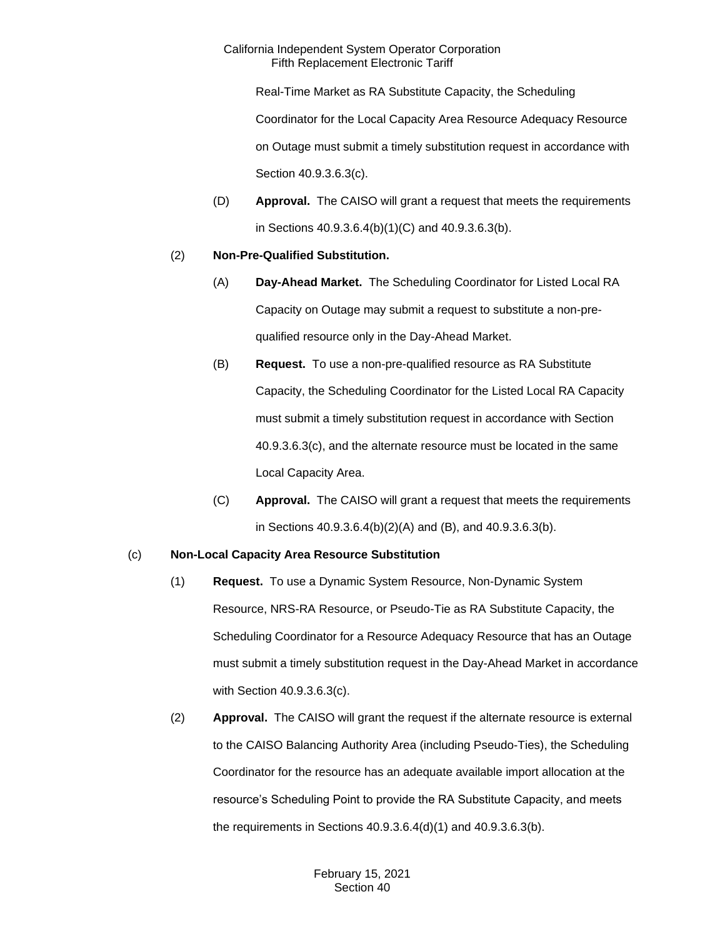Real-Time Market as RA Substitute Capacity, the Scheduling

Coordinator for the Local Capacity Area Resource Adequacy Resource on Outage must submit a timely substitution request in accordance with Section 40.9.3.6.3(c).

(D) **Approval.** The CAISO will grant a request that meets the requirements in Sections 40.9.3.6.4(b)(1)(C) and 40.9.3.6.3(b).

## (2) **Non-Pre-Qualified Substitution.**

- (A) **Day-Ahead Market.** The Scheduling Coordinator for Listed Local RA Capacity on Outage may submit a request to substitute a non-prequalified resource only in the Day-Ahead Market.
- (B) **Request.** To use a non-pre-qualified resource as RA Substitute Capacity, the Scheduling Coordinator for the Listed Local RA Capacity must submit a timely substitution request in accordance with Section 40.9.3.6.3(c), and the alternate resource must be located in the same Local Capacity Area.
- (C) **Approval.** The CAISO will grant a request that meets the requirements in Sections 40.9.3.6.4(b)(2)(A) and (B), and 40.9.3.6.3(b).

## (c) **Non-Local Capacity Area Resource Substitution**

- (1) **Request.** To use a Dynamic System Resource, Non-Dynamic System Resource, NRS-RA Resource, or Pseudo-Tie as RA Substitute Capacity, the Scheduling Coordinator for a Resource Adequacy Resource that has an Outage must submit a timely substitution request in the Day-Ahead Market in accordance with Section 40.9.3.6.3(c).
- (2) **Approval.** The CAISO will grant the request if the alternate resource is external to the CAISO Balancing Authority Area (including Pseudo-Ties), the Scheduling Coordinator for the resource has an adequate available import allocation at the resource's Scheduling Point to provide the RA Substitute Capacity, and meets the requirements in Sections 40.9.3.6.4(d)(1) and 40.9.3.6.3(b).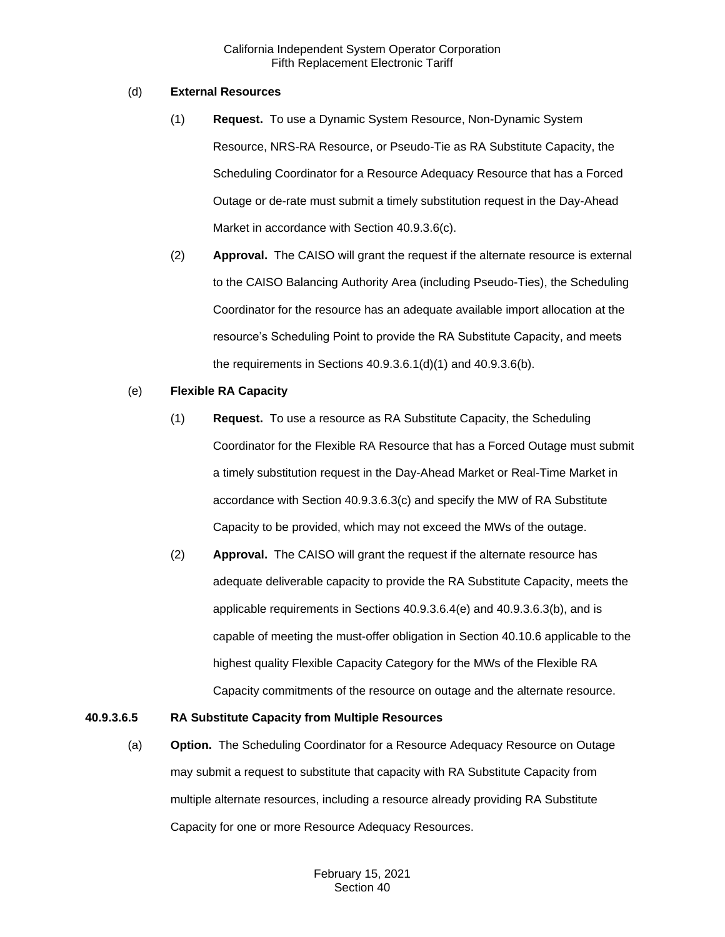## (d) **External Resources**

- (1) **Request.** To use a Dynamic System Resource, Non-Dynamic System Resource, NRS-RA Resource, or Pseudo-Tie as RA Substitute Capacity, the Scheduling Coordinator for a Resource Adequacy Resource that has a Forced Outage or de-rate must submit a timely substitution request in the Day-Ahead Market in accordance with Section 40.9.3.6(c).
- (2) **Approval.** The CAISO will grant the request if the alternate resource is external to the CAISO Balancing Authority Area (including Pseudo-Ties), the Scheduling Coordinator for the resource has an adequate available import allocation at the resource's Scheduling Point to provide the RA Substitute Capacity, and meets the requirements in Sections 40.9.3.6.1(d)(1) and 40.9.3.6(b).

#### (e) **Flexible RA Capacity**

- (1) **Request.** To use a resource as RA Substitute Capacity, the Scheduling Coordinator for the Flexible RA Resource that has a Forced Outage must submit a timely substitution request in the Day-Ahead Market or Real-Time Market in accordance with Section 40.9.3.6.3(c) and specify the MW of RA Substitute Capacity to be provided, which may not exceed the MWs of the outage.
- (2) **Approval.** The CAISO will grant the request if the alternate resource has adequate deliverable capacity to provide the RA Substitute Capacity, meets the applicable requirements in Sections 40.9.3.6.4(e) and 40.9.3.6.3(b), and is capable of meeting the must-offer obligation in Section 40.10.6 applicable to the highest quality Flexible Capacity Category for the MWs of the Flexible RA Capacity commitments of the resource on outage and the alternate resource.

## **40.9.3.6.5 RA Substitute Capacity from Multiple Resources**

(a) **Option.** The Scheduling Coordinator for a Resource Adequacy Resource on Outage may submit a request to substitute that capacity with RA Substitute Capacity from multiple alternate resources, including a resource already providing RA Substitute Capacity for one or more Resource Adequacy Resources.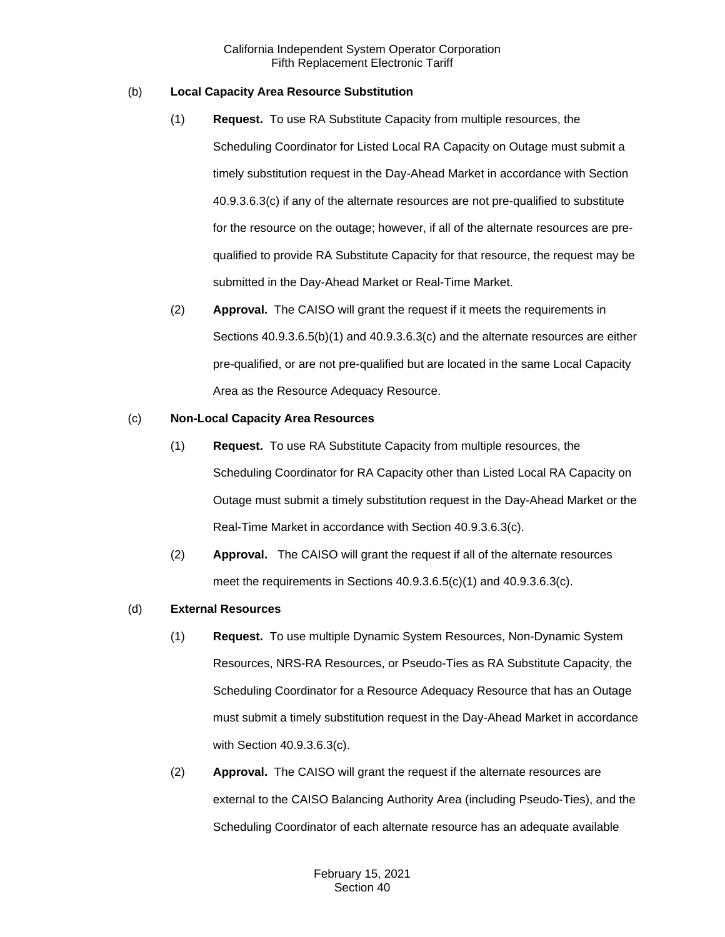## (b) **Local Capacity Area Resource Substitution**

- (1) **Request.** To use RA Substitute Capacity from multiple resources, the Scheduling Coordinator for Listed Local RA Capacity on Outage must submit a timely substitution request in the Day-Ahead Market in accordance with Section 40.9.3.6.3(c) if any of the alternate resources are not pre-qualified to substitute for the resource on the outage; however, if all of the alternate resources are prequalified to provide RA Substitute Capacity for that resource, the request may be submitted in the Day-Ahead Market or Real-Time Market.
- (2) **Approval.** The CAISO will grant the request if it meets the requirements in Sections 40.9.3.6.5(b)(1) and 40.9.3.6.3(c) and the alternate resources are either pre-qualified, or are not pre-qualified but are located in the same Local Capacity Area as the Resource Adequacy Resource.

#### (c) **Non-Local Capacity Area Resources**

- (1) **Request.** To use RA Substitute Capacity from multiple resources, the Scheduling Coordinator for RA Capacity other than Listed Local RA Capacity on Outage must submit a timely substitution request in the Day-Ahead Market or the Real-Time Market in accordance with Section 40.9.3.6.3(c).
- (2) **Approval.** The CAISO will grant the request if all of the alternate resources meet the requirements in Sections 40.9.3.6.5(c)(1) and 40.9.3.6.3(c).

## (d) **External Resources**

- (1) **Request.** To use multiple Dynamic System Resources, Non-Dynamic System Resources, NRS-RA Resources, or Pseudo-Ties as RA Substitute Capacity, the Scheduling Coordinator for a Resource Adequacy Resource that has an Outage must submit a timely substitution request in the Day-Ahead Market in accordance with Section 40.9.3.6.3(c).
- (2) **Approval.** The CAISO will grant the request if the alternate resources are external to the CAISO Balancing Authority Area (including Pseudo-Ties), and the Scheduling Coordinator of each alternate resource has an adequate available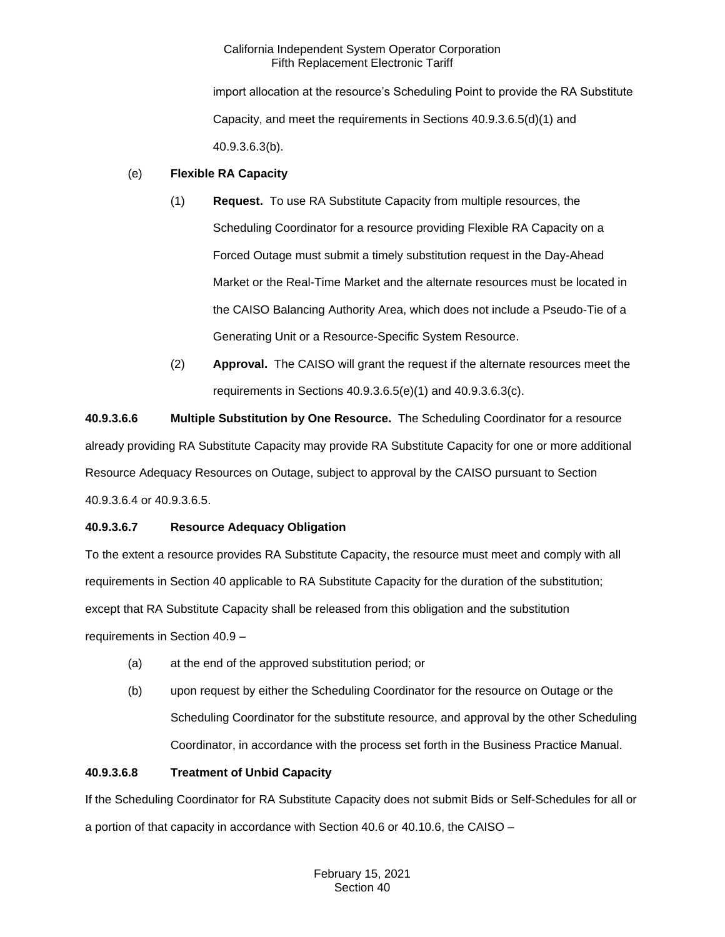import allocation at the resource's Scheduling Point to provide the RA Substitute Capacity, and meet the requirements in Sections 40.9.3.6.5(d)(1) and 40.9.3.6.3(b).

## (e) **Flexible RA Capacity**

- (1) **Request.** To use RA Substitute Capacity from multiple resources, the Scheduling Coordinator for a resource providing Flexible RA Capacity on a Forced Outage must submit a timely substitution request in the Day-Ahead Market or the Real-Time Market and the alternate resources must be located in the CAISO Balancing Authority Area, which does not include a Pseudo-Tie of a Generating Unit or a Resource-Specific System Resource.
- (2) **Approval.** The CAISO will grant the request if the alternate resources meet the requirements in Sections 40.9.3.6.5(e)(1) and 40.9.3.6.3(c).

**40.9.3.6.6 Multiple Substitution by One Resource.** The Scheduling Coordinator for a resource already providing RA Substitute Capacity may provide RA Substitute Capacity for one or more additional Resource Adequacy Resources on Outage, subject to approval by the CAISO pursuant to Section 40.9.3.6.4 or 40.9.3.6.5.

# **40.9.3.6.7 Resource Adequacy Obligation**

To the extent a resource provides RA Substitute Capacity, the resource must meet and comply with all requirements in Section 40 applicable to RA Substitute Capacity for the duration of the substitution; except that RA Substitute Capacity shall be released from this obligation and the substitution requirements in Section 40.9 –

- (a) at the end of the approved substitution period; or
- (b) upon request by either the Scheduling Coordinator for the resource on Outage or the Scheduling Coordinator for the substitute resource, and approval by the other Scheduling Coordinator, in accordance with the process set forth in the Business Practice Manual.

# **40.9.3.6.8 Treatment of Unbid Capacity**

If the Scheduling Coordinator for RA Substitute Capacity does not submit Bids or Self-Schedules for all or a portion of that capacity in accordance with Section 40.6 or 40.10.6, the CAISO –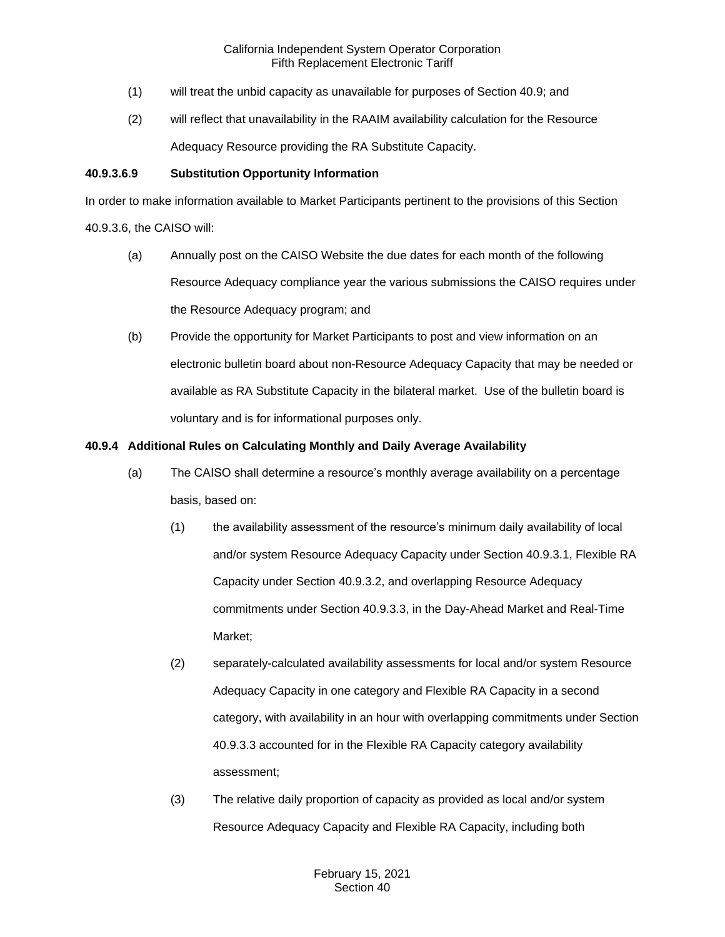- (1) will treat the unbid capacity as unavailable for purposes of Section 40.9; and
- (2) will reflect that unavailability in the RAAIM availability calculation for the Resource Adequacy Resource providing the RA Substitute Capacity.

## **40.9.3.6.9 Substitution Opportunity Information**

In order to make information available to Market Participants pertinent to the provisions of this Section 40.9.3.6, the CAISO will:

- (a) Annually post on the CAISO Website the due dates for each month of the following Resource Adequacy compliance year the various submissions the CAISO requires under the Resource Adequacy program; and
- (b) Provide the opportunity for Market Participants to post and view information on an electronic bulletin board about non-Resource Adequacy Capacity that may be needed or available as RA Substitute Capacity in the bilateral market. Use of the bulletin board is voluntary and is for informational purposes only.

# **40.9.4 Additional Rules on Calculating Monthly and Daily Average Availability**

- (a) The CAISO shall determine a resource's monthly average availability on a percentage basis, based on:
	- (1) the availability assessment of the resource's minimum daily availability of local and/or system Resource Adequacy Capacity under Section 40.9.3.1, Flexible RA Capacity under Section 40.9.3.2, and overlapping Resource Adequacy commitments under Section 40.9.3.3, in the Day-Ahead Market and Real-Time Market;
	- (2) separately-calculated availability assessments for local and/or system Resource Adequacy Capacity in one category and Flexible RA Capacity in a second category, with availability in an hour with overlapping commitments under Section 40.9.3.3 accounted for in the Flexible RA Capacity category availability assessment;
	- (3) The relative daily proportion of capacity as provided as local and/or system Resource Adequacy Capacity and Flexible RA Capacity, including both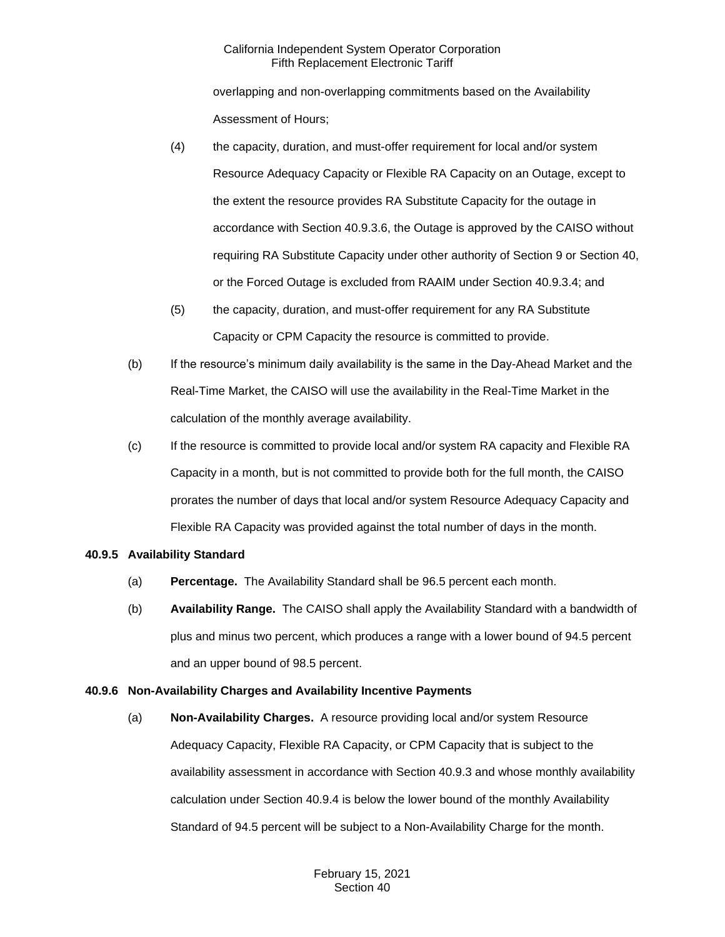overlapping and non-overlapping commitments based on the Availability Assessment of Hours;

- (4) the capacity, duration, and must-offer requirement for local and/or system Resource Adequacy Capacity or Flexible RA Capacity on an Outage, except to the extent the resource provides RA Substitute Capacity for the outage in accordance with Section 40.9.3.6, the Outage is approved by the CAISO without requiring RA Substitute Capacity under other authority of Section 9 or Section 40, or the Forced Outage is excluded from RAAIM under Section 40.9.3.4; and
- (5) the capacity, duration, and must-offer requirement for any RA Substitute Capacity or CPM Capacity the resource is committed to provide.
- (b) If the resource's minimum daily availability is the same in the Day-Ahead Market and the Real-Time Market, the CAISO will use the availability in the Real-Time Market in the calculation of the monthly average availability.
- (c) If the resource is committed to provide local and/or system RA capacity and Flexible RA Capacity in a month, but is not committed to provide both for the full month, the CAISO prorates the number of days that local and/or system Resource Adequacy Capacity and Flexible RA Capacity was provided against the total number of days in the month.

# **40.9.5 Availability Standard**

- (a) **Percentage.** The Availability Standard shall be 96.5 percent each month.
- (b) **Availability Range.** The CAISO shall apply the Availability Standard with a bandwidth of plus and minus two percent, which produces a range with a lower bound of 94.5 percent and an upper bound of 98.5 percent.

## **40.9.6 Non-Availability Charges and Availability Incentive Payments**

(a) **Non-Availability Charges.** A resource providing local and/or system Resource Adequacy Capacity, Flexible RA Capacity, or CPM Capacity that is subject to the availability assessment in accordance with Section 40.9.3 and whose monthly availability calculation under Section 40.9.4 is below the lower bound of the monthly Availability Standard of 94.5 percent will be subject to a Non-Availability Charge for the month.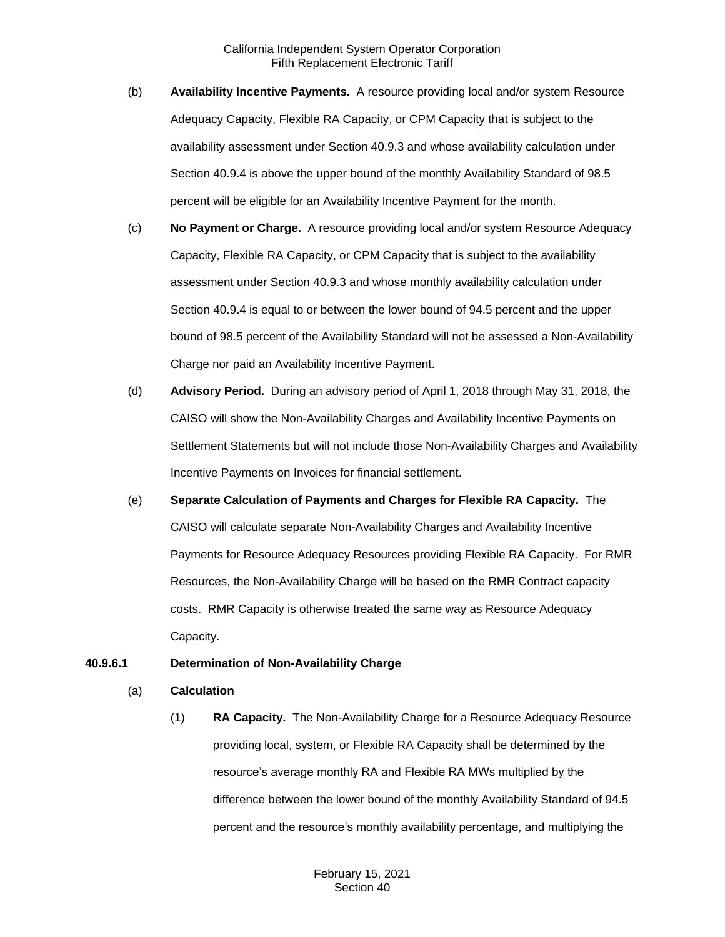- (b) **Availability Incentive Payments.** A resource providing local and/or system Resource Adequacy Capacity, Flexible RA Capacity, or CPM Capacity that is subject to the availability assessment under Section 40.9.3 and whose availability calculation under Section 40.9.4 is above the upper bound of the monthly Availability Standard of 98.5 percent will be eligible for an Availability Incentive Payment for the month.
- (c) **No Payment or Charge.** A resource providing local and/or system Resource Adequacy Capacity, Flexible RA Capacity, or CPM Capacity that is subject to the availability assessment under Section 40.9.3 and whose monthly availability calculation under Section 40.9.4 is equal to or between the lower bound of 94.5 percent and the upper bound of 98.5 percent of the Availability Standard will not be assessed a Non-Availability Charge nor paid an Availability Incentive Payment.
- (d) **Advisory Period.** During an advisory period of April 1, 2018 through May 31, 2018, the CAISO will show the Non-Availability Charges and Availability Incentive Payments on Settlement Statements but will not include those Non-Availability Charges and Availability Incentive Payments on Invoices for financial settlement.
- (e) **Separate Calculation of Payments and Charges for Flexible RA Capacity.** The CAISO will calculate separate Non-Availability Charges and Availability Incentive Payments for Resource Adequacy Resources providing Flexible RA Capacity. For RMR Resources, the Non-Availability Charge will be based on the RMR Contract capacity costs. RMR Capacity is otherwise treated the same way as Resource Adequacy Capacity.

## **40.9.6.1 Determination of Non-Availability Charge**

- (a) **Calculation**
	- (1) **RA Capacity.** The Non-Availability Charge for a Resource Adequacy Resource providing local, system, or Flexible RA Capacity shall be determined by the resource's average monthly RA and Flexible RA MWs multiplied by the difference between the lower bound of the monthly Availability Standard of 94.5 percent and the resource's monthly availability percentage, and multiplying the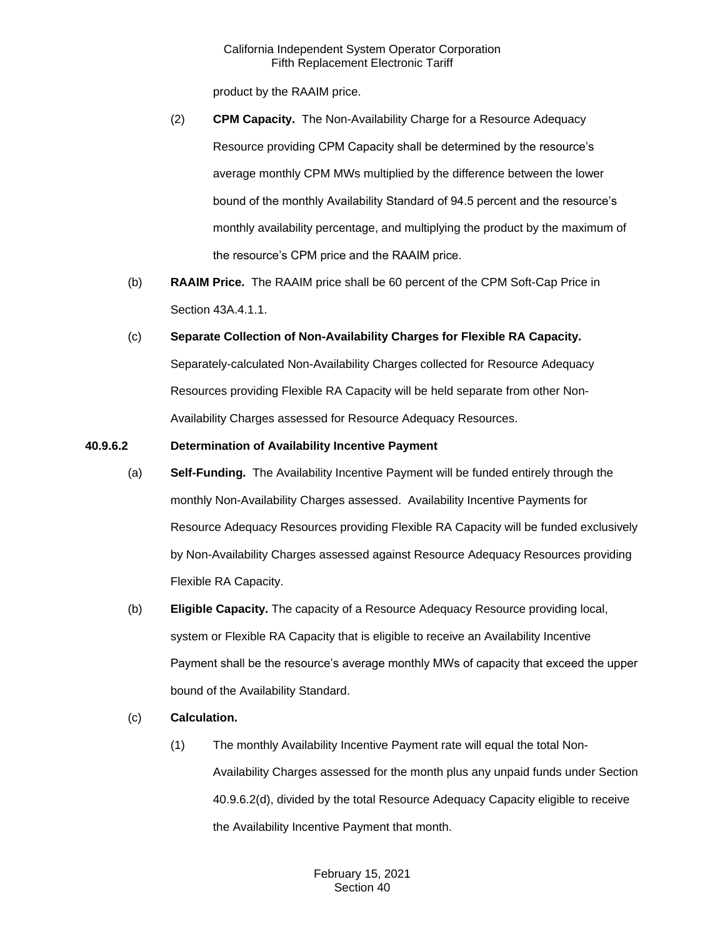product by the RAAIM price.

- (2) **CPM Capacity.** The Non-Availability Charge for a Resource Adequacy Resource providing CPM Capacity shall be determined by the resource's average monthly CPM MWs multiplied by the difference between the lower bound of the monthly Availability Standard of 94.5 percent and the resource's monthly availability percentage, and multiplying the product by the maximum of the resource's CPM price and the RAAIM price.
- (b) **RAAIM Price.** The RAAIM price shall be 60 percent of the CPM Soft-Cap Price in Section 43A.4.1.1.
- (c) **Separate Collection of Non-Availability Charges for Flexible RA Capacity.**  Separately-calculated Non-Availability Charges collected for Resource Adequacy Resources providing Flexible RA Capacity will be held separate from other Non-Availability Charges assessed for Resource Adequacy Resources.

## **40.9.6.2 Determination of Availability Incentive Payment**

- (a) **Self-Funding.** The Availability Incentive Payment will be funded entirely through the monthly Non-Availability Charges assessed. Availability Incentive Payments for Resource Adequacy Resources providing Flexible RA Capacity will be funded exclusively by Non-Availability Charges assessed against Resource Adequacy Resources providing Flexible RA Capacity.
- (b) **Eligible Capacity.** The capacity of a Resource Adequacy Resource providing local, system or Flexible RA Capacity that is eligible to receive an Availability Incentive Payment shall be the resource's average monthly MWs of capacity that exceed the upper bound of the Availability Standard.

# (c) **Calculation.**

(1) The monthly Availability Incentive Payment rate will equal the total Non-Availability Charges assessed for the month plus any unpaid funds under Section 40.9.6.2(d), divided by the total Resource Adequacy Capacity eligible to receive the Availability Incentive Payment that month.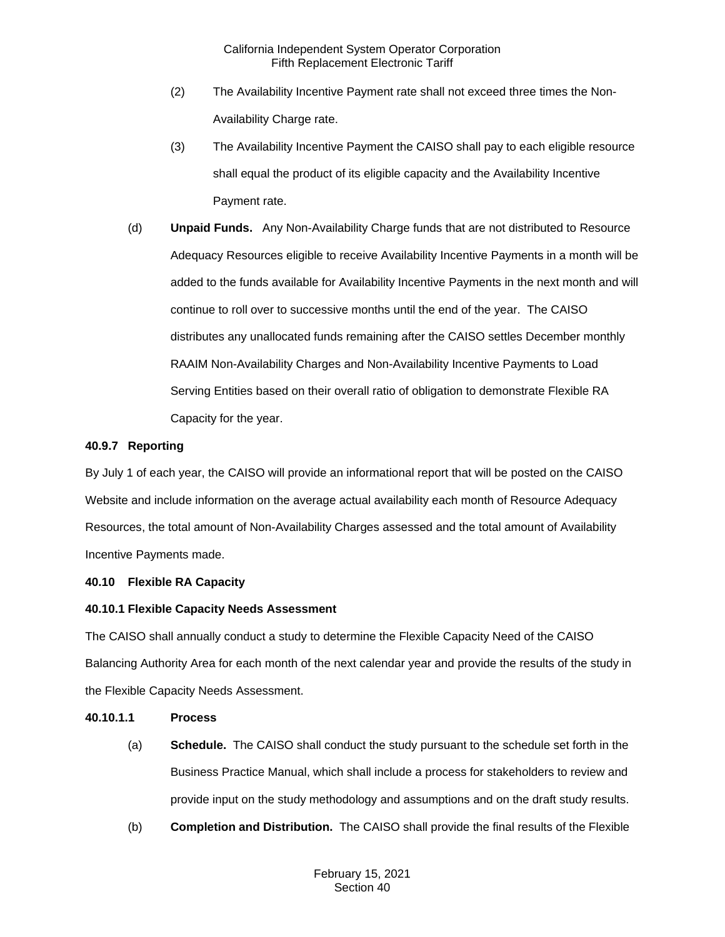- (2) The Availability Incentive Payment rate shall not exceed three times the Non-Availability Charge rate.
- (3) The Availability Incentive Payment the CAISO shall pay to each eligible resource shall equal the product of its eligible capacity and the Availability Incentive Payment rate.
- (d) **Unpaid Funds.** Any Non-Availability Charge funds that are not distributed to Resource Adequacy Resources eligible to receive Availability Incentive Payments in a month will be added to the funds available for Availability Incentive Payments in the next month and will continue to roll over to successive months until the end of the year. The CAISO distributes any unallocated funds remaining after the CAISO settles December monthly RAAIM Non-Availability Charges and Non-Availability Incentive Payments to Load Serving Entities based on their overall ratio of obligation to demonstrate Flexible RA Capacity for the year.

### **40.9.7 Reporting**

By July 1 of each year, the CAISO will provide an informational report that will be posted on the CAISO Website and include information on the average actual availability each month of Resource Adequacy Resources, the total amount of Non-Availability Charges assessed and the total amount of Availability Incentive Payments made.

#### **40.10 Flexible RA Capacity**

## **40.10.1 Flexible Capacity Needs Assessment**

The CAISO shall annually conduct a study to determine the Flexible Capacity Need of the CAISO Balancing Authority Area for each month of the next calendar year and provide the results of the study in the Flexible Capacity Needs Assessment.

#### **40.10.1.1 Process**

- (a) **Schedule.** The CAISO shall conduct the study pursuant to the schedule set forth in the Business Practice Manual, which shall include a process for stakeholders to review and provide input on the study methodology and assumptions and on the draft study results.
- (b) **Completion and Distribution.** The CAISO shall provide the final results of the Flexible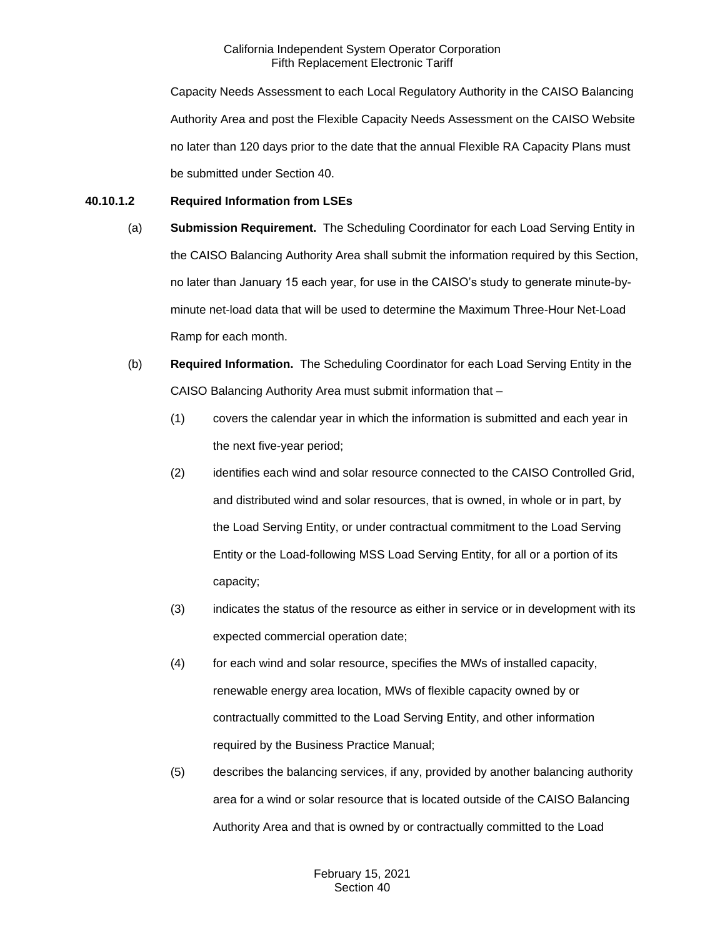Capacity Needs Assessment to each Local Regulatory Authority in the CAISO Balancing Authority Area and post the Flexible Capacity Needs Assessment on the CAISO Website no later than 120 days prior to the date that the annual Flexible RA Capacity Plans must be submitted under Section 40.

## **40.10.1.2 Required Information from LSEs**

- (a) **Submission Requirement.** The Scheduling Coordinator for each Load Serving Entity in the CAISO Balancing Authority Area shall submit the information required by this Section, no later than January 15 each year, for use in the CAISO's study to generate minute-byminute net-load data that will be used to determine the Maximum Three-Hour Net-Load Ramp for each month.
- (b) **Required Information.** The Scheduling Coordinator for each Load Serving Entity in the CAISO Balancing Authority Area must submit information that –
	- (1) covers the calendar year in which the information is submitted and each year in the next five-year period;
	- (2) identifies each wind and solar resource connected to the CAISO Controlled Grid, and distributed wind and solar resources, that is owned, in whole or in part, by the Load Serving Entity, or under contractual commitment to the Load Serving Entity or the Load-following MSS Load Serving Entity, for all or a portion of its capacity;
	- (3) indicates the status of the resource as either in service or in development with its expected commercial operation date;
	- (4) for each wind and solar resource, specifies the MWs of installed capacity, renewable energy area location, MWs of flexible capacity owned by or contractually committed to the Load Serving Entity, and other information required by the Business Practice Manual;
	- (5) describes the balancing services, if any, provided by another balancing authority area for a wind or solar resource that is located outside of the CAISO Balancing Authority Area and that is owned by or contractually committed to the Load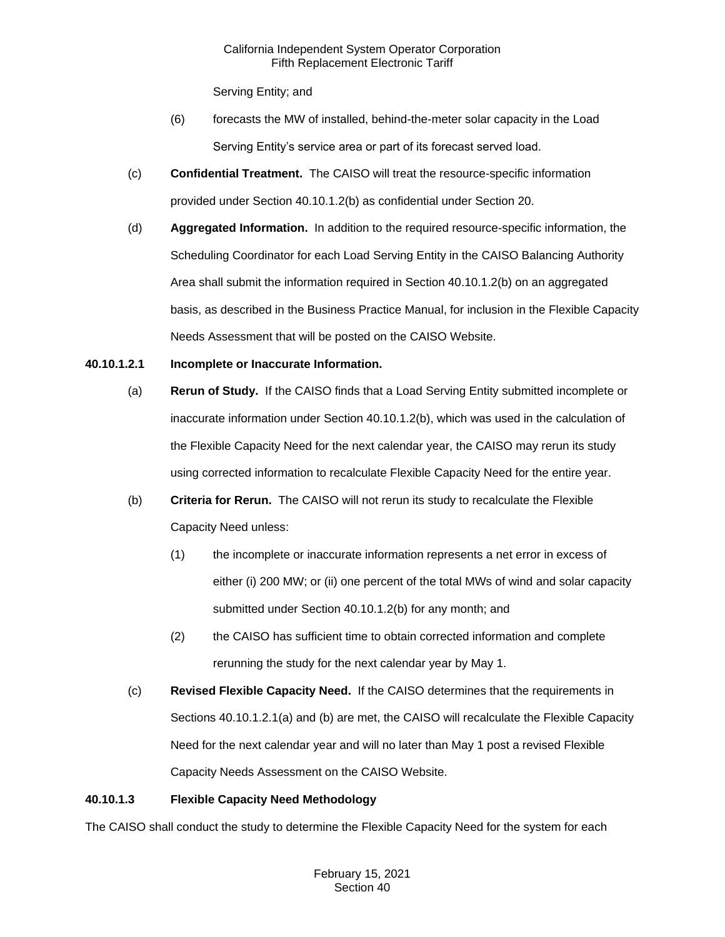Serving Entity; and

- (6) forecasts the MW of installed, behind-the-meter solar capacity in the Load Serving Entity's service area or part of its forecast served load.
- (c) **Confidential Treatment.** The CAISO will treat the resource-specific information provided under Section 40.10.1.2(b) as confidential under Section 20.
- (d) **Aggregated Information.** In addition to the required resource-specific information, the Scheduling Coordinator for each Load Serving Entity in the CAISO Balancing Authority Area shall submit the information required in Section 40.10.1.2(b) on an aggregated basis, as described in the Business Practice Manual, for inclusion in the Flexible Capacity Needs Assessment that will be posted on the CAISO Website.

## **40.10.1.2.1 Incomplete or Inaccurate Information.**

- (a) **Rerun of Study.** If the CAISO finds that a Load Serving Entity submitted incomplete or inaccurate information under Section 40.10.1.2(b), which was used in the calculation of the Flexible Capacity Need for the next calendar year, the CAISO may rerun its study using corrected information to recalculate Flexible Capacity Need for the entire year.
- (b) **Criteria for Rerun.** The CAISO will not rerun its study to recalculate the Flexible Capacity Need unless:
	- (1) the incomplete or inaccurate information represents a net error in excess of either (i) 200 MW; or (ii) one percent of the total MWs of wind and solar capacity submitted under Section 40.10.1.2(b) for any month; and
	- (2) the CAISO has sufficient time to obtain corrected information and complete rerunning the study for the next calendar year by May 1.
- (c) **Revised Flexible Capacity Need.** If the CAISO determines that the requirements in Sections 40.10.1.2.1(a) and (b) are met, the CAISO will recalculate the Flexible Capacity Need for the next calendar year and will no later than May 1 post a revised Flexible Capacity Needs Assessment on the CAISO Website.

# **40.10.1.3 Flexible Capacity Need Methodology**

The CAISO shall conduct the study to determine the Flexible Capacity Need for the system for each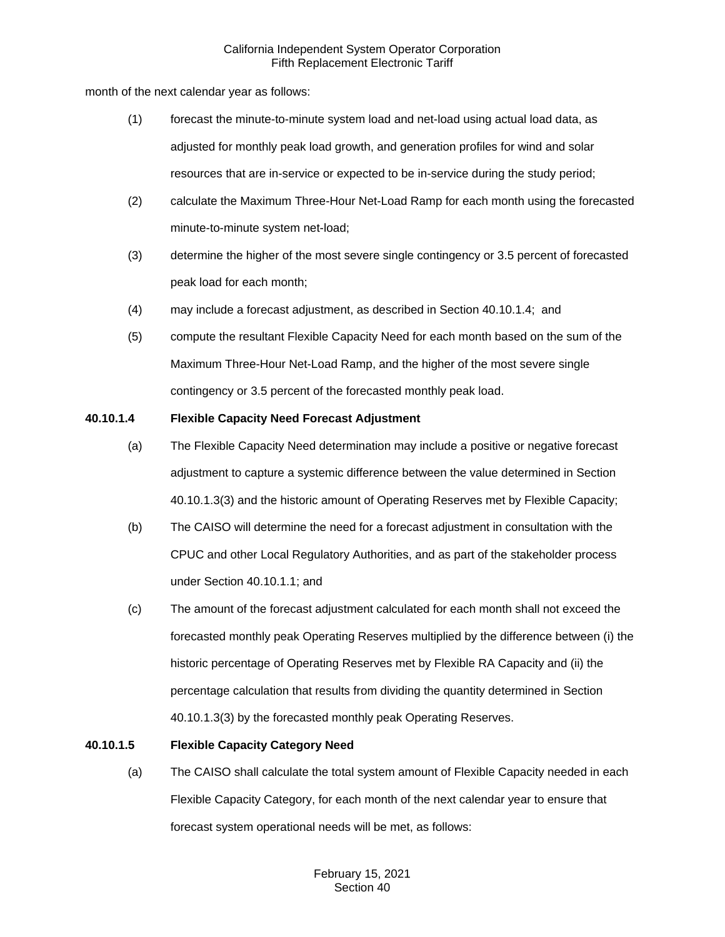month of the next calendar year as follows:

- (1) forecast the minute-to-minute system load and net-load using actual load data, as adjusted for monthly peak load growth, and generation profiles for wind and solar resources that are in-service or expected to be in-service during the study period;
- (2) calculate the Maximum Three-Hour Net-Load Ramp for each month using the forecasted minute-to-minute system net-load;
- (3) determine the higher of the most severe single contingency or 3.5 percent of forecasted peak load for each month;
- (4) may include a forecast adjustment, as described in Section 40.10.1.4; and
- (5) compute the resultant Flexible Capacity Need for each month based on the sum of the Maximum Three-Hour Net-Load Ramp, and the higher of the most severe single contingency or 3.5 percent of the forecasted monthly peak load.

## **40.10.1.4 Flexible Capacity Need Forecast Adjustment**

- (a) The Flexible Capacity Need determination may include a positive or negative forecast adjustment to capture a systemic difference between the value determined in Section 40.10.1.3(3) and the historic amount of Operating Reserves met by Flexible Capacity;
- (b) The CAISO will determine the need for a forecast adjustment in consultation with the CPUC and other Local Regulatory Authorities, and as part of the stakeholder process under Section 40.10.1.1; and
- (c) The amount of the forecast adjustment calculated for each month shall not exceed the forecasted monthly peak Operating Reserves multiplied by the difference between (i) the historic percentage of Operating Reserves met by Flexible RA Capacity and (ii) the percentage calculation that results from dividing the quantity determined in Section 40.10.1.3(3) by the forecasted monthly peak Operating Reserves.

## **40.10.1.5 Flexible Capacity Category Need**

(a) The CAISO shall calculate the total system amount of Flexible Capacity needed in each Flexible Capacity Category, for each month of the next calendar year to ensure that forecast system operational needs will be met, as follows: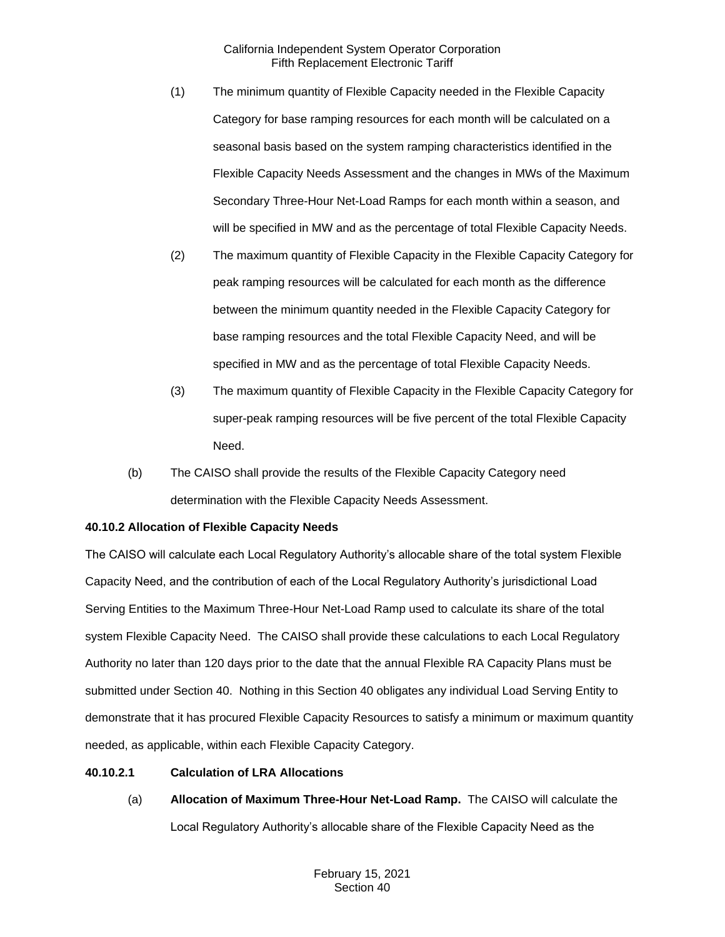- (1) The minimum quantity of Flexible Capacity needed in the Flexible Capacity Category for base ramping resources for each month will be calculated on a seasonal basis based on the system ramping characteristics identified in the Flexible Capacity Needs Assessment and the changes in MWs of the Maximum Secondary Three-Hour Net-Load Ramps for each month within a season, and will be specified in MW and as the percentage of total Flexible Capacity Needs.
- (2) The maximum quantity of Flexible Capacity in the Flexible Capacity Category for peak ramping resources will be calculated for each month as the difference between the minimum quantity needed in the Flexible Capacity Category for base ramping resources and the total Flexible Capacity Need, and will be specified in MW and as the percentage of total Flexible Capacity Needs.
- (3) The maximum quantity of Flexible Capacity in the Flexible Capacity Category for super-peak ramping resources will be five percent of the total Flexible Capacity Need.
- (b) The CAISO shall provide the results of the Flexible Capacity Category need determination with the Flexible Capacity Needs Assessment.

## **40.10.2 Allocation of Flexible Capacity Needs**

The CAISO will calculate each Local Regulatory Authority's allocable share of the total system Flexible Capacity Need, and the contribution of each of the Local Regulatory Authority's jurisdictional Load Serving Entities to the Maximum Three-Hour Net-Load Ramp used to calculate its share of the total system Flexible Capacity Need. The CAISO shall provide these calculations to each Local Regulatory Authority no later than 120 days prior to the date that the annual Flexible RA Capacity Plans must be submitted under Section 40. Nothing in this Section 40 obligates any individual Load Serving Entity to demonstrate that it has procured Flexible Capacity Resources to satisfy a minimum or maximum quantity needed, as applicable, within each Flexible Capacity Category.

## **40.10.2.1 Calculation of LRA Allocations**

(a) **Allocation of Maximum Three-Hour Net-Load Ramp.** The CAISO will calculate the Local Regulatory Authority's allocable share of the Flexible Capacity Need as the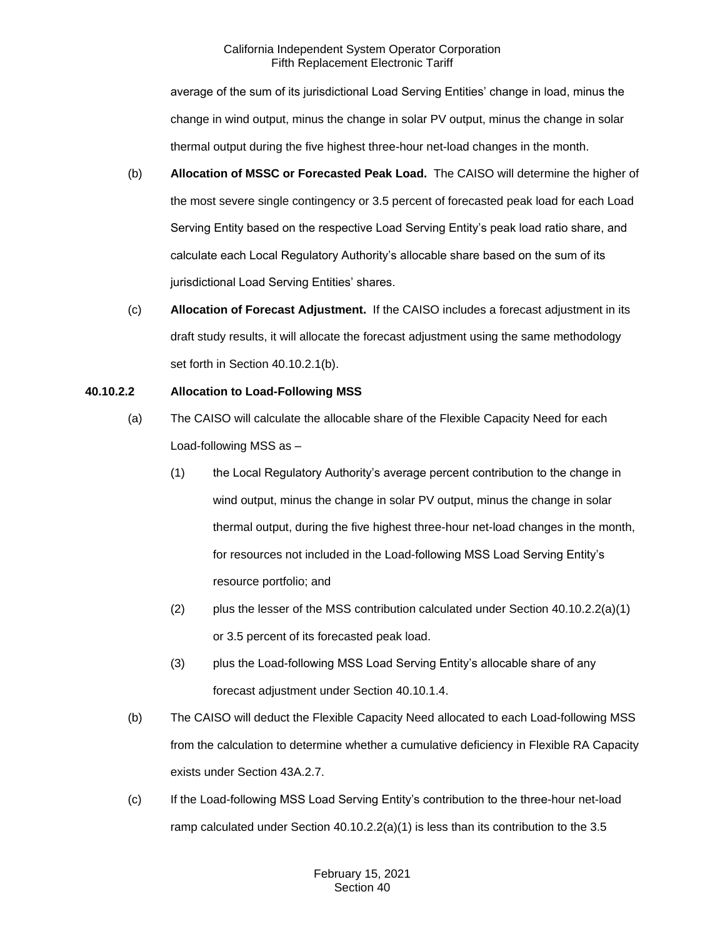average of the sum of its jurisdictional Load Serving Entities' change in load, minus the change in wind output, minus the change in solar PV output, minus the change in solar thermal output during the five highest three-hour net-load changes in the month.

- (b) **Allocation of MSSC or Forecasted Peak Load.** The CAISO will determine the higher of the most severe single contingency or 3.5 percent of forecasted peak load for each Load Serving Entity based on the respective Load Serving Entity's peak load ratio share, and calculate each Local Regulatory Authority's allocable share based on the sum of its jurisdictional Load Serving Entities' shares.
- (c) **Allocation of Forecast Adjustment.** If the CAISO includes a forecast adjustment in its draft study results, it will allocate the forecast adjustment using the same methodology set forth in Section 40.10.2.1(b).

## **40.10.2.2 Allocation to Load-Following MSS**

- (a) The CAISO will calculate the allocable share of the Flexible Capacity Need for each Load-following MSS as –
	- (1) the Local Regulatory Authority's average percent contribution to the change in wind output, minus the change in solar PV output, minus the change in solar thermal output, during the five highest three-hour net-load changes in the month, for resources not included in the Load-following MSS Load Serving Entity's resource portfolio; and
	- (2) plus the lesser of the MSS contribution calculated under Section  $40.10.2.2(a)(1)$ or 3.5 percent of its forecasted peak load.
	- (3) plus the Load-following MSS Load Serving Entity's allocable share of any forecast adjustment under Section 40.10.1.4.
- (b) The CAISO will deduct the Flexible Capacity Need allocated to each Load-following MSS from the calculation to determine whether a cumulative deficiency in Flexible RA Capacity exists under Section 43A.2.7.
- (c) If the Load-following MSS Load Serving Entity's contribution to the three-hour net-load ramp calculated under Section  $40.10.2.2(a)(1)$  is less than its contribution to the 3.5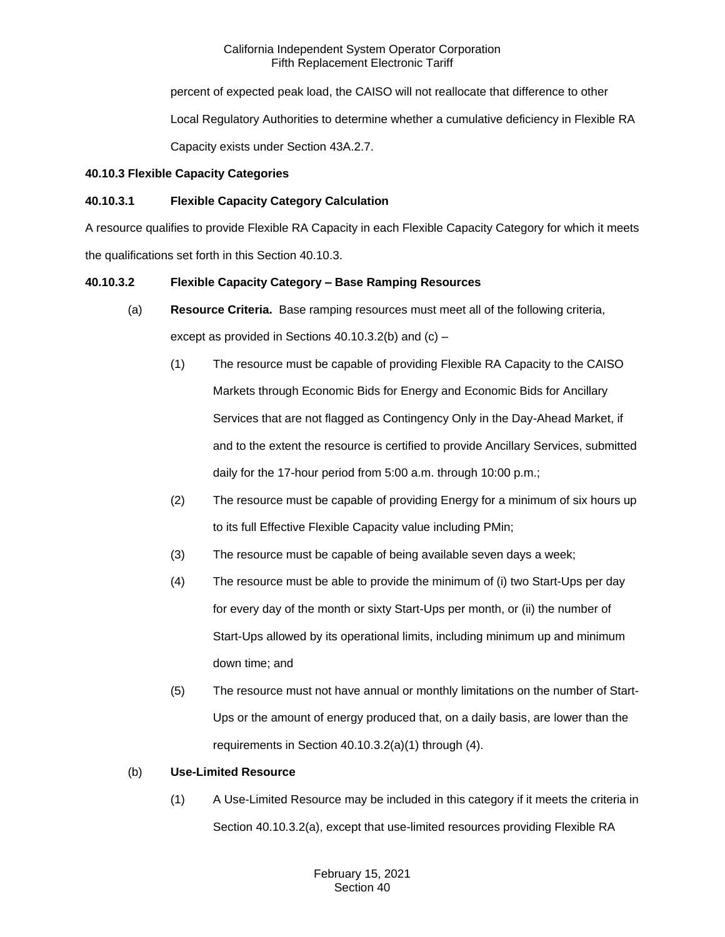percent of expected peak load, the CAISO will not reallocate that difference to other

Local Regulatory Authorities to determine whether a cumulative deficiency in Flexible RA

Capacity exists under Section 43A.2.7.

# **40.10.3 Flexible Capacity Categories**

## **40.10.3.1 Flexible Capacity Category Calculation**

A resource qualifies to provide Flexible RA Capacity in each Flexible Capacity Category for which it meets the qualifications set forth in this Section 40.10.3.

## **40.10.3.2 Flexible Capacity Category – Base Ramping Resources**

- (a) **Resource Criteria.** Base ramping resources must meet all of the following criteria, except as provided in Sections 40.10.3.2(b) and (c) –
	- (1) The resource must be capable of providing Flexible RA Capacity to the CAISO Markets through Economic Bids for Energy and Economic Bids for Ancillary Services that are not flagged as Contingency Only in the Day-Ahead Market, if and to the extent the resource is certified to provide Ancillary Services, submitted daily for the 17-hour period from 5:00 a.m. through 10:00 p.m.;
	- (2) The resource must be capable of providing Energy for a minimum of six hours up to its full Effective Flexible Capacity value including PMin;
	- (3) The resource must be capable of being available seven days a week;
	- (4) The resource must be able to provide the minimum of (i) two Start-Ups per day for every day of the month or sixty Start-Ups per month, or (ii) the number of Start-Ups allowed by its operational limits, including minimum up and minimum down time; and
	- (5) The resource must not have annual or monthly limitations on the number of Start-Ups or the amount of energy produced that, on a daily basis, are lower than the requirements in Section 40.10.3.2(a)(1) through (4).

# (b) **Use-Limited Resource**

(1) A Use-Limited Resource may be included in this category if it meets the criteria in Section 40.10.3.2(a), except that use-limited resources providing Flexible RA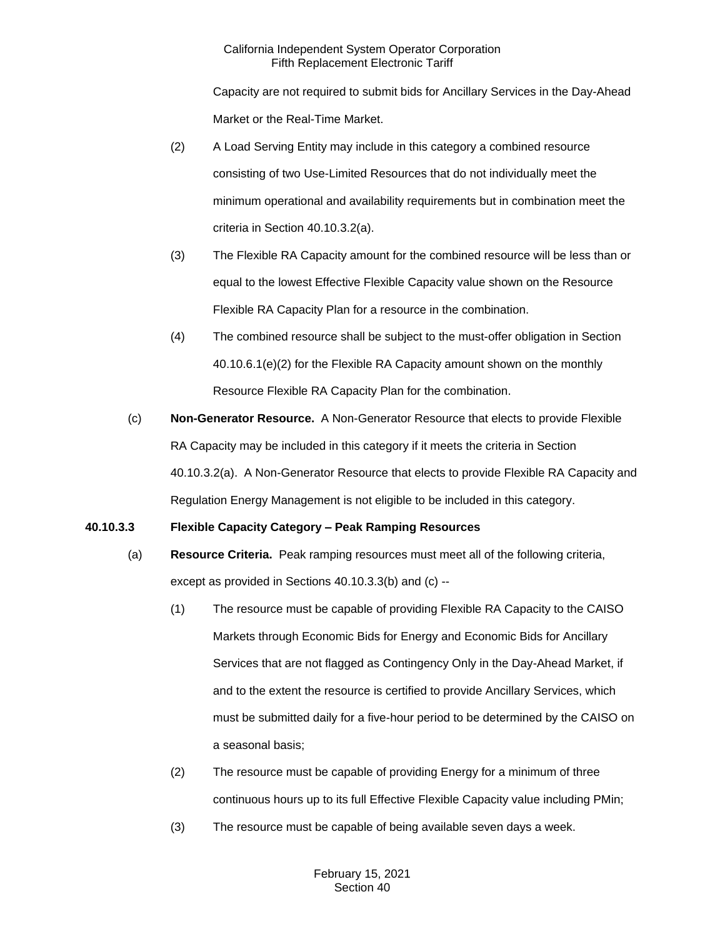Capacity are not required to submit bids for Ancillary Services in the Day-Ahead Market or the Real-Time Market.

- (2) A Load Serving Entity may include in this category a combined resource consisting of two Use-Limited Resources that do not individually meet the minimum operational and availability requirements but in combination meet the criteria in Section 40.10.3.2(a).
- (3) The Flexible RA Capacity amount for the combined resource will be less than or equal to the lowest Effective Flexible Capacity value shown on the Resource Flexible RA Capacity Plan for a resource in the combination.
- (4) The combined resource shall be subject to the must-offer obligation in Section 40.10.6.1(e)(2) for the Flexible RA Capacity amount shown on the monthly Resource Flexible RA Capacity Plan for the combination.
- (c) **Non-Generator Resource.** A Non-Generator Resource that elects to provide Flexible RA Capacity may be included in this category if it meets the criteria in Section 40.10.3.2(a). A Non-Generator Resource that elects to provide Flexible RA Capacity and Regulation Energy Management is not eligible to be included in this category.

# **40.10.3.3 Flexible Capacity Category – Peak Ramping Resources**

- (a) **Resource Criteria.** Peak ramping resources must meet all of the following criteria, except as provided in Sections 40.10.3.3(b) and (c) --
	- (1) The resource must be capable of providing Flexible RA Capacity to the CAISO Markets through Economic Bids for Energy and Economic Bids for Ancillary Services that are not flagged as Contingency Only in the Day-Ahead Market, if and to the extent the resource is certified to provide Ancillary Services, which must be submitted daily for a five-hour period to be determined by the CAISO on a seasonal basis;
	- (2) The resource must be capable of providing Energy for a minimum of three continuous hours up to its full Effective Flexible Capacity value including PMin;
	- (3) The resource must be capable of being available seven days a week.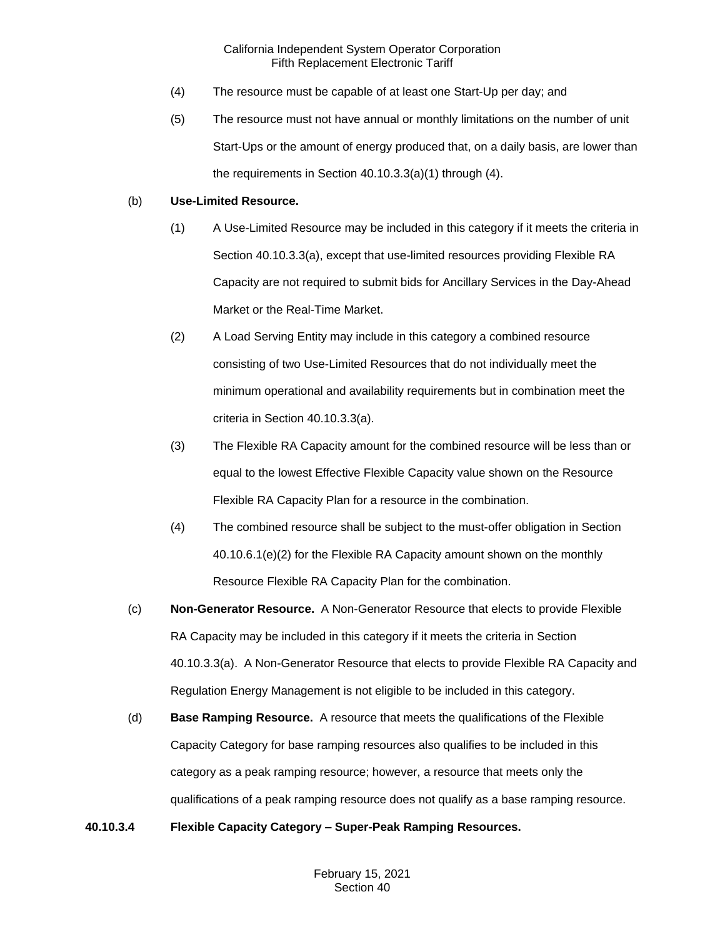- (4) The resource must be capable of at least one Start-Up per day; and
- (5) The resource must not have annual or monthly limitations on the number of unit Start-Ups or the amount of energy produced that, on a daily basis, are lower than the requirements in Section 40.10.3.3(a)(1) through (4).

### (b) **Use-Limited Resource.**

- (1) A Use-Limited Resource may be included in this category if it meets the criteria in Section 40.10.3.3(a), except that use-limited resources providing Flexible RA Capacity are not required to submit bids for Ancillary Services in the Day-Ahead Market or the Real-Time Market.
- (2) A Load Serving Entity may include in this category a combined resource consisting of two Use-Limited Resources that do not individually meet the minimum operational and availability requirements but in combination meet the criteria in Section 40.10.3.3(a).
- (3) The Flexible RA Capacity amount for the combined resource will be less than or equal to the lowest Effective Flexible Capacity value shown on the Resource Flexible RA Capacity Plan for a resource in the combination.
- (4) The combined resource shall be subject to the must-offer obligation in Section 40.10.6.1(e)(2) for the Flexible RA Capacity amount shown on the monthly Resource Flexible RA Capacity Plan for the combination.
- (c) **Non-Generator Resource.** A Non-Generator Resource that elects to provide Flexible RA Capacity may be included in this category if it meets the criteria in Section 40.10.3.3(a). A Non-Generator Resource that elects to provide Flexible RA Capacity and Regulation Energy Management is not eligible to be included in this category.
- (d) **Base Ramping Resource.** A resource that meets the qualifications of the Flexible Capacity Category for base ramping resources also qualifies to be included in this category as a peak ramping resource; however, a resource that meets only the qualifications of a peak ramping resource does not qualify as a base ramping resource.

## **40.10.3.4 Flexible Capacity Category – Super-Peak Ramping Resources.**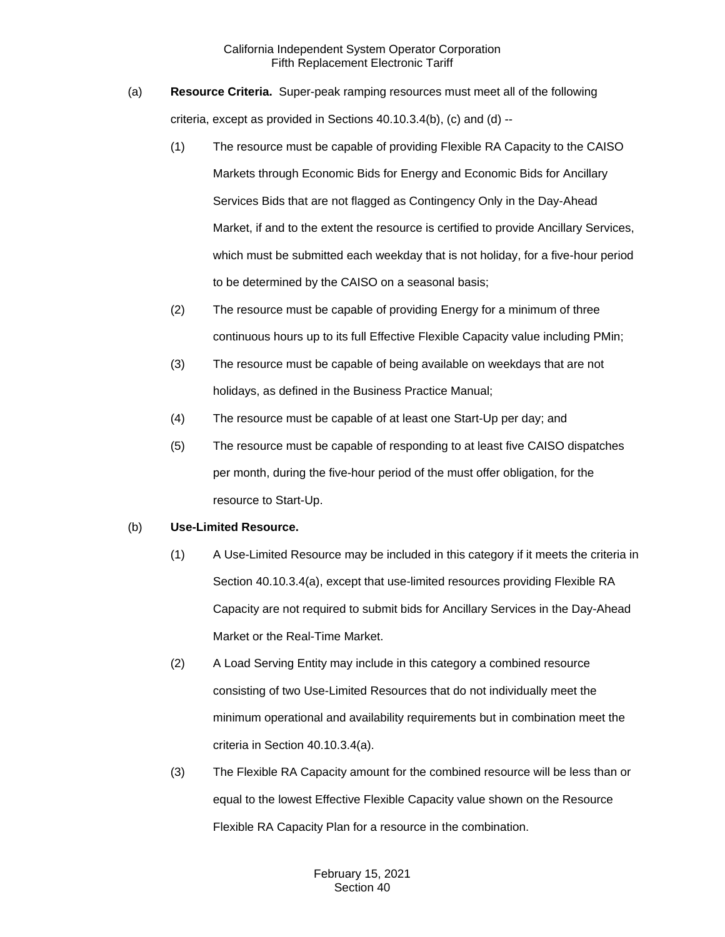- (a) **Resource Criteria.** Super-peak ramping resources must meet all of the following criteria, except as provided in Sections 40.10.3.4(b), (c) and (d) --
	- (1) The resource must be capable of providing Flexible RA Capacity to the CAISO Markets through Economic Bids for Energy and Economic Bids for Ancillary Services Bids that are not flagged as Contingency Only in the Day-Ahead Market, if and to the extent the resource is certified to provide Ancillary Services, which must be submitted each weekday that is not holiday, for a five-hour period to be determined by the CAISO on a seasonal basis;
	- (2) The resource must be capable of providing Energy for a minimum of three continuous hours up to its full Effective Flexible Capacity value including PMin;
	- (3) The resource must be capable of being available on weekdays that are not holidays, as defined in the Business Practice Manual;
	- (4) The resource must be capable of at least one Start-Up per day; and
	- (5) The resource must be capable of responding to at least five CAISO dispatches per month, during the five-hour period of the must offer obligation, for the resource to Start-Up.

## (b) **Use-Limited Resource.**

- (1) A Use-Limited Resource may be included in this category if it meets the criteria in Section 40.10.3.4(a), except that use-limited resources providing Flexible RA Capacity are not required to submit bids for Ancillary Services in the Day-Ahead Market or the Real-Time Market.
- (2) A Load Serving Entity may include in this category a combined resource consisting of two Use-Limited Resources that do not individually meet the minimum operational and availability requirements but in combination meet the criteria in Section 40.10.3.4(a).
- (3) The Flexible RA Capacity amount for the combined resource will be less than or equal to the lowest Effective Flexible Capacity value shown on the Resource Flexible RA Capacity Plan for a resource in the combination.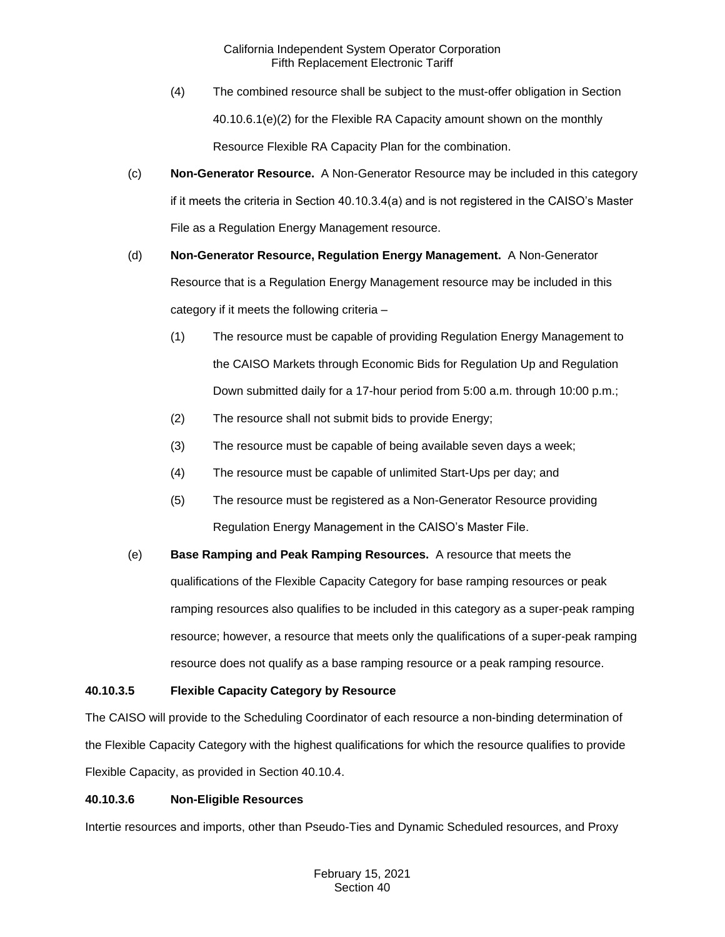- (4) The combined resource shall be subject to the must-offer obligation in Section 40.10.6.1(e)(2) for the Flexible RA Capacity amount shown on the monthly Resource Flexible RA Capacity Plan for the combination.
- (c) **Non-Generator Resource.** A Non-Generator Resource may be included in this category if it meets the criteria in Section 40.10.3.4(a) and is not registered in the CAISO's Master File as a Regulation Energy Management resource.
- (d) **Non-Generator Resource, Regulation Energy Management.** A Non-Generator Resource that is a Regulation Energy Management resource may be included in this category if it meets the following criteria –
	- (1) The resource must be capable of providing Regulation Energy Management to the CAISO Markets through Economic Bids for Regulation Up and Regulation Down submitted daily for a 17-hour period from 5:00 a.m. through 10:00 p.m.;
	- (2) The resource shall not submit bids to provide Energy;
	- (3) The resource must be capable of being available seven days a week;
	- (4) The resource must be capable of unlimited Start-Ups per day; and
	- (5) The resource must be registered as a Non-Generator Resource providing Regulation Energy Management in the CAISO's Master File.
- (e) **Base Ramping and Peak Ramping Resources.** A resource that meets the qualifications of the Flexible Capacity Category for base ramping resources or peak ramping resources also qualifies to be included in this category as a super-peak ramping resource; however, a resource that meets only the qualifications of a super-peak ramping resource does not qualify as a base ramping resource or a peak ramping resource.

## **40.10.3.5 Flexible Capacity Category by Resource**

The CAISO will provide to the Scheduling Coordinator of each resource a non-binding determination of the Flexible Capacity Category with the highest qualifications for which the resource qualifies to provide Flexible Capacity, as provided in Section 40.10.4.

## **40.10.3.6 Non-Eligible Resources**

Intertie resources and imports, other than Pseudo-Ties and Dynamic Scheduled resources, and Proxy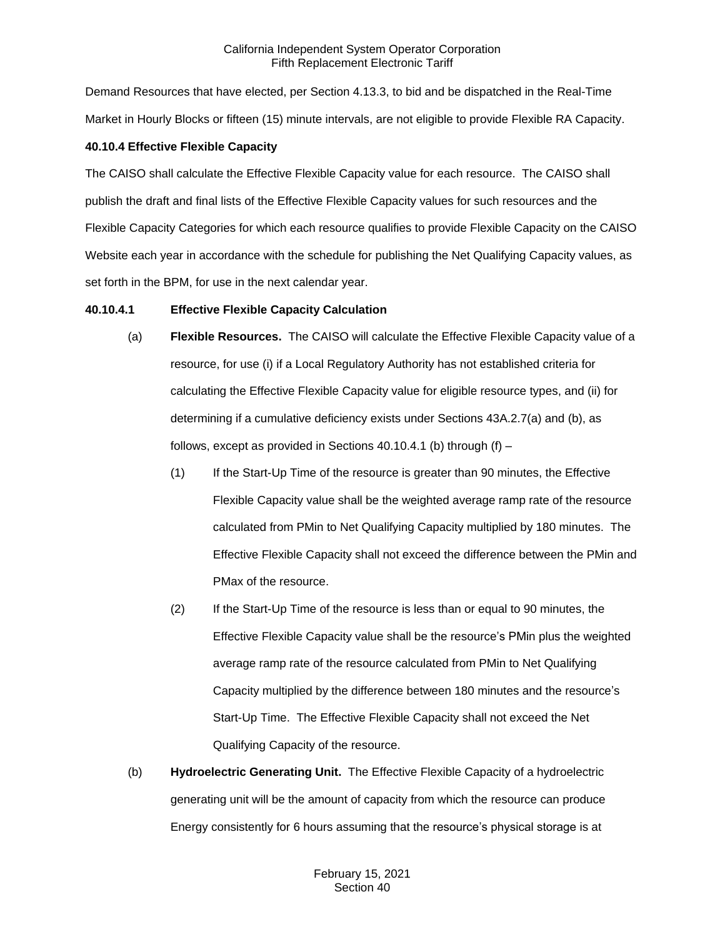Demand Resources that have elected, per Section 4.13.3, to bid and be dispatched in the Real-Time Market in Hourly Blocks or fifteen (15) minute intervals, are not eligible to provide Flexible RA Capacity.

### **40.10.4 Effective Flexible Capacity**

The CAISO shall calculate the Effective Flexible Capacity value for each resource. The CAISO shall publish the draft and final lists of the Effective Flexible Capacity values for such resources and the Flexible Capacity Categories for which each resource qualifies to provide Flexible Capacity on the CAISO Website each year in accordance with the schedule for publishing the Net Qualifying Capacity values, as set forth in the BPM, for use in the next calendar year.

### **40.10.4.1 Effective Flexible Capacity Calculation**

- (a) **Flexible Resources.** The CAISO will calculate the Effective Flexible Capacity value of a resource, for use (i) if a Local Regulatory Authority has not established criteria for calculating the Effective Flexible Capacity value for eligible resource types, and (ii) for determining if a cumulative deficiency exists under Sections 43A.2.7(a) and (b), as follows, except as provided in Sections 40.10.4.1 (b) through  $(f)$  –
	- (1) If the Start-Up Time of the resource is greater than 90 minutes, the Effective Flexible Capacity value shall be the weighted average ramp rate of the resource calculated from PMin to Net Qualifying Capacity multiplied by 180 minutes. The Effective Flexible Capacity shall not exceed the difference between the PMin and PMax of the resource.
	- (2) If the Start-Up Time of the resource is less than or equal to 90 minutes, the Effective Flexible Capacity value shall be the resource's PMin plus the weighted average ramp rate of the resource calculated from PMin to Net Qualifying Capacity multiplied by the difference between 180 minutes and the resource's Start-Up Time. The Effective Flexible Capacity shall not exceed the Net Qualifying Capacity of the resource.
- (b) **Hydroelectric Generating Unit.** The Effective Flexible Capacity of a hydroelectric generating unit will be the amount of capacity from which the resource can produce Energy consistently for 6 hours assuming that the resource's physical storage is at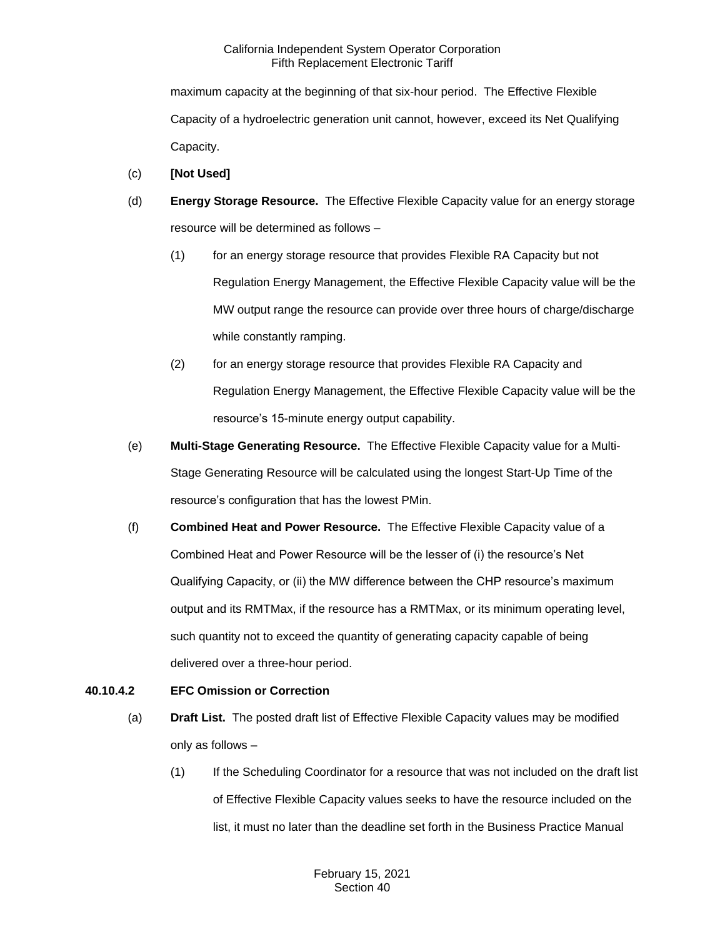maximum capacity at the beginning of that six-hour period. The Effective Flexible Capacity of a hydroelectric generation unit cannot, however, exceed its Net Qualifying Capacity.

## (c) **[Not Used]**

- (d) **Energy Storage Resource.** The Effective Flexible Capacity value for an energy storage resource will be determined as follows –
	- (1) for an energy storage resource that provides Flexible RA Capacity but not Regulation Energy Management, the Effective Flexible Capacity value will be the MW output range the resource can provide over three hours of charge/discharge while constantly ramping.
	- (2) for an energy storage resource that provides Flexible RA Capacity and Regulation Energy Management, the Effective Flexible Capacity value will be the resource's 15-minute energy output capability.
- (e) **Multi-Stage Generating Resource.** The Effective Flexible Capacity value for a Multi-Stage Generating Resource will be calculated using the longest Start-Up Time of the resource's configuration that has the lowest PMin.
- (f) **Combined Heat and Power Resource.** The Effective Flexible Capacity value of a Combined Heat and Power Resource will be the lesser of (i) the resource's Net Qualifying Capacity, or (ii) the MW difference between the CHP resource's maximum output and its RMTMax, if the resource has a RMTMax, or its minimum operating level, such quantity not to exceed the quantity of generating capacity capable of being delivered over a three-hour period.

# **40.10.4.2 EFC Omission or Correction**

- (a) **Draft List.** The posted draft list of Effective Flexible Capacity values may be modified only as follows –
	- (1) If the Scheduling Coordinator for a resource that was not included on the draft list of Effective Flexible Capacity values seeks to have the resource included on the list, it must no later than the deadline set forth in the Business Practice Manual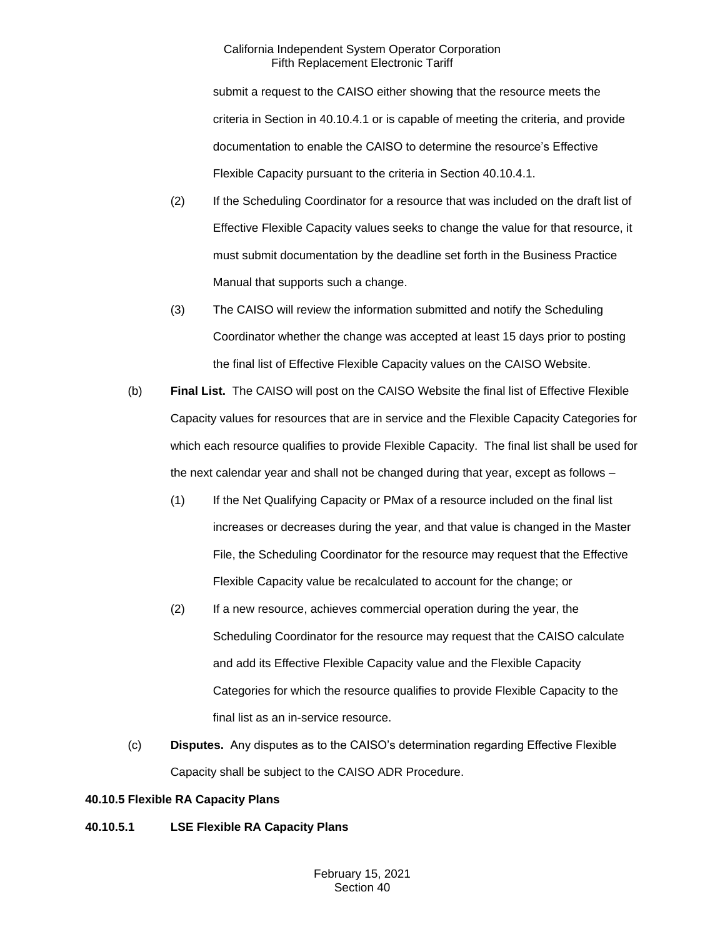submit a request to the CAISO either showing that the resource meets the criteria in Section in 40.10.4.1 or is capable of meeting the criteria, and provide documentation to enable the CAISO to determine the resource's Effective Flexible Capacity pursuant to the criteria in Section 40.10.4.1.

- (2) If the Scheduling Coordinator for a resource that was included on the draft list of Effective Flexible Capacity values seeks to change the value for that resource, it must submit documentation by the deadline set forth in the Business Practice Manual that supports such a change.
- (3) The CAISO will review the information submitted and notify the Scheduling Coordinator whether the change was accepted at least 15 days prior to posting the final list of Effective Flexible Capacity values on the CAISO Website.
- (b) **Final List.** The CAISO will post on the CAISO Website the final list of Effective Flexible Capacity values for resources that are in service and the Flexible Capacity Categories for which each resource qualifies to provide Flexible Capacity. The final list shall be used for the next calendar year and shall not be changed during that year, except as follows –
	- (1) If the Net Qualifying Capacity or PMax of a resource included on the final list increases or decreases during the year, and that value is changed in the Master File, the Scheduling Coordinator for the resource may request that the Effective Flexible Capacity value be recalculated to account for the change; or
	- (2) If a new resource, achieves commercial operation during the year, the Scheduling Coordinator for the resource may request that the CAISO calculate and add its Effective Flexible Capacity value and the Flexible Capacity Categories for which the resource qualifies to provide Flexible Capacity to the final list as an in-service resource.
- (c) **Disputes.** Any disputes as to the CAISO's determination regarding Effective Flexible Capacity shall be subject to the CAISO ADR Procedure.

#### **40.10.5 Flexible RA Capacity Plans**

## **40.10.5.1 LSE Flexible RA Capacity Plans**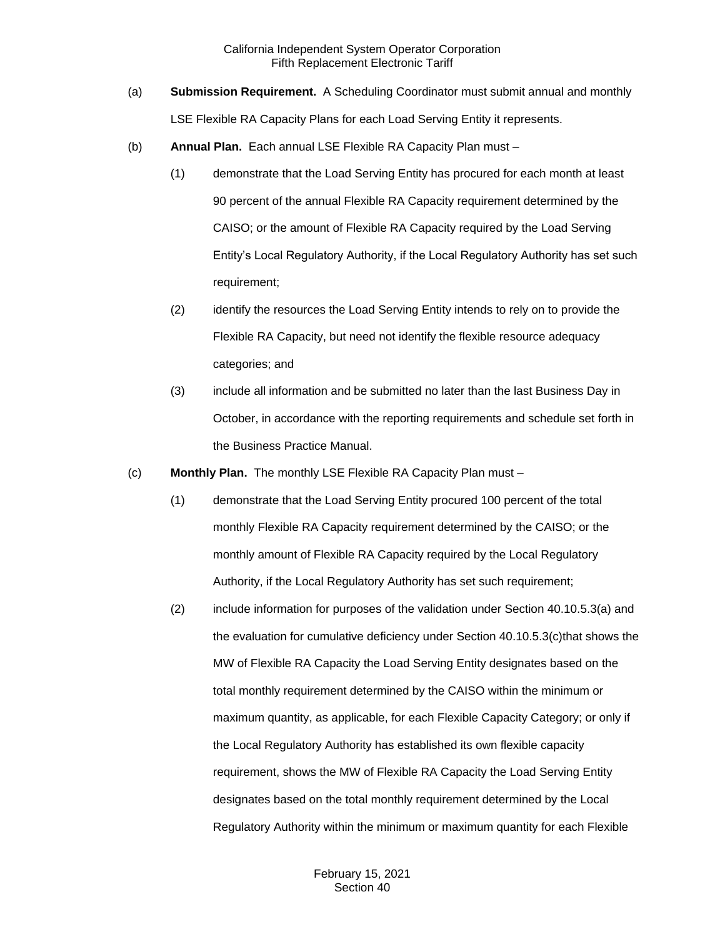- (a) **Submission Requirement.** A Scheduling Coordinator must submit annual and monthly LSE Flexible RA Capacity Plans for each Load Serving Entity it represents.
- (b) **Annual Plan.** Each annual LSE Flexible RA Capacity Plan must
	- (1) demonstrate that the Load Serving Entity has procured for each month at least 90 percent of the annual Flexible RA Capacity requirement determined by the CAISO; or the amount of Flexible RA Capacity required by the Load Serving Entity's Local Regulatory Authority, if the Local Regulatory Authority has set such requirement;
	- (2) identify the resources the Load Serving Entity intends to rely on to provide the Flexible RA Capacity, but need not identify the flexible resource adequacy categories; and
	- (3) include all information and be submitted no later than the last Business Day in October, in accordance with the reporting requirements and schedule set forth in the Business Practice Manual.
- (c) **Monthly Plan.** The monthly LSE Flexible RA Capacity Plan must
	- (1) demonstrate that the Load Serving Entity procured 100 percent of the total monthly Flexible RA Capacity requirement determined by the CAISO; or the monthly amount of Flexible RA Capacity required by the Local Regulatory Authority, if the Local Regulatory Authority has set such requirement;
	- (2) include information for purposes of the validation under Section 40.10.5.3(a) and the evaluation for cumulative deficiency under Section 40.10.5.3(c)that shows the MW of Flexible RA Capacity the Load Serving Entity designates based on the total monthly requirement determined by the CAISO within the minimum or maximum quantity, as applicable, for each Flexible Capacity Category; or only if the Local Regulatory Authority has established its own flexible capacity requirement, shows the MW of Flexible RA Capacity the Load Serving Entity designates based on the total monthly requirement determined by the Local Regulatory Authority within the minimum or maximum quantity for each Flexible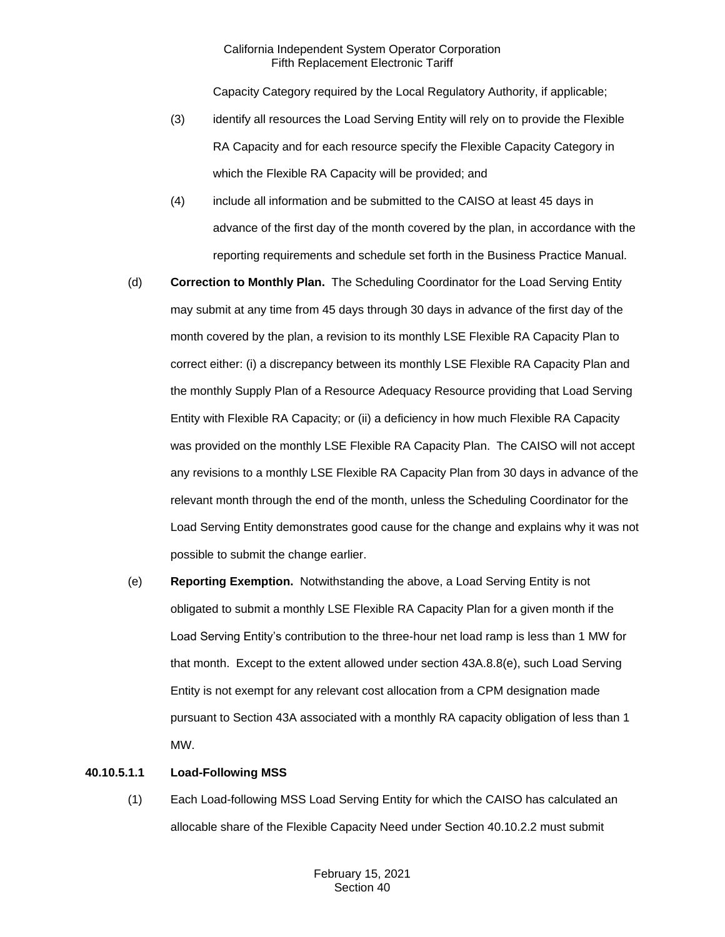Capacity Category required by the Local Regulatory Authority, if applicable;

- (3) identify all resources the Load Serving Entity will rely on to provide the Flexible RA Capacity and for each resource specify the Flexible Capacity Category in which the Flexible RA Capacity will be provided; and
- (4) include all information and be submitted to the CAISO at least 45 days in advance of the first day of the month covered by the plan, in accordance with the reporting requirements and schedule set forth in the Business Practice Manual.
- (d) **Correction to Monthly Plan.** The Scheduling Coordinator for the Load Serving Entity may submit at any time from 45 days through 30 days in advance of the first day of the month covered by the plan, a revision to its monthly LSE Flexible RA Capacity Plan to correct either: (i) a discrepancy between its monthly LSE Flexible RA Capacity Plan and the monthly Supply Plan of a Resource Adequacy Resource providing that Load Serving Entity with Flexible RA Capacity; or (ii) a deficiency in how much Flexible RA Capacity was provided on the monthly LSE Flexible RA Capacity Plan. The CAISO will not accept any revisions to a monthly LSE Flexible RA Capacity Plan from 30 days in advance of the relevant month through the end of the month, unless the Scheduling Coordinator for the Load Serving Entity demonstrates good cause for the change and explains why it was not possible to submit the change earlier.
- (e) **Reporting Exemption.** Notwithstanding the above, a Load Serving Entity is not obligated to submit a monthly LSE Flexible RA Capacity Plan for a given month if the Load Serving Entity's contribution to the three-hour net load ramp is less than 1 MW for that month. Except to the extent allowed under section 43A.8.8(e), such Load Serving Entity is not exempt for any relevant cost allocation from a CPM designation made pursuant to Section 43A associated with a monthly RA capacity obligation of less than 1 MW.

#### **40.10.5.1.1 Load-Following MSS**

(1) Each Load-following MSS Load Serving Entity for which the CAISO has calculated an allocable share of the Flexible Capacity Need under Section 40.10.2.2 must submit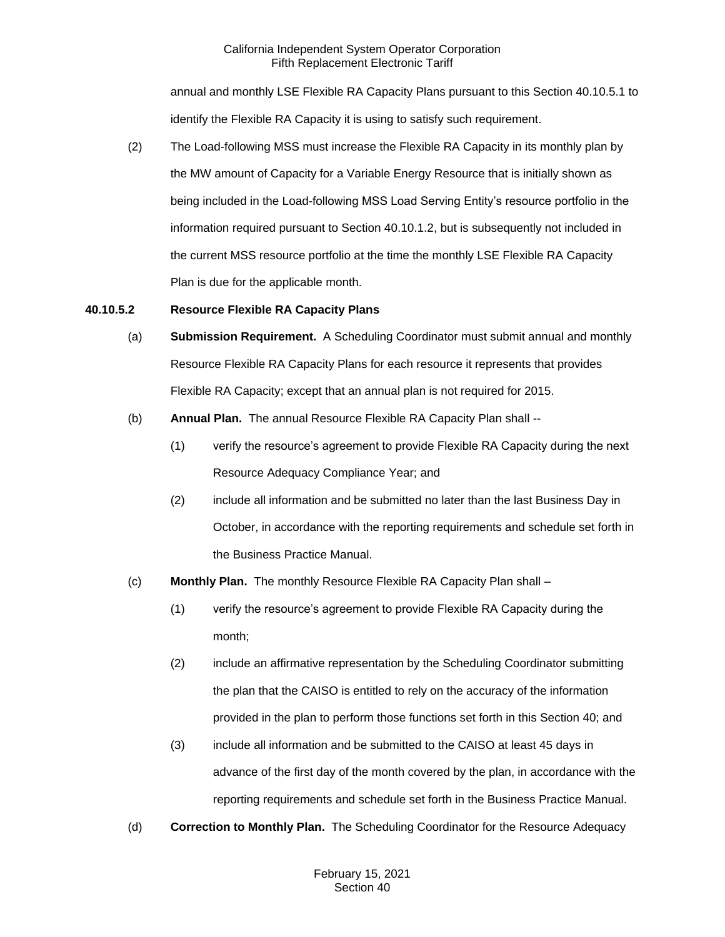annual and monthly LSE Flexible RA Capacity Plans pursuant to this Section 40.10.5.1 to identify the Flexible RA Capacity it is using to satisfy such requirement.

(2) The Load-following MSS must increase the Flexible RA Capacity in its monthly plan by the MW amount of Capacity for a Variable Energy Resource that is initially shown as being included in the Load-following MSS Load Serving Entity's resource portfolio in the information required pursuant to Section 40.10.1.2, but is subsequently not included in the current MSS resource portfolio at the time the monthly LSE Flexible RA Capacity Plan is due for the applicable month.

## **40.10.5.2 Resource Flexible RA Capacity Plans**

- (a) **Submission Requirement.** A Scheduling Coordinator must submit annual and monthly Resource Flexible RA Capacity Plans for each resource it represents that provides Flexible RA Capacity; except that an annual plan is not required for 2015.
- (b) **Annual Plan.** The annual Resource Flexible RA Capacity Plan shall --
	- (1) verify the resource's agreement to provide Flexible RA Capacity during the next Resource Adequacy Compliance Year; and
	- (2) include all information and be submitted no later than the last Business Day in October, in accordance with the reporting requirements and schedule set forth in the Business Practice Manual.
- (c) **Monthly Plan.** The monthly Resource Flexible RA Capacity Plan shall
	- (1) verify the resource's agreement to provide Flexible RA Capacity during the month;
	- (2) include an affirmative representation by the Scheduling Coordinator submitting the plan that the CAISO is entitled to rely on the accuracy of the information provided in the plan to perform those functions set forth in this Section 40; and
	- (3) include all information and be submitted to the CAISO at least 45 days in advance of the first day of the month covered by the plan, in accordance with the reporting requirements and schedule set forth in the Business Practice Manual.
- (d) **Correction to Monthly Plan.** The Scheduling Coordinator for the Resource Adequacy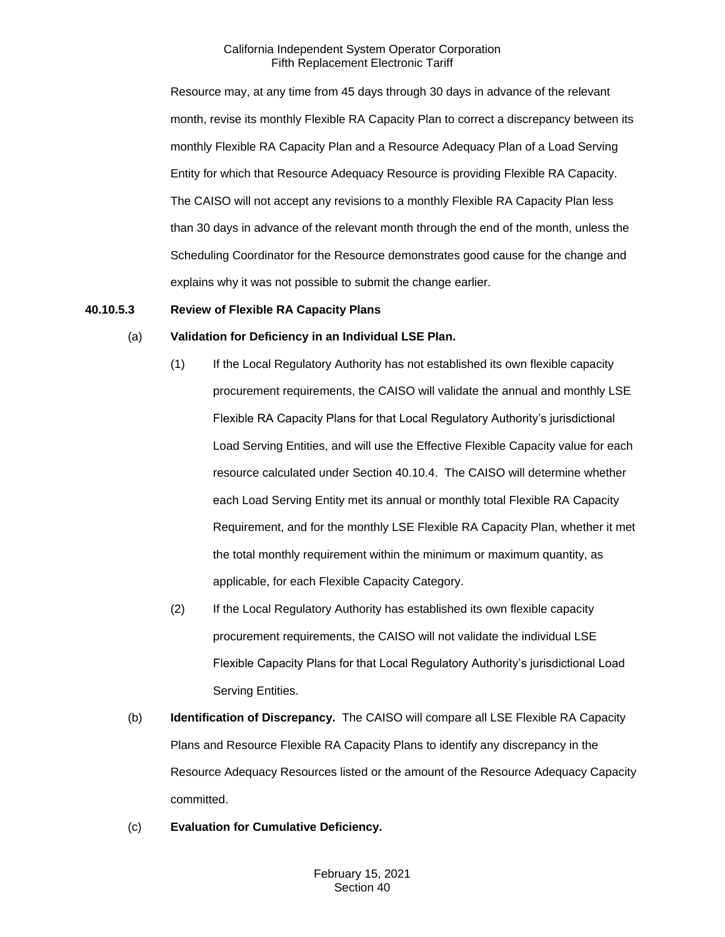Resource may, at any time from 45 days through 30 days in advance of the relevant month, revise its monthly Flexible RA Capacity Plan to correct a discrepancy between its monthly Flexible RA Capacity Plan and a Resource Adequacy Plan of a Load Serving Entity for which that Resource Adequacy Resource is providing Flexible RA Capacity. The CAISO will not accept any revisions to a monthly Flexible RA Capacity Plan less than 30 days in advance of the relevant month through the end of the month, unless the Scheduling Coordinator for the Resource demonstrates good cause for the change and explains why it was not possible to submit the change earlier.

### **40.10.5.3 Review of Flexible RA Capacity Plans**

### (a) **Validation for Deficiency in an Individual LSE Plan.**

- (1) If the Local Regulatory Authority has not established its own flexible capacity procurement requirements, the CAISO will validate the annual and monthly LSE Flexible RA Capacity Plans for that Local Regulatory Authority's jurisdictional Load Serving Entities, and will use the Effective Flexible Capacity value for each resource calculated under Section 40.10.4. The CAISO will determine whether each Load Serving Entity met its annual or monthly total Flexible RA Capacity Requirement, and for the monthly LSE Flexible RA Capacity Plan, whether it met the total monthly requirement within the minimum or maximum quantity, as applicable, for each Flexible Capacity Category.
- (2) If the Local Regulatory Authority has established its own flexible capacity procurement requirements, the CAISO will not validate the individual LSE Flexible Capacity Plans for that Local Regulatory Authority's jurisdictional Load Serving Entities.
- (b) **Identification of Discrepancy.** The CAISO will compare all LSE Flexible RA Capacity Plans and Resource Flexible RA Capacity Plans to identify any discrepancy in the Resource Adequacy Resources listed or the amount of the Resource Adequacy Capacity committed.
- (c) **Evaluation for Cumulative Deficiency.**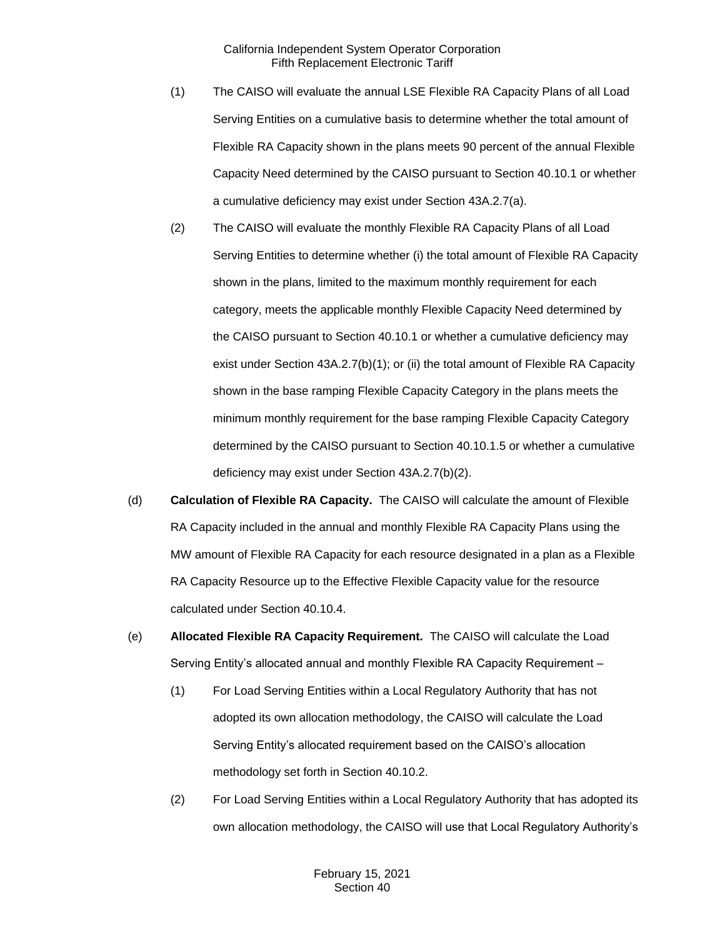- (1) The CAISO will evaluate the annual LSE Flexible RA Capacity Plans of all Load Serving Entities on a cumulative basis to determine whether the total amount of Flexible RA Capacity shown in the plans meets 90 percent of the annual Flexible Capacity Need determined by the CAISO pursuant to Section 40.10.1 or whether a cumulative deficiency may exist under Section 43A.2.7(a).
- (2) The CAISO will evaluate the monthly Flexible RA Capacity Plans of all Load Serving Entities to determine whether (i) the total amount of Flexible RA Capacity shown in the plans, limited to the maximum monthly requirement for each category, meets the applicable monthly Flexible Capacity Need determined by the CAISO pursuant to Section 40.10.1 or whether a cumulative deficiency may exist under Section 43A.2.7(b)(1); or (ii) the total amount of Flexible RA Capacity shown in the base ramping Flexible Capacity Category in the plans meets the minimum monthly requirement for the base ramping Flexible Capacity Category determined by the CAISO pursuant to Section 40.10.1.5 or whether a cumulative deficiency may exist under Section 43A.2.7(b)(2).
- (d) **Calculation of Flexible RA Capacity.** The CAISO will calculate the amount of Flexible RA Capacity included in the annual and monthly Flexible RA Capacity Plans using the MW amount of Flexible RA Capacity for each resource designated in a plan as a Flexible RA Capacity Resource up to the Effective Flexible Capacity value for the resource calculated under Section 40.10.4.
- (e) **Allocated Flexible RA Capacity Requirement.** The CAISO will calculate the Load Serving Entity's allocated annual and monthly Flexible RA Capacity Requirement –
	- (1) For Load Serving Entities within a Local Regulatory Authority that has not adopted its own allocation methodology, the CAISO will calculate the Load Serving Entity's allocated requirement based on the CAISO's allocation methodology set forth in Section 40.10.2.
	- (2) For Load Serving Entities within a Local Regulatory Authority that has adopted its own allocation methodology, the CAISO will use that Local Regulatory Authority's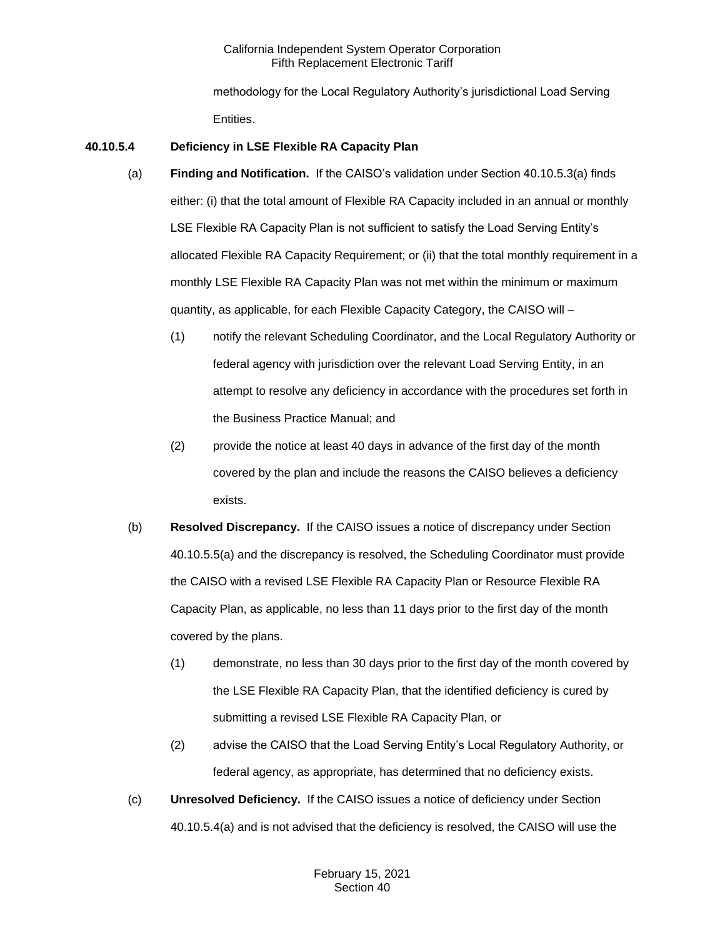methodology for the Local Regulatory Authority's jurisdictional Load Serving Entities.

### **40.10.5.4 Deficiency in LSE Flexible RA Capacity Plan**

- (a) **Finding and Notification.** If the CAISO's validation under Section 40.10.5.3(a) finds either: (i) that the total amount of Flexible RA Capacity included in an annual or monthly LSE Flexible RA Capacity Plan is not sufficient to satisfy the Load Serving Entity's allocated Flexible RA Capacity Requirement; or (ii) that the total monthly requirement in a monthly LSE Flexible RA Capacity Plan was not met within the minimum or maximum quantity, as applicable, for each Flexible Capacity Category, the CAISO will –
	- (1) notify the relevant Scheduling Coordinator, and the Local Regulatory Authority or federal agency with jurisdiction over the relevant Load Serving Entity, in an attempt to resolve any deficiency in accordance with the procedures set forth in the Business Practice Manual; and
	- (2) provide the notice at least 40 days in advance of the first day of the month covered by the plan and include the reasons the CAISO believes a deficiency exists.
- (b) **Resolved Discrepancy.** If the CAISO issues a notice of discrepancy under Section 40.10.5.5(a) and the discrepancy is resolved, the Scheduling Coordinator must provide the CAISO with a revised LSE Flexible RA Capacity Plan or Resource Flexible RA Capacity Plan, as applicable, no less than 11 days prior to the first day of the month covered by the plans.
	- (1) demonstrate, no less than 30 days prior to the first day of the month covered by the LSE Flexible RA Capacity Plan, that the identified deficiency is cured by submitting a revised LSE Flexible RA Capacity Plan, or
	- (2) advise the CAISO that the Load Serving Entity's Local Regulatory Authority, or federal agency, as appropriate, has determined that no deficiency exists.
- (c) **Unresolved Deficiency.** If the CAISO issues a notice of deficiency under Section 40.10.5.4(a) and is not advised that the deficiency is resolved, the CAISO will use the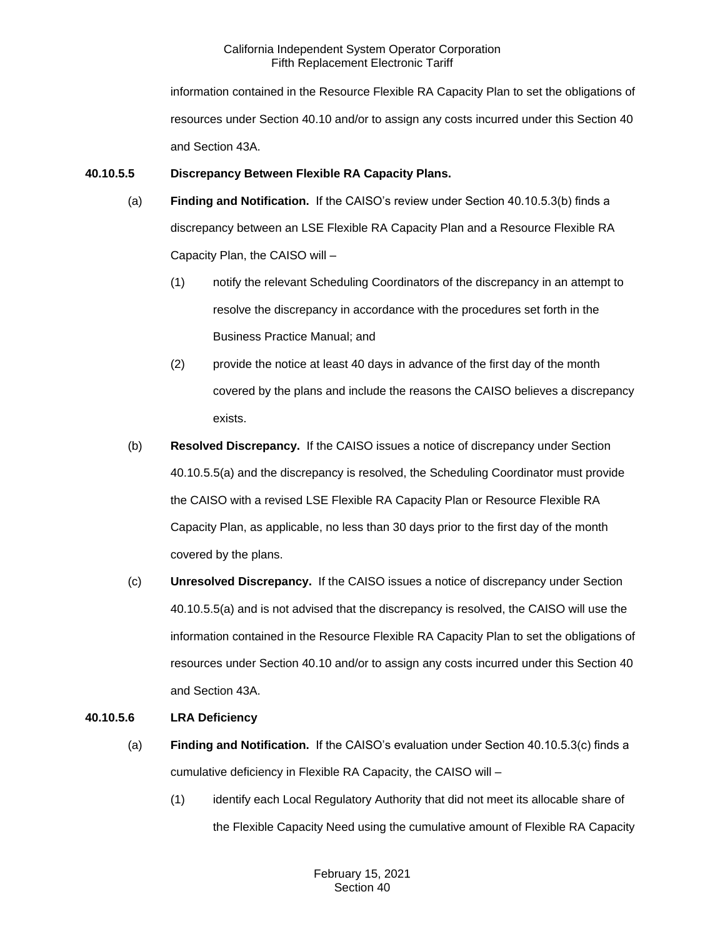information contained in the Resource Flexible RA Capacity Plan to set the obligations of resources under Section 40.10 and/or to assign any costs incurred under this Section 40 and Section 43A.

### **40.10.5.5 Discrepancy Between Flexible RA Capacity Plans.**

- (a) **Finding and Notification.** If the CAISO's review under Section 40.10.5.3(b) finds a discrepancy between an LSE Flexible RA Capacity Plan and a Resource Flexible RA Capacity Plan, the CAISO will –
	- (1) notify the relevant Scheduling Coordinators of the discrepancy in an attempt to resolve the discrepancy in accordance with the procedures set forth in the Business Practice Manual; and
	- (2) provide the notice at least 40 days in advance of the first day of the month covered by the plans and include the reasons the CAISO believes a discrepancy exists.
- (b) **Resolved Discrepancy.** If the CAISO issues a notice of discrepancy under Section 40.10.5.5(a) and the discrepancy is resolved, the Scheduling Coordinator must provide the CAISO with a revised LSE Flexible RA Capacity Plan or Resource Flexible RA Capacity Plan, as applicable, no less than 30 days prior to the first day of the month covered by the plans.
- (c) **Unresolved Discrepancy.** If the CAISO issues a notice of discrepancy under Section 40.10.5.5(a) and is not advised that the discrepancy is resolved, the CAISO will use the information contained in the Resource Flexible RA Capacity Plan to set the obligations of resources under Section 40.10 and/or to assign any costs incurred under this Section 40 and Section 43A.

## **40.10.5.6 LRA Deficiency**

- (a) **Finding and Notification.** If the CAISO's evaluation under Section 40.10.5.3(c) finds a cumulative deficiency in Flexible RA Capacity, the CAISO will –
	- (1) identify each Local Regulatory Authority that did not meet its allocable share of the Flexible Capacity Need using the cumulative amount of Flexible RA Capacity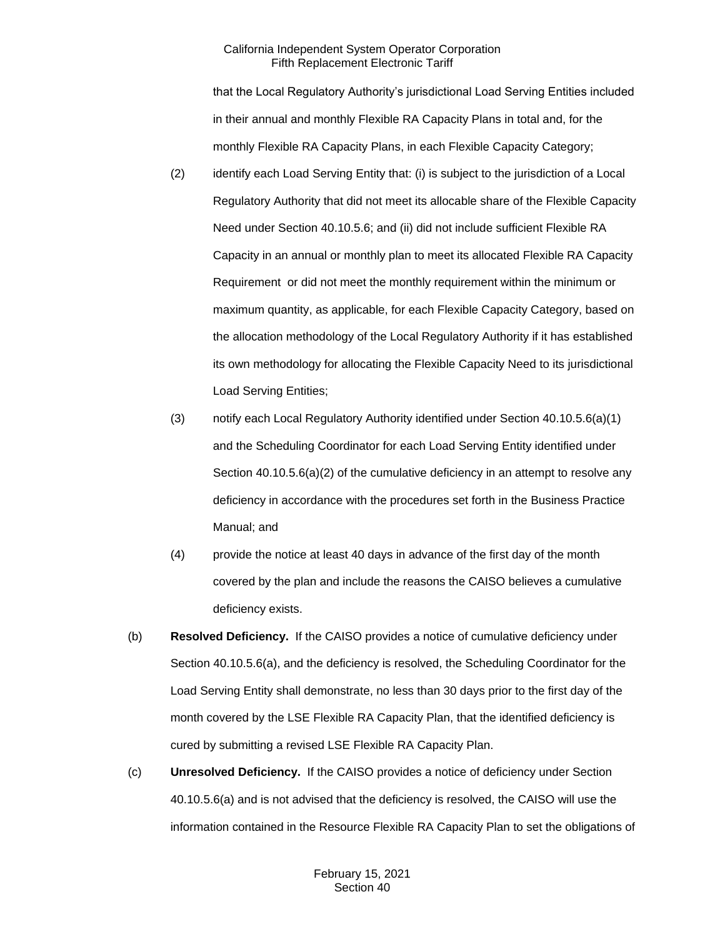that the Local Regulatory Authority's jurisdictional Load Serving Entities included in their annual and monthly Flexible RA Capacity Plans in total and, for the monthly Flexible RA Capacity Plans, in each Flexible Capacity Category;

- (2) identify each Load Serving Entity that: (i) is subject to the jurisdiction of a Local Regulatory Authority that did not meet its allocable share of the Flexible Capacity Need under Section 40.10.5.6; and (ii) did not include sufficient Flexible RA Capacity in an annual or monthly plan to meet its allocated Flexible RA Capacity Requirement or did not meet the monthly requirement within the minimum or maximum quantity, as applicable, for each Flexible Capacity Category, based on the allocation methodology of the Local Regulatory Authority if it has established its own methodology for allocating the Flexible Capacity Need to its jurisdictional Load Serving Entities;
- (3) notify each Local Regulatory Authority identified under Section 40.10.5.6(a)(1) and the Scheduling Coordinator for each Load Serving Entity identified under Section 40.10.5.6(a)(2) of the cumulative deficiency in an attempt to resolve any deficiency in accordance with the procedures set forth in the Business Practice Manual; and
- (4) provide the notice at least 40 days in advance of the first day of the month covered by the plan and include the reasons the CAISO believes a cumulative deficiency exists.
- (b) **Resolved Deficiency.** If the CAISO provides a notice of cumulative deficiency under Section 40.10.5.6(a), and the deficiency is resolved, the Scheduling Coordinator for the Load Serving Entity shall demonstrate, no less than 30 days prior to the first day of the month covered by the LSE Flexible RA Capacity Plan, that the identified deficiency is cured by submitting a revised LSE Flexible RA Capacity Plan.
- (c) **Unresolved Deficiency.** If the CAISO provides a notice of deficiency under Section 40.10.5.6(a) and is not advised that the deficiency is resolved, the CAISO will use the information contained in the Resource Flexible RA Capacity Plan to set the obligations of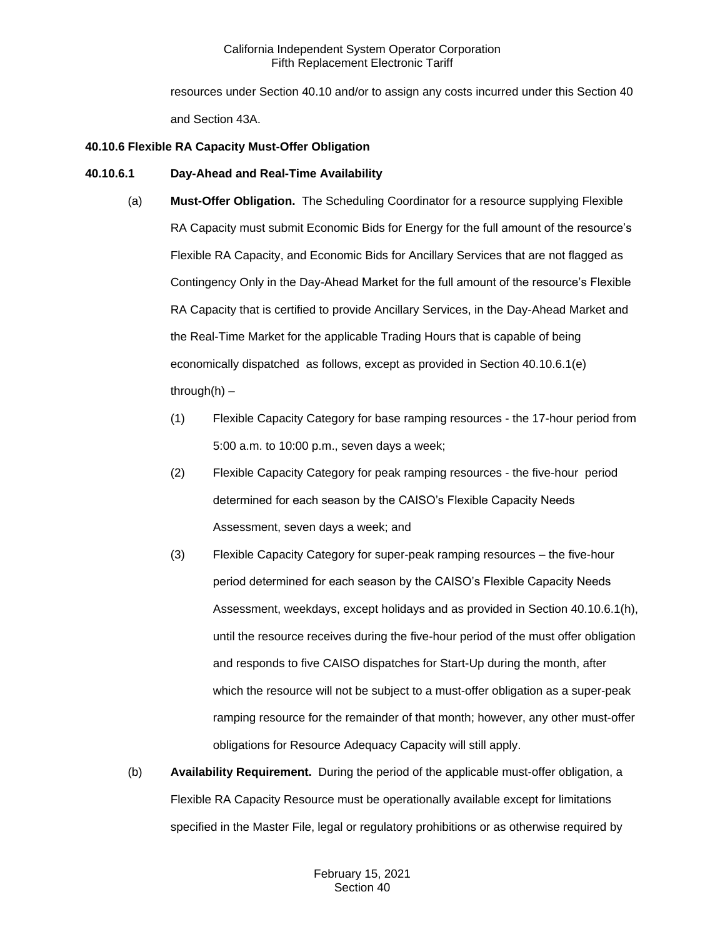resources under Section 40.10 and/or to assign any costs incurred under this Section 40 and Section 43A.

### **40.10.6 Flexible RA Capacity Must-Offer Obligation**

#### **40.10.6.1 Day-Ahead and Real-Time Availability**

- (a) **Must-Offer Obligation.** The Scheduling Coordinator for a resource supplying Flexible RA Capacity must submit Economic Bids for Energy for the full amount of the resource's Flexible RA Capacity, and Economic Bids for Ancillary Services that are not flagged as Contingency Only in the Day-Ahead Market for the full amount of the resource's Flexible RA Capacity that is certified to provide Ancillary Services, in the Day-Ahead Market and the Real-Time Market for the applicable Trading Hours that is capable of being economically dispatched as follows, except as provided in Section 40.10.6.1(e) through $(h)$  –
	- (1) Flexible Capacity Category for base ramping resources the 17-hour period from 5:00 a.m. to 10:00 p.m., seven days a week;
	- (2) Flexible Capacity Category for peak ramping resources the five-hour period determined for each season by the CAISO's Flexible Capacity Needs Assessment, seven days a week; and
	- (3) Flexible Capacity Category for super-peak ramping resources the five-hour period determined for each season by the CAISO's Flexible Capacity Needs Assessment, weekdays, except holidays and as provided in Section 40.10.6.1(h), until the resource receives during the five-hour period of the must offer obligation and responds to five CAISO dispatches for Start-Up during the month, after which the resource will not be subject to a must-offer obligation as a super-peak ramping resource for the remainder of that month; however, any other must-offer obligations for Resource Adequacy Capacity will still apply.
- (b) **Availability Requirement.** During the period of the applicable must-offer obligation, a Flexible RA Capacity Resource must be operationally available except for limitations specified in the Master File, legal or regulatory prohibitions or as otherwise required by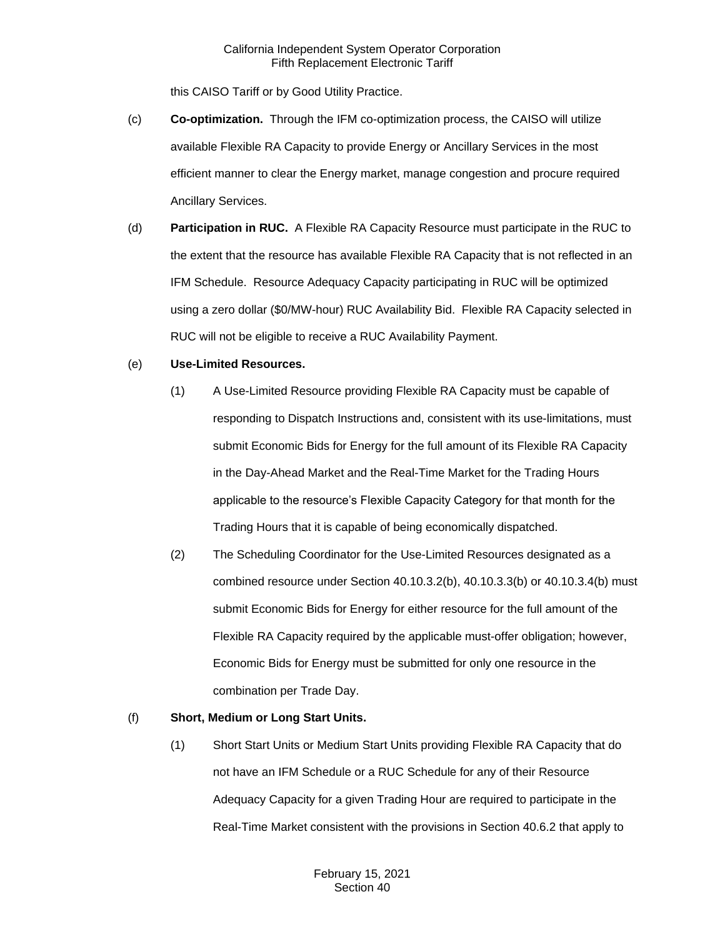this CAISO Tariff or by Good Utility Practice.

- (c) **Co-optimization.** Through the IFM co-optimization process, the CAISO will utilize available Flexible RA Capacity to provide Energy or Ancillary Services in the most efficient manner to clear the Energy market, manage congestion and procure required Ancillary Services.
- (d) **Participation in RUC.** A Flexible RA Capacity Resource must participate in the RUC to the extent that the resource has available Flexible RA Capacity that is not reflected in an IFM Schedule. Resource Adequacy Capacity participating in RUC will be optimized using a zero dollar (\$0/MW-hour) RUC Availability Bid. Flexible RA Capacity selected in RUC will not be eligible to receive a RUC Availability Payment.

## (e) **Use-Limited Resources.**

- (1) A Use-Limited Resource providing Flexible RA Capacity must be capable of responding to Dispatch Instructions and, consistent with its use-limitations, must submit Economic Bids for Energy for the full amount of its Flexible RA Capacity in the Day-Ahead Market and the Real-Time Market for the Trading Hours applicable to the resource's Flexible Capacity Category for that month for the Trading Hours that it is capable of being economically dispatched.
- (2) The Scheduling Coordinator for the Use-Limited Resources designated as a combined resource under Section 40.10.3.2(b), 40.10.3.3(b) or 40.10.3.4(b) must submit Economic Bids for Energy for either resource for the full amount of the Flexible RA Capacity required by the applicable must-offer obligation; however, Economic Bids for Energy must be submitted for only one resource in the combination per Trade Day.

# (f) **Short, Medium or Long Start Units.**

(1) Short Start Units or Medium Start Units providing Flexible RA Capacity that do not have an IFM Schedule or a RUC Schedule for any of their Resource Adequacy Capacity for a given Trading Hour are required to participate in the Real-Time Market consistent with the provisions in Section 40.6.2 that apply to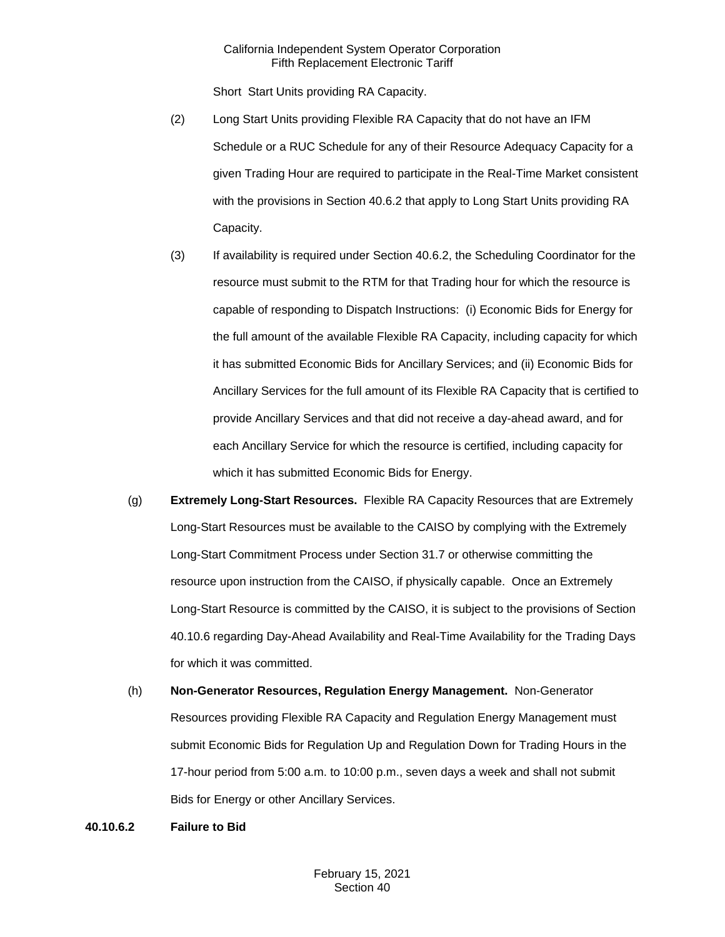Short Start Units providing RA Capacity.

- (2) Long Start Units providing Flexible RA Capacity that do not have an IFM Schedule or a RUC Schedule for any of their Resource Adequacy Capacity for a given Trading Hour are required to participate in the Real-Time Market consistent with the provisions in Section 40.6.2 that apply to Long Start Units providing RA Capacity.
- (3) If availability is required under Section 40.6.2, the Scheduling Coordinator for the resource must submit to the RTM for that Trading hour for which the resource is capable of responding to Dispatch Instructions: (i) Economic Bids for Energy for the full amount of the available Flexible RA Capacity, including capacity for which it has submitted Economic Bids for Ancillary Services; and (ii) Economic Bids for Ancillary Services for the full amount of its Flexible RA Capacity that is certified to provide Ancillary Services and that did not receive a day-ahead award, and for each Ancillary Service for which the resource is certified, including capacity for which it has submitted Economic Bids for Energy.
- (g) **Extremely Long-Start Resources.** Flexible RA Capacity Resources that are Extremely Long-Start Resources must be available to the CAISO by complying with the Extremely Long-Start Commitment Process under Section 31.7 or otherwise committing the resource upon instruction from the CAISO, if physically capable. Once an Extremely Long-Start Resource is committed by the CAISO, it is subject to the provisions of Section 40.10.6 regarding Day-Ahead Availability and Real-Time Availability for the Trading Days for which it was committed.
- (h) **Non-Generator Resources, Regulation Energy Management.** Non-Generator Resources providing Flexible RA Capacity and Regulation Energy Management must submit Economic Bids for Regulation Up and Regulation Down for Trading Hours in the 17-hour period from 5:00 a.m. to 10:00 p.m., seven days a week and shall not submit Bids for Energy or other Ancillary Services.

## **40.10.6.2 Failure to Bid**